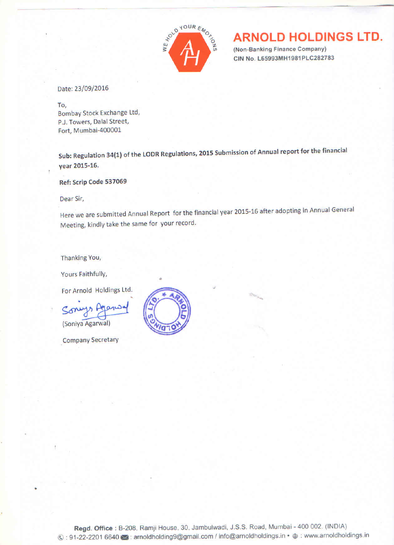

# **ARNOLD HOLDINGS LTD.**

(Non-Banking Finance Company) CIN No. L65993MH1981PLC282783

Date: 23/09/2016

To, Bombay Stock Exchange Ltd, P.J. Towers, Dalal Street, Fort, Mumbai-400001

Sub: Regulation 34(1) of the LODR Regulations, 2015 Submission of Annual report for the financial year 2015-16.

Ref: Scrip Code 537069

Dear Sir,

Here we are submitted Annual Report for the financial year 2015-16 after adopting in Annual General Meeting, kindly take the same for your record.

Thanking You,

Yours Faithfully,

For Arnold Holdings Ltd.

(Soniya Agarwal)

**Company Secretary** 

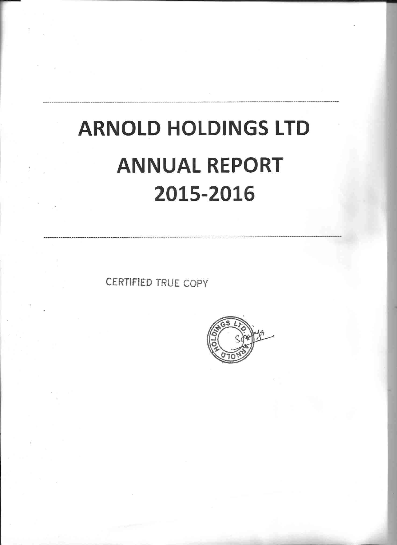# **ARNOLD HOLDINGS LTD ANNUAL REPORT** 2015-2016

CERTIFIED TRUE COPY

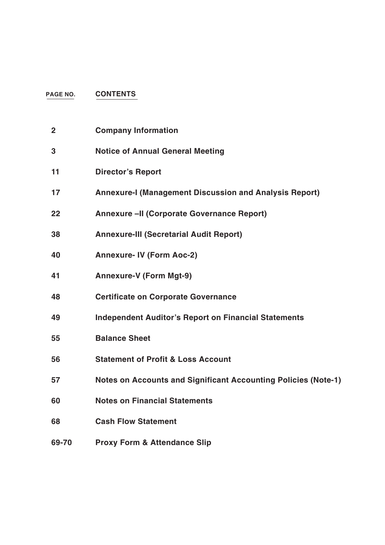# PAGE NO. CONTENTS

2 Company Information 3 Notice of Annual General Meeting 11 Director's Report 17 Annexure-I (Management Discussion and Analysis Report) 22 Annexure –II (Corporate Governance Report) 38 Annexure-III (Secretarial Audit Report) 40 Annexure- IV (Form Aoc-2) 41 Annexure-V (Form Mgt-9) 48 Certificate on Corporate Governance 49 Independent Auditor's Report on Financial Statements 55 Balance Sheet 56 Statement of Profit & Loss Account 57 Notes on Accounts and Significant Accounting Policies (Note-1) 60 Notes on Financial Statements 68 Cash Flow Statement 69-70 Proxy Form & Attendance Slip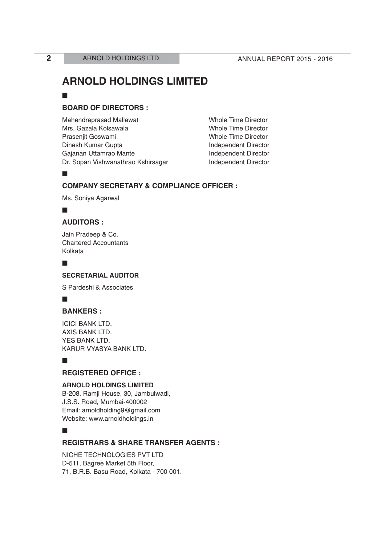# ARNOLD HOLDINGS LIMITED

# $\blacksquare$

# BOARD OF DIRECTORS :

Mahendraprasad Mallawat Whole Time Director Mrs. Gazala Kolsawala Whole Time Director Prasenjit Goswami **Whole Time Director** Dinesh Kumar Gupta **Independent Director** Gajanan Uttamrao Mante **Independent Director** Dr. Sopan Vishwanathrao Kshirsagar Independent Director

 $\blacksquare$ 

# COMPANY SECRETARY & COMPLIANCE OFFICER :

Ms. Soniya Agarwal

 $\blacksquare$ 

# AUDITORS :

Jain Pradeep & Co. Chartered Accountants Kolkata

#### $\overline{\phantom{a}}$

#### SECRETARIAL AUDITOR

S Pardeshi & Associates

 $\mathcal{L}_{\mathcal{A}}$ 

# BANKERS :

ICICI BANK LTD. AXIS BANK LTD. YES BANK LTD. KARUR VYASYA BANK LTD.

# $\mathcal{L}_{\mathcal{A}}$

# REGISTERED OFFICE :

# ARNOLD HOLDINGS LIMITED

B-208, Ramji House, 30, Jambulwadi, J.S.S. Road, Mumbai-400002 Email: arnoldholding9@gmail.com Website: www.arnoldholdings.in

# $\mathcal{L}_{\mathcal{A}}$

# REGISTRARS & SHARE TRANSFER AGENTS :

NICHE TECHNOLOGIES PVT LTD D-511, Bagree Market 5th Floor, 71, B.R.B. Basu Road, Kolkata - 700 001.

2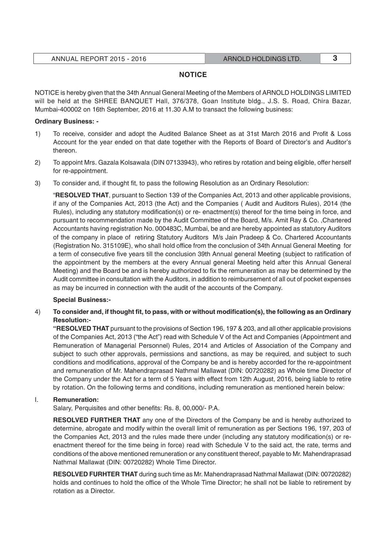3

# **NOTICE**

NOTICE is hereby given that the 34th Annual General Meeting of the Members of ARNOLD HOLDINGS LIMITED will be held at the SHREE BANQUET Hall, 376/378, Goan Institute bldg., J.S. S. Road, Chira Bazar, Mumbai-400002 on 16th September, 2016 at 11.30 A.M to transact the following business:

# Ordinary Business: -

- 1) To receive, consider and adopt the Audited Balance Sheet as at 31st March 2016 and Profit & Loss Account for the year ended on that date together with the Reports of Board of Director's and Auditor's thereon.
- 2) To appoint Mrs. Gazala Kolsawala (DIN 07133943), who retires by rotation and being eligible, offer herself for re-appointment.
- 3) To consider and, if thought fit, to pass the following Resolution as an Ordinary Resolution:

"RESOLVED THAT, pursuant to Section 139 of the Companies Act, 2013 and other applicable provisions, if any of the Companies Act, 2013 (the Act) and the Companies ( Audit and Auditors Rules), 2014 (the Rules), including any statutory modification(s) or re- enactment(s) thereof for the time being in force, and pursuant to recommendation made by the Audit Committee of the Board, M/s. Amit Ray & Co. ,Chartered Accountants having registration No. 000483C, Mumbai, be and are hereby appointed as statutory Auditors of the company in place of retiring Statutory Auditors M/s Jain Pradeep & Co. Chartered Accountants (Registration No. 315109E), who shall hold office from the conclusion of 34th Annual General Meeting for a term of consecutive five years till the conclusion 39th Annual general Meeting (subject to ratification of the appointment by the members at the every Annual general Meeting held after this Annual General Meeting) and the Board be and is hereby authorized to fix the remuneration as may be determined by the Audit committee in consultation with the Auditors, in addition to reimbursement of all out of pocket expenses as may be incurred in connection with the audit of the accounts of the Company.

# Special Business:-

# 4) To consider and, if thought fit, to pass, with or without modification(s), the following as an Ordinary Resolution:-

"RESOLVED THAT pursuant to the provisions of Section 196, 197 & 203, and all other applicable provisions of the Companies Act, 2013 ("the Act") read with Schedule V of the Act and Companies (Appointment and Remuneration of Managerial Personnel) Rules, 2014 and Articles of Association of the Company and subject to such other approvals, permissions and sanctions, as may be required, and subject to such conditions and modifications, approval of the Company be and is hereby accorded for the re-appointment and remuneration of Mr. Mahendraprasad Nathmal Mallawat (DIN: 00720282) as Whole time Director of the Company under the Act for a term of 5 Years with effect from 12th August, 2016, being liable to retire by rotation. On the following terms and conditions, including remuneration as mentioned herein below:

# I. Remuneration:

Salary, Perquisites and other benefits: Rs. 8, 00,000/- P.A.

RESOLVED FURTHER THAT any one of the Directors of the Company be and is hereby authorized to determine, abrogate and modify within the overall limit of remuneration as per Sections 196, 197, 203 of the Companies Act, 2013 and the rules made there under (including any statutory modification(s) or reenactment thereof for the time being in force) read with Schedule V to the said act, the rate, terms and conditions of the above mentioned remuneration or any constituent thereof, payable to Mr. Mahendraprasad Nathmal Mallawat (DIN: 00720282) Whole Time Director.

RESOLVED FURHTER THAT during such time as Mr. Mahendraprasad Nathmal Mallawat (DIN: 00720282) holds and continues to hold the office of the Whole Time Director; he shall not be liable to retirement by rotation as a Director.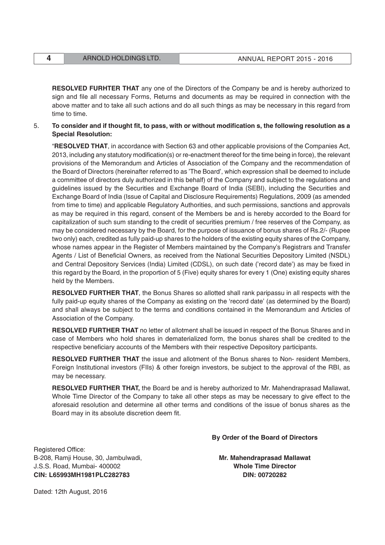|  |  | ARNOLD HOLDINGS LTD. | <b>ANNUAL REPORT 2015 - 2016</b> |
|--|--|----------------------|----------------------------------|
|--|--|----------------------|----------------------------------|

RESOLVED FURHTER THAT any one of the Directors of the Company be and is hereby authorized to sign and file all necessary Forms, Returns and documents as may be required in connection with the above matter and to take all such actions and do all such things as may be necessary in this regard from time to time.

# 5. To consider and if thought fit, to pass, with or without modification s, the following resolution as a Special Resolution:

"RESOLVED THAT, in accordance with Section 63 and other applicable provisions of the Companies Act, 2013, including any statutory modification(s) or re-enactment thereof for the time being in force), the relevant provisions of the Memorandum and Articles of Association of the Company and the recommendation of the Board of Directors (hereinafter referred to as 'The Board', which expression shall be deemed to include a committee of directors duly authorized in this behalf) of the Company and subject to the regulations and guidelines issued by the Securities and Exchange Board of India (SEBI), including the Securities and Exchange Board of India (Issue of Capital and Disclosure Requirements) Regulations, 2009 (as amended from time to time) and applicable Regulatory Authorities, and such permissions, sanctions and approvals as may be required in this regard, consent of the Members be and is hereby accorded to the Board for capitalization of such sum standing to the credit of securities premium / free reserves of the Company, as may be considered necessary by the Board, for the purpose of issuance of bonus shares of Rs.2/- (Rupee two only) each, credited as fully paid-up shares to the holders of the existing equity shares of the Company, whose names appear in the Register of Members maintained by the Company's Registrars and Transfer Agents / List of Beneficial Owners, as received from the National Securities Depository Limited (NSDL) and Central Depository Services (India) Limited (CDSL), on such date ('record date') as may be fixed in this regard by the Board, in the proportion of 5 (Five) equity shares for every 1 (One) existing equity shares held by the Members.

RESOLVED FURTHER THAT, the Bonus Shares so allotted shall rank paripassu in all respects with the fully paid-up equity shares of the Company as existing on the 'record date' (as determined by the Board) and shall always be subject to the terms and conditions contained in the Memorandum and Articles of Association of the Company.

RESOLVED FURTHER THAT no letter of allotment shall be issued in respect of the Bonus Shares and in case of Members who hold shares in dematerialized form, the bonus shares shall be credited to the respective beneficiary accounts of the Members with their respective Depository participants.

RESOLVED FURTHER THAT the issue and allotment of the Bonus shares to Non- resident Members, Foreign Institutional investors (FIIs) & other foreign investors, be subject to the approval of the RBI, as may be necessary.

RESOLVED FURTHER THAT, the Board be and is hereby authorized to Mr. Mahendraprasad Mallawat, Whole Time Director of the Company to take all other steps as may be necessary to give effect to the aforesaid resolution and determine all other terms and conditions of the issue of bonus shares as the Board may in its absolute discretion deem fit.

Registered Office: B-208, Ramii House, 30, Jambulwadi. Mahendraprasad Mallawat J.S.S. Road, Mumbai- 400002 Whole Time Director CIN: L65993MH1981PLC282783 DIN: 00720282

By Order of the Board of Directors

Dated: 12th August, 2016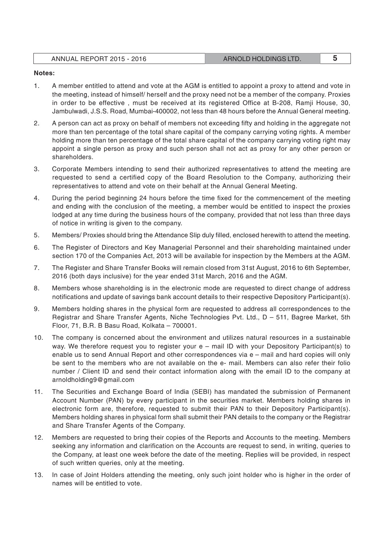| <b>ANNUAL REPORT 2015 - 2016</b> | ARNOLD HOLDINGS LTD. |  |
|----------------------------------|----------------------|--|
|----------------------------------|----------------------|--|

# Notes:

- 1. A member entitled to attend and vote at the AGM is entitled to appoint a proxy to attend and vote in the meeting, instead of himself/ herself and the proxy need not be a member of the company. Proxies in order to be effective , must be received at its registered Office at B-208, Ramji House, 30, Jambulwadi, J.S.S. Road, Mumbai-400002, not less than 48 hours before the Annual General meeting.
- 2. A person can act as proxy on behalf of members not exceeding fifty and holding in the aggregate not more than ten percentage of the total share capital of the company carrying voting rights. A member holding more than ten percentage of the total share capital of the company carrying voting right may appoint a single person as proxy and such person shall not act as proxy for any other person or shareholders.
- 3. Corporate Members intending to send their authorized representatives to attend the meeting are requested to send a certified copy of the Board Resolution to the Company, authorizing their representatives to attend and vote on their behalf at the Annual General Meeting.
- 4. During the period beginning 24 hours before the time fixed for the commencement of the meeting and ending with the conclusion of the meeting, a member would be entitled to inspect the proxies lodged at any time during the business hours of the company, provided that not less than three days of notice in writing is given to the company.
- 5. Members/ Proxies should bring the Attendance Slip duly filled, enclosed herewith to attend the meeting.
- 6. The Register of Directors and Key Managerial Personnel and their shareholding maintained under section 170 of the Companies Act, 2013 will be available for inspection by the Members at the AGM.
- 7. The Register and Share Transfer Books will remain closed from 31st August, 2016 to 6th September, 2016 (both days inclusive) for the year ended 31st March, 2016 and the AGM.
- 8. Members whose shareholding is in the electronic mode are requested to direct change of address notifications and update of savings bank account details to their respective Depository Participant(s).
- 9. Members holding shares in the physical form are requested to address all correspondences to the Registrar and Share Transfer Agents, Niche Technologies Pvt. Ltd., D – 511, Bagree Market, 5th Floor, 71, B.R. B Basu Road, Kolkata – 700001.
- 10. The company is concerned about the environment and utilizes natural resources in a sustainable way. We therefore request you to register your e – mail ID with your Depository Participant(s) to enable us to send Annual Report and other correspondences via e – mail and hard copies will only be sent to the members who are not available on the e- mail. Members can also refer their folio number / Client ID and send their contact information along with the email ID to the company at arnoldholding9@gmail.com
- 11. The Securities and Exchange Board of India (SEBI) has mandated the submission of Permanent Account Number (PAN) by every participant in the securities market. Members holding shares in electronic form are, therefore, requested to submit their PAN to their Depository Participant(s). Members holding shares in physical form shall submit their PAN details to the company or the Registrar and Share Transfer Agents of the Company.
- 12. Members are requested to bring their copies of the Reports and Accounts to the meeting. Members seeking any information and clarification on the Accounts are request to send, in writing, queries to the Company, at least one week before the date of the meeting. Replies will be provided, in respect of such written queries, only at the meeting.
- 13. In case of Joint Holders attending the meeting, only such joint holder who is higher in the order of names will be entitled to vote.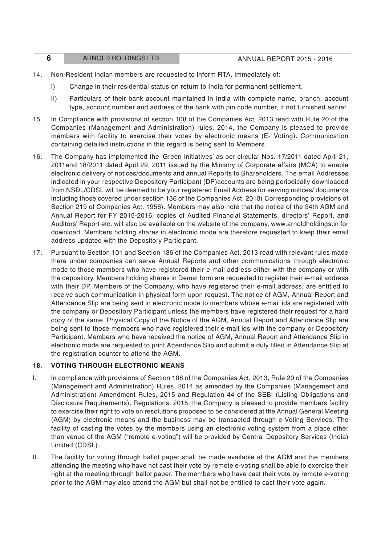| ARNOLD HOLDINGS LTD. | <b>ANNUAL REPORT 2015 - 2016</b> |
|----------------------|----------------------------------|
|                      |                                  |

- 14. Non-Resident Indian members are requested to inform RTA, immediately of:
	- I) Change in their residential status on return to India for permanent settlement.
	- II) Particulars of their bank account maintained in India with complete name, branch, account type, account number and address of the bank with pin code number, if not furnished earlier.
- 15. In Compliance with provisions of section 108 of the Companies Act, 2013 read with Rule 20 of the Companies (Management and Administration) rules, 2014, the Company is pleased to provide members with facility to exercise their votes by electronic means (E- Voting). Communication containing detailed instructions in this regard is being sent to Members.
- 16. The Company has implemented the 'Green Initiatives' as per circular Nos. 17/2011 dated April 21, 2011and 18/2011 dated April 29, 2011 issued by the Ministry of Corporate affairs (MCA) to enable electronic delivery of notices/documents and annual Reports to Shareholders. The email Addresses indicated in your respective Depository Participant (DP)accounts are being periodically downloaded from NSDL/CDSL will be deemed to be your registered Email Address for serving notices/ documents including those covered under section 136 of the Companies Act, 2013( Corresponding provisions of Section 219 of Companies Act, 1956). Members may also note that the notice of the 34th AGM and Annual Report for FY 2015-2016, copies of Audited Financial Statements, directors' Report, and Auditors' Report etc. will also be available on the website of the company, www.arnoldholdings.in for download. Members holding shares in electronic mode are therefore requested to keep their email address updated with the Depository Participant.
- 17. Pursuant to Section 101 and Section 136 of the Companies Act, 2013 read with relevant rules made there under companies can serve Annual Reports and other communications through electronic mode to those members who have registered their e-mail address either with the company or with the depository. Members holding shares in Demat form are requested to register their e-mail address with their DP. Members of the Company, who have registered their e-mail address, are entitled to receive such communication in physical form upon request. The notice of AGM, Annual Report and Attendance Slip are being sent in electronic mode to members whose e-mail ids are registered with the company or Depository Participant unless the members have registered their request for a hard copy of the same. Physical Copy of the Notice of the AGM, Annual Report and Attendance Slip are being sent to those members who have registered their e-mail ids with the company or Depository Participant. Members who have received the notice of AGM, Annual Report and Attendance Slip in electronic mode are requested to print Attendance Slip and submit a duly filled in Attendance Slip at the registration counter to attend the AGM.

# 18. VOTING THROUGH ELECTRONIC MEANS

- I. In compliance with provisions of Section 108 of the Companies Act, 2013, Rule 20 of the Companies (Management and Administration) Rules, 2014 as amended by the Companies (Management and Administration) Amendment Rules, 2015 and Regulation 44 of the SEBI (Listing Obligations and Disclosure Requirements), Regulations, 2015, the Company is pleased to provide members facility to exercise their right to vote on resolutions proposed to be considered at the Annual General Meeting (AGM) by electronic means and the business may be transacted through e-Voting Services. The facility of casting the votes by the members using an electronic voting system from a place other than venue of the AGM ("remote e-voting") will be provided by Central Depository Services (India) Limited (CDSL).
- II. The facility for voting through ballot paper shall be made available at the AGM and the members attending the meeting who have not cast their vote by remote e-voting shall be able to exercise their right at the meeting through ballot paper. The members who have cast their vote by remote e-voting prior to the AGM may also attend the AGM but shall not be entitled to cast their vote again.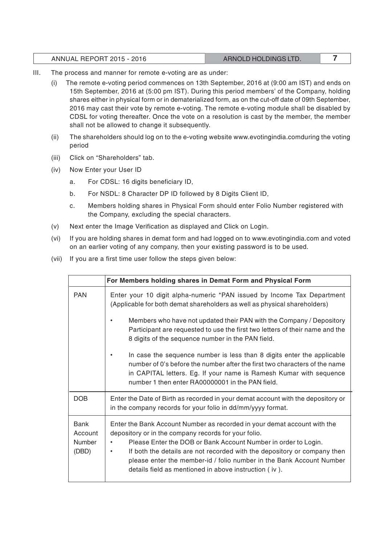| <b>ANNUAL REPORT 2015 - 2016</b> | ARNOLD HOLDINGS LTD. |  |
|----------------------------------|----------------------|--|
|----------------------------------|----------------------|--|

- III. The process and manner for remote e-voting are as under:
	- (i) The remote e-voting period commences on 13th September, 2016 at (9:00 am IST) and ends on 15th September, 2016 at (5:00 pm IST). During this period members' of the Company, holding shares either in physical form or in dematerialized form, as on the cut-off date of 09th September, 2016 may cast their vote by remote e-voting. The remote e-voting module shall be disabled by CDSL for voting thereafter. Once the vote on a resolution is cast by the member, the member shall not be allowed to change it subsequently.
	- (ii) The shareholders should log on to the e-voting website www.evotingindia.comduring the voting period
	- (iii) Click on "Shareholders" tab.
	- (iv) Now Enter your User ID
		- a. For CDSL: 16 digits beneficiary ID,
		- b. For NSDL: 8 Character DP ID followed by 8 Digits Client ID,
		- c. Members holding shares in Physical Form should enter Folio Number registered with the Company, excluding the special characters.
	- (v) Next enter the Image Verification as displayed and Click on Login.
	- (vi) If you are holding shares in demat form and had logged on to www.evotingindia.com and voted on an earlier voting of any company, then your existing password is to be used.
	- (vii) If you are a first time user follow the steps given below:

|                                           | For Members holding shares in Demat Form and Physical Form                                                                                                                                                                                                                                                                                                                                                           |
|-------------------------------------------|----------------------------------------------------------------------------------------------------------------------------------------------------------------------------------------------------------------------------------------------------------------------------------------------------------------------------------------------------------------------------------------------------------------------|
| <b>PAN</b>                                | Enter your 10 digit alpha-numeric *PAN issued by Income Tax Department<br>(Applicable for both demat shareholders as well as physical shareholders)                                                                                                                                                                                                                                                                  |
|                                           | Members who have not updated their PAN with the Company / Depository<br>Participant are requested to use the first two letters of their name and the<br>8 digits of the sequence number in the PAN field.                                                                                                                                                                                                            |
|                                           | In case the sequence number is less than 8 digits enter the applicable<br>number of 0's before the number after the first two characters of the name<br>in CAPITAL letters. Eg. If your name is Ramesh Kumar with sequence<br>number 1 then enter RA00000001 in the PAN field.                                                                                                                                       |
| <b>DOB</b>                                | Enter the Date of Birth as recorded in your demat account with the depository or<br>in the company records for your folio in dd/mm/yyyy format.                                                                                                                                                                                                                                                                      |
| <b>Bank</b><br>Account<br>Number<br>(DBD) | Enter the Bank Account Number as recorded in your demat account with the<br>depository or in the company records for your folio.<br>Please Enter the DOB or Bank Account Number in order to Login.<br>٠<br>If both the details are not recorded with the depository or company then<br>please enter the member-id / folio number in the Bank Account Number<br>details field as mentioned in above instruction (iv). |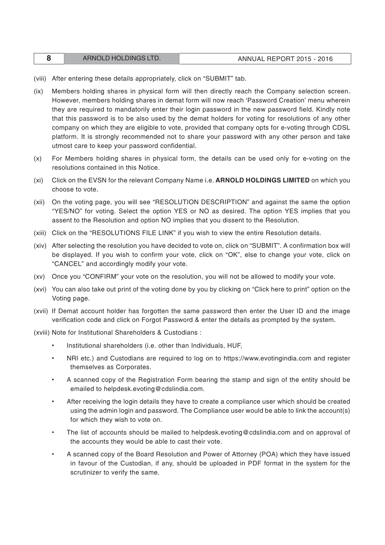| ARNOLD HOLDINGS LTD. | <b>ANNUAL REPORT 2015 - 2016</b> |
|----------------------|----------------------------------|
|                      |                                  |

(viii) After entering these details appropriately, click on "SUBMIT" tab.

- (ix) Members holding shares in physical form will then directly reach the Company selection screen. However, members holding shares in demat form will now reach 'Password Creation' menu wherein they are required to mandatorily enter their login password in the new password field. Kindly note that this password is to be also used by the demat holders for voting for resolutions of any other company on which they are eligible to vote, provided that company opts for e-voting through CDSL platform. It is strongly recommended not to share your password with any other person and take utmost care to keep your password confidential.
- (x) For Members holding shares in physical form, the details can be used only for e-voting on the resolutions contained in this Notice.
- (xi) Click on the EVSN for the relevant Company Name i.e. ARNOLD HOLDINGS LIMITED on which you choose to vote.
- (xii) On the voting page, you will see "RESOLUTION DESCRIPTION" and against the same the option "YES/NO" for voting. Select the option YES or NO as desired. The option YES implies that you assent to the Resolution and option NO implies that you dissent to the Resolution.
- (xiii) Click on the "RESOLUTIONS FILE LINK" if you wish to view the entire Resolution details.
- (xiv) After selecting the resolution you have decided to vote on, click on "SUBMIT". A confirmation box will be displayed. If you wish to confirm your vote, click on "OK", else to change your vote, click on "CANCEL" and accordingly modify your vote.
- (xv) Once you "CONFIRM" your vote on the resolution, you will not be allowed to modify your vote.
- (xvi) You can also take out print of the voting done by you by clicking on "Click here to print" option on the Voting page.
- (xvii) If Demat account holder has forgotten the same password then enter the User ID and the image verification code and click on Forgot Password & enter the details as prompted by the system.
- (xviii) Note for Institutional Shareholders & Custodians :
	- Institutional shareholders (i.e. other than Individuals, HUF,
	- NRI etc.) and Custodians are required to log on to https://www.evotingindia.com and register themselves as Corporates.
	- A scanned copy of the Registration Form bearing the stamp and sign of the entity should be emailed to helpdesk.evoting@cdslindia.com.
	- After receiving the login details they have to create a compliance user which should be created using the admin login and password. The Compliance user would be able to link the account(s) for which they wish to vote on.
	- The list of accounts should be mailed to helpdesk.evoting@cdslindia.com and on approval of the accounts they would be able to cast their vote.
	- A scanned copy of the Board Resolution and Power of Attorney (POA) which they have issued in favour of the Custodian, if any, should be uploaded in PDF format in the system for the scrutinizer to verify the same.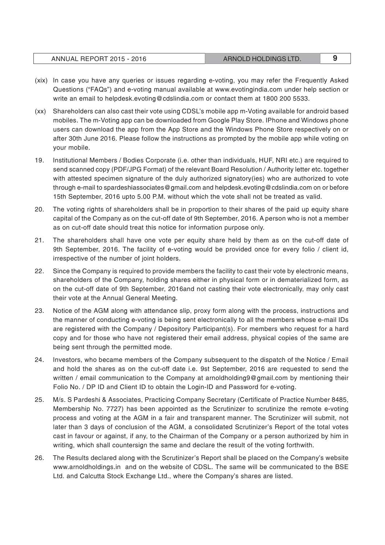| <b>ANNUAL REPORT 2015 - 2016</b> | ARNOLD HOLDINGS LTD. |  |
|----------------------------------|----------------------|--|
|----------------------------------|----------------------|--|

- (xix) In case you have any queries or issues regarding e-voting, you may refer the Frequently Asked Questions ("FAQs") and e-voting manual available at www.evotingindia.com under help section or write an email to helpdesk.evoting@cdslindia.com or contact them at 1800 200 5533.
- (xx) Shareholders can also cast their vote using CDSL's mobile app m-Voting available for android based mobiles. The m-Voting app can be downloaded from Google Play Store. IPhone and Windows phone users can download the app from the App Store and the Windows Phone Store respectively on or after 30th June 2016. Please follow the instructions as prompted by the mobile app while voting on your mobile.
- 19. Institutional Members / Bodies Corporate (i.e. other than individuals, HUF, NRI etc.) are required to send scanned copy (PDF/JPG Format) of the relevant Board Resolution / Authority letter etc. together with attested specimen signature of the duly authorized signatory(ies) who are authorized to vote through e-mail to spardeshiassociates@gmail.com and helpdesk.evoting@cdslindia.com on or before 15th September, 2016 upto 5.00 P.M. without which the vote shall not be treated as valid.
- 20. The voting rights of shareholders shall be in proportion to their shares of the paid up equity share capital of the Company as on the cut-off date of 9th September, 2016. A person who is not a member as on cut-off date should treat this notice for information purpose only.
- 21. The shareholders shall have one vote per equity share held by them as on the cut-off date of 9th September, 2016. The facility of e-voting would be provided once for every folio / client id, irrespective of the number of joint holders.
- 22. Since the Company is required to provide members the facility to cast their vote by electronic means, shareholders of the Company, holding shares either in physical form or in dematerialized form, as on the cut-off date of 9th September, 2016and not casting their vote electronically, may only cast their vote at the Annual General Meeting.
- 23. Notice of the AGM along with attendance slip, proxy form along with the process, instructions and the manner of conducting e-voting is being sent electronically to all the members whose e-mail IDs are registered with the Company / Depository Participant(s). For members who request for a hard copy and for those who have not registered their email address, physical copies of the same are being sent through the permitted mode.
- 24. Investors, who became members of the Company subsequent to the dispatch of the Notice / Email and hold the shares as on the cut-off date i.e. 9st September, 2016 are requested to send the written / email communication to the Company at arnoldholding9@gmail.com by mentioning their Folio No. / DP ID and Client ID to obtain the Login-ID and Password for e-voting.
- 25. M/s. S Pardeshi & Associates, Practicing Company Secretary (Certificate of Practice Number 8485, Membership No. 7727) has been appointed as the Scrutinizer to scrutinize the remote e-voting process and voting at the AGM in a fair and transparent manner. The Scrutinizer will submit, not later than 3 days of conclusion of the AGM, a consolidated Scrutinizer's Report of the total votes cast in favour or against, if any, to the Chairman of the Company or a person authorized by him in writing, which shall countersign the same and declare the result of the voting forthwith.
- 26. The Results declared along with the Scrutinizer's Report shall be placed on the Company's website www.arnoldholdings.in and on the website of CDSL. The same will be communicated to the BSE Ltd. and Calcutta Stock Exchange Ltd., where the Company's shares are listed.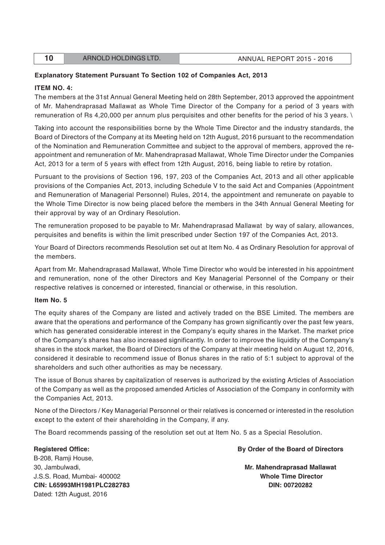| 10 | ARNOLD HOLDINGS LTD. | <b>ANNUAL REPORT 2015 - 2016</b> |
|----|----------------------|----------------------------------|
|----|----------------------|----------------------------------|

# Explanatory Statement Pursuant To Section 102 of Companies Act, 2013

# ITEM NO. 4:

The members at the 31st Annual General Meeting held on 28th September, 2013 approved the appointment of Mr. Mahendraprasad Mallawat as Whole Time Director of the Company for a period of 3 years with remuneration of Rs 4,20,000 per annum plus perquisites and other benefits for the period of his 3 years. \

Taking into account the responsibilities borne by the Whole Time Director and the industry standards, the Board of Directors of the Company at its Meeting held on 12th August, 2016 pursuant to the recommendation of the Nomination and Remuneration Committee and subject to the approval of members, approved the reappointment and remuneration of Mr. Mahendraprasad Mallawat, Whole Time Director under the Companies Act, 2013 for a term of 5 years with effect from 12th August, 2016, being liable to retire by rotation.

Pursuant to the provisions of Section 196, 197, 203 of the Companies Act, 2013 and all other applicable provisions of the Companies Act, 2013, including Schedule V to the said Act and Companies (Appointment and Remuneration of Managerial Personnel) Rules, 2014, the appointment and remunerate on payable to the Whole Time Director is now being placed before the members in the 34th Annual General Meeting for their approval by way of an Ordinary Resolution.

The remuneration proposed to be payable to Mr. Mahendraprasad Mallawat by way of salary, allowances, perquisites and benefits is within the limit prescribed under Section 197 of the Companies Act, 2013.

Your Board of Directors recommends Resolution set out at Item No. 4 as Ordinary Resolution for approval of the members.

Apart from Mr. Mahendraprasad Mallawat, Whole Time Director who would be interested in his appointment and remuneration, none of the other Directors and Key Managerial Personnel of the Company or their respective relatives is concerned or interested, financial or otherwise, in this resolution.

# Item No. 5

The equity shares of the Company are listed and actively traded on the BSE Limited. The members are aware that the operations and performance of the Company has grown significantly over the past few years, which has generated considerable interest in the Company's equity shares in the Market. The market price of the Company's shares has also increased significantly. In order to improve the liquidity of the Company's shares in the stock market, the Board of Directors of the Company at their meeting held on August 12, 2016, considered it desirable to recommend issue of Bonus shares in the ratio of 5:1 subject to approval of the shareholders and such other authorities as may be necessary.

The issue of Bonus shares by capitalization of reserves is authorized by the existing Articles of Association of the Company as well as the proposed amended Articles of Association of the Company in conformity with the Companies Act, 2013.

None of the Directors / Key Managerial Personnel or their relatives is concerned or interested in the resolution except to the extent of their shareholding in the Company, if any.

The Board recommends passing of the resolution set out at Item No. 5 as a Special Resolution.

B-208, Ramji House, 30, Jambulwadi, Mr. Mahendraprasad Mallawat J.S.S. Road, Mumbai- 400002 Whole Time Director CIN: L65993MH1981PLC282783 DIN: 00720282 Dated: 12th August, 2016

# Registered Office: By Order of the Board of Directors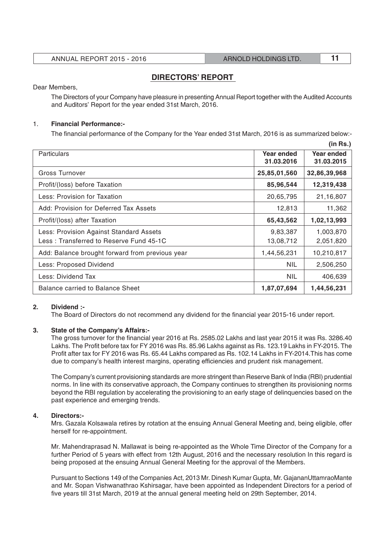|  | ANNUAL REPORT 2015 - 2016 |  |  |
|--|---------------------------|--|--|
|--|---------------------------|--|--|

 $\lim_{n \to \infty} \frac{1}{n}$ 

# DIRECTORS' REPORT

Dear Members,

The Directors of your Company have pleasure in presenting Annual Report together with the Audited Accounts and Auditors' Report for the year ended 31st March, 2016.

# 1. Financial Performance:-

The financial performance of the Company for the Year ended 31st March, 2016 is as summarized below:-

| <b>Particulars</b>                              | Year ended<br>31.03.2016 | Year ended<br>31.03.2015 |
|-------------------------------------------------|--------------------------|--------------------------|
| Gross Turnover                                  | 25,85,01,560             | 32,86,39,968             |
| Profit/(loss) before Taxation                   | 85,96,544                | 12,319,438               |
| Less: Provision for Taxation                    | 20,65,795                | 21,16,807                |
| Add: Provision for Deferred Tax Assets          | 12,813                   | 11,362                   |
| Profit/(loss) after Taxation                    | 65,43,562                | 1,02,13,993              |
| Less: Provision Against Standard Assets         | 9,83,387                 | 1,003,870                |
| Less: Transferred to Reserve Fund 45-1C         | 13,08,712                | 2,051,820                |
| Add: Balance brought forward from previous year | 1,44,56,231              | 10,210,817               |
| Less: Proposed Dividend                         | <b>NIL</b>               | 2,506,250                |
| Less: Dividend Tax                              | <b>NIL</b>               | 406,639                  |
| Balance carried to Balance Sheet                | 1,87,07,694              | 1,44,56,231              |

# 2. Dividend :-

The Board of Directors do not recommend any dividend for the financial year 2015-16 under report.

# 3. State of the Company's Affairs:-

The gross turnover for the financial year 2016 at Rs. 2585.02 Lakhs and last year 2015 it was Rs. 3286.40 Lakhs. The Profit before tax for FY 2016 was Rs. 85.96 Lakhs against as Rs. 123.19 Lakhs in FY-2015. The Profit after tax for FY 2016 was Rs. 65.44 Lakhs compared as Rs. 102.14 Lakhs in FY-2014.This has come due to company's health interest margins, operating efficiencies and prudent risk management.

The Company's current provisioning standards are more stringent than Reserve Bank of India (RBI) prudential norms. In line with its conservative approach, the Company continues to strengthen its provisioning norms beyond the RBI regulation by accelerating the provisioning to an early stage of delinquencies based on the past experience and emerging trends.

# 4. Directors:-

Mrs. Gazala Kolsawala retires by rotation at the ensuing Annual General Meeting and, being eligible, offer herself for re-appointment.

Mr. Mahendraprasad N. Mallawat is being re-appointed as the Whole Time Director of the Company for a further Period of 5 years with effect from 12th August, 2016 and the necessary resolution In this regard is being proposed at the ensuing Annual General Meeting for the approval of the Members.

Pursuant to Sections 149 of the Companies Act, 2013 Mr. Dinesh Kumar Gupta, Mr. GajananUttamraoMante and Mr. Sopan Vishwanathrao Kshirsagar, have been appointed as Independent Directors for a period of five years till 31st March, 2019 at the annual general meeting held on 29th September, 2014.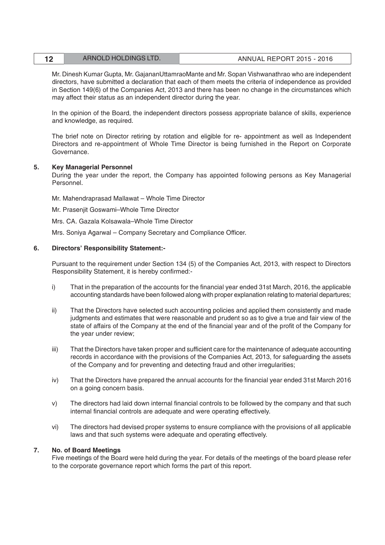|  | ARNOLD HOLDINGS LTD. | <b>ANNUAL REPORT 2015 - 2016</b> |
|--|----------------------|----------------------------------|
|--|----------------------|----------------------------------|

Mr. Dinesh Kumar Gupta, Mr. GajananUttamraoMante and Mr. Sopan Vishwanathrao who are independent directors, have submitted a declaration that each of them meets the criteria of independence as provided in Section 149(6) of the Companies Act, 2013 and there has been no change in the circumstances which may affect their status as an independent director during the year.

In the opinion of the Board, the independent directors possess appropriate balance of skills, experience and knowledge, as required.

The brief note on Director retiring by rotation and eligible for re- appointment as well as Independent Directors and re-appointment of Whole Time Director is being furnished in the Report on Corporate Governance.

# 5. Key Managerial Personnel

During the year under the report, the Company has appointed following persons as Key Managerial Personnel.

Mr. Mahendraprasad Mallawat – Whole Time Director

Mr. Prasenjit Goswami–Whole Time Director

Mrs. CA. Gazala Kolsawala–Whole Time Director

Mrs. Soniya Agarwal – Company Secretary and Compliance Officer.

# 6. Directors' Responsibility Statement:-

Pursuant to the requirement under Section 134 (5) of the Companies Act, 2013, with respect to Directors Responsibility Statement, it is hereby confirmed:-

- i) That in the preparation of the accounts for the financial year ended 31st March, 2016, the applicable accounting standards have been followed along with proper explanation relating to material departures;
- ii) That the Directors have selected such accounting policies and applied them consistently and made judgments and estimates that were reasonable and prudent so as to give a true and fair view of the state of affairs of the Company at the end of the financial year and of the profit of the Company for the year under review;
- iii) That the Directors have taken proper and sufficient care for the maintenance of adequate accounting records in accordance with the provisions of the Companies Act, 2013, for safeguarding the assets of the Company and for preventing and detecting fraud and other irregularities;
- iv) That the Directors have prepared the annual accounts for the financial year ended 31st March 2016 on a going concern basis.
- v) The directors had laid down internal financial controls to be followed by the company and that such internal financial controls are adequate and were operating effectively.
- vi) The directors had devised proper systems to ensure compliance with the provisions of all applicable laws and that such systems were adequate and operating effectively.

#### 7. No. of Board Meetings

Five meetings of the Board were held during the year. For details of the meetings of the board please refer to the corporate governance report which forms the part of this report.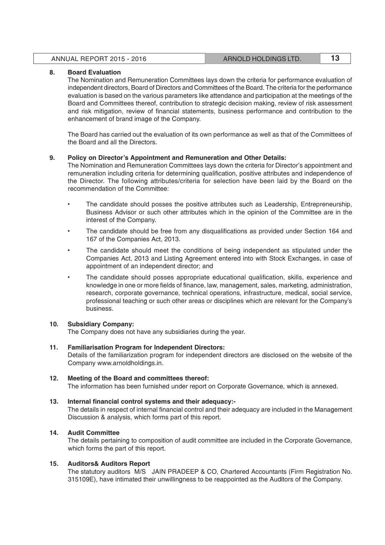| <b>ANNUAL REPORT 2015 - 2016</b> | ARNOLD HOLDINGS LTD. |  |
|----------------------------------|----------------------|--|
|----------------------------------|----------------------|--|

# 8. Board Evaluation

The Nomination and Remuneration Committees lays down the criteria for performance evaluation of independent directors, Board of Directors and Committees of the Board. The criteria for the performance evaluation is based on the various parameters like attendance and participation at the meetings of the Board and Committees thereof, contribution to strategic decision making, review of risk assessment and risk mitigation, review of financial statements, business performance and contribution to the enhancement of brand image of the Company.

The Board has carried out the evaluation of its own performance as well as that of the Committees of the Board and all the Directors.

# 9. Policy on Director's Appointment and Remuneration and Other Details:

The Nomination and Remuneration Committees lays down the criteria for Director's appointment and remuneration including criteria for determining qualification, positive attributes and independence of the Director. The following attributes/criteria for selection have been laid by the Board on the recommendation of the Committee:

- The candidate should posses the positive attributes such as Leadership, Entrepreneurship, Business Advisor or such other attributes which in the opinion of the Committee are in the interest of the Company.
- The candidate should be free from any disqualifications as provided under Section 164 and 167 of the Companies Act, 2013.
- The candidate should meet the conditions of being independent as stipulated under the Companies Act, 2013 and Listing Agreement entered into with Stock Exchanges, in case of appointment of an independent director; and
- The candidate should posses appropriate educational qualification, skills, experience and knowledge in one or more fields of finance, law, management, sales, marketing, administration, research, corporate governance, technical operations, infrastructure, medical, social service, professional teaching or such other areas or disciplines which are relevant for the Company's business.

# 10. Subsidiary Company:

The Company does not have any subsidiaries during the year.

# 11. Familiarisation Program for Independent Directors:

Details of the familiarization program for independent directors are disclosed on the website of the Company www.arnoldholdings.in.

# 12. Meeting of the Board and committees thereof:

The information has been furnished under report on Corporate Governance, which is annexed.

# 13. Internal financial control systems and their adequacy:-

The details in respect of internal financial control and their adequacy are included in the Management Discussion & analysis, which forms part of this report.

# 14. Audit Committee

The details pertaining to composition of audit committee are included in the Corporate Governance, which forms the part of this report.

# 15. Auditors& Auditors Report

The statutory auditors M/S JAIN PRADEEP & CO, Chartered Accountants (Firm Registration No. 315109E), have intimated their unwillingness to be reappointed as the Auditors of the Company.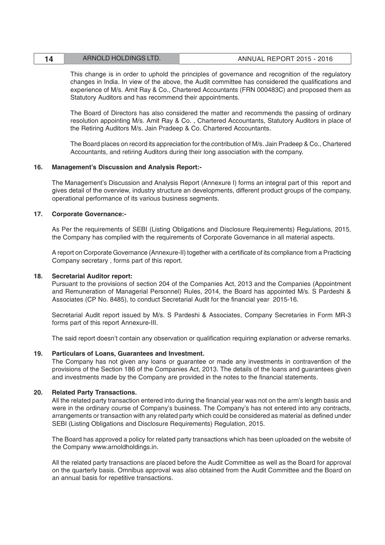|  | ARNOLD HOLDINGS LTD. | ANNUAL REPORT 2015 - 2016 |
|--|----------------------|---------------------------|
|--|----------------------|---------------------------|

This change is in order to uphold the principles of governance and recognition of the regulatory changes in India. In view of the above, the Audit committee has considered the qualifications and experience of M/s. Amit Ray & Co., Chartered Accountants (FRN 000483C) and proposed them as Statutory Auditors and has recommend their appointments.

The Board of Directors has also considered the matter and recommends the passing of ordinary resolution appointing M/s. Amit Ray & Co. , Chartered Accountants, Statutory Auditors in place of the Retiring Auditors M/s. Jain Pradeep & Co. Chartered Accountants.

The Board places on record its appreciation for the contribution of M/s. Jain Pradeep & Co., Chartered Accountants, and retiring Auditors during their long association with the company.

#### 16. Management's Discussion and Analysis Report:-

The Management's Discussion and Analysis Report (Annexure I) forms an integral part of this report and gives detail of the overview, industry structure an developments, different product groups of the company, operational performance of its various business segments.

# 17. Corporate Governance:-

As Per the requirements of SEBI (Listing Obligations and Disclosure Requirements) Regulations, 2015, the Company has complied with the requirements of Corporate Governance in all material aspects.

A report on Corporate Governance (Annexure-II) together with a certificate of its compliance from a Practicing Company secretary , forms part of this report.

#### 18. Secretarial Auditor report:

Pursuant to the provisions of section 204 of the Companies Act, 2013 and the Companies (Appointment and Remuneration of Managerial Personnel) Rules, 2014, the Board has appointed M/s. S Pardeshi & Associates (CP No. 8485), to conduct Secretarial Audit for the financial year 2015-16.

Secretarial Audit report issued by M/s. S Pardeshi & Associates, Company Secretaries in Form MR-3 forms part of this report Annexure-III.

The said report doesn't contain any observation or qualification requiring explanation or adverse remarks.

# 19. Particulars of Loans, Guarantees and Investment.

The Company has not given any loans or guarantee or made any investments in contravention of the provisions of the Section 186 of the Companies Act, 2013. The details of the loans and guarantees given and investments made by the Company are provided in the notes to the financial statements.

# 20. Related Party Transactions.

All the related party transaction entered into during the financial year was not on the arm's length basis and were in the ordinary course of Company's business. The Company's has not entered into any contracts, arrangements or transaction with any related party which could be considered as material as defined under SEBI (Listing Obligations and Disclosure Requirements) Regulation, 2015.

The Board has approved a policy for related party transactions which has been uploaded on the website of the Company www.arnoldholdings.in.

All the related party transactions are placed before the Audit Committee as well as the Board for approval on the quarterly basis. Omnibus approval was also obtained from the Audit Committee and the Board on an annual basis for repetitive transactions.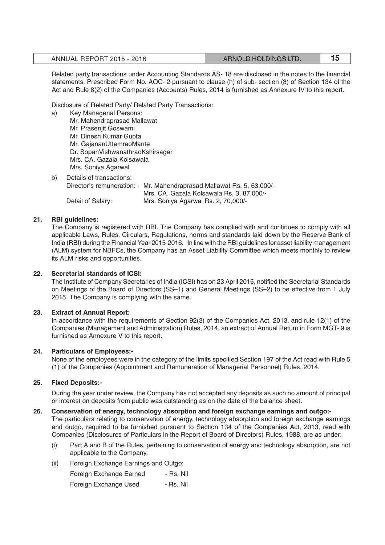| ARNOLD HOLDINGS LTD. |
|----------------------|

Related party transactions under Accounting Standards AS- 18 are disclosed in the notes to the financial statements. Prescribed Form No. AOC- 2 pursuant to clause (h) of sub- section (3) of Section 134 of the Act and Rule 8(2) of the Companies (Accounts) Rules, 2014 is furnished as Annexure IV to this report.

Disclosure of Related Party/ Related Party Transactions:

- a) Key Managerial Persons:
	- Mr. Mahendraprasad Mallawat Mr. Praseniit Goswami Mr. Dinesh Kumar Gupta Mr. GajananUttamraoMante Dr. SopanVishwanathraoKshirsagar Mrs. CA. Gazala Kolsawala Mrs. Soniya Agarwal
- b) Details of transactions: Director's remuneration: - Mr. Mahendraprasad Mallawat Rs. 5, 63,000/- Mrs. CA. Gazala Kolsawala Rs. 3, 87,000/- Detail of Salary: Mrs. Soniya Agarwal Rs. 2, 70,000/-

# 21. RBI guidelines:

The Company is registered with RBI. The Company has complied with and continues to comply with all applicable Laws, Rules, Circulars, Regulations, norms and standards laid down by the Reserve Bank of India (RBI) during the Financial Year 2015-2016. In line with the RBI guidelines for asset liability management (ALM) system for NBFCs, the Company has an Asset Liability Committee which meets monthly to review its ALM risks and opportunities.

#### 22. Secretarial standards of ICSI:

The Institute of Company Secretaries of India (ICSI) has on 23 April 2015, notified the Secretarial Standards on Meetings of the Board of Directors (SS–1) and General Meetings (SS–2) to be effective from 1 July 2015. The Company is complying with the same.

#### 23. Extract of Annual Report:

In accordance with the requirements of Section 92(3) of the Companies Act, 2013, and rule 12(1) of the Companies (Management and Administration) Rules, 2014, an extract of Annual Return in Form MGT- 9 is furnished as Annexure V to this report.

#### 24. Particulars of Employees:-

None of the employees were in the category of the limits specified Section 197 of the Act read with Rule 5 (1) of the Companies (Appointment and Remuneration of Managerial Personnel) Rules, 2014.

# 25. Fixed Deposits:-

During the year under review, the Company has not accepted any deposits as such no amount of principal or interest on deposits from public was outstanding as on the date of the balance sheet.

# 26. Conservation of energy, technology absorption and foreign exchange earnings and outgo:-

The particulars relating to conservation of energy, technology absorption and foreign exchange earnings and outgo, required to be furnished pursuant to Section 134 of the Companies Act, 2013, read with Companies (Disclosures of Particulars in the Report of Board of Directors) Rules, 1988, are as under:

- (i) Part A and B of the Rules, pertaining to conservation of energy and technology absorption, are not applicable to the Company.
- (ii) Foreign Exchange Earnings and Outgo:
	- Foreign Exchange Earned Rs. Nil

Foreign Exchange Used - Rs. Nil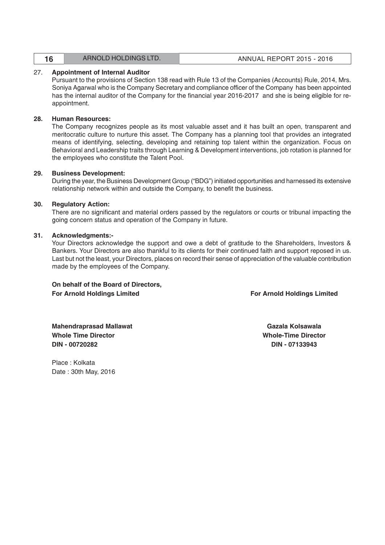|  | ARNOLD HOLDINGS LTD. | <b>ANNUAL REPORT 2015 - 2016</b> |
|--|----------------------|----------------------------------|
|--|----------------------|----------------------------------|

# 27. Appointment of Internal Auditor

Pursuant to the provisions of Section 138 read with Rule 13 of the Companies (Accounts) Rule, 2014, Mrs. Soniya Agarwal who is the Company Secretary and compliance officer of the Company has been appointed has the internal auditor of the Company for the financial year 2016-2017 and she is being eligible for reappointment.

# 28. Human Resources:

The Company recognizes people as its most valuable asset and it has built an open, transparent and meritocratic culture to nurture this asset. The Company has a planning tool that provides an integrated means of identifying, selecting, developing and retaining top talent within the organization. Focus on Behavioral and Leadership traits through Learning & Development interventions, job rotation is planned for the employees who constitute the Talent Pool.

# 29. Business Development:

During the year, the Business Development Group ("BDG") initiated opportunities and harnessed its extensive relationship network within and outside the Company, to benefit the business.

# 30. Regulatory Action:

There are no significant and material orders passed by the regulators or courts or tribunal impacting the going concern status and operation of the Company in future.

# 31. Acknowledgments:-

Your Directors acknowledge the support and owe a debt of gratitude to the Shareholders, Investors & Bankers. Your Directors are also thankful to its clients for their continued faith and support reposed in us. Last but not the least, your Directors, places on record their sense of appreciation of the valuable contribution made by the employees of the Company.

# On behalf of the Board of Directors, For Arnold Holdings Limited **For Arnold Holdings Limited** For Arnold Holdings Limited

Mahendraprasad Mallawat Gazala Kolsawala Whole Time Director Whole-Time Director DIN - 00720282 DIN - 07133943

Place : Kolkata Date : 30th May, 2016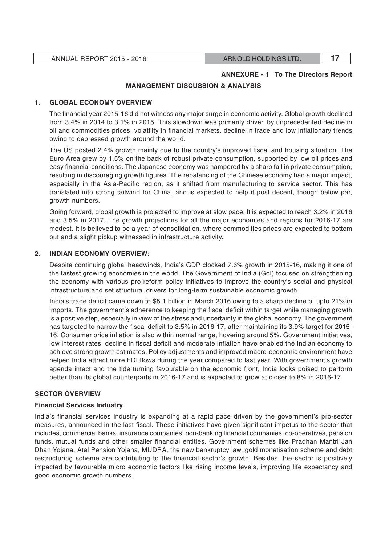| <b>ANNUAL REPORT 2015 - 2016</b> | ARNOLD HOLDINGS LTD. |  |
|----------------------------------|----------------------|--|
|----------------------------------|----------------------|--|

#### ANNEXURE - 1 To The Directors Report

# MANAGEMENT DISCUSSION & ANALYSIS

# 1. GLOBAL ECONOMY OVERVIEW

The financial year 2015-16 did not witness any major surge in economic activity. Global growth declined from 3.4% in 2014 to 3.1% in 2015. This slowdown was primarily driven by unprecedented decline in oil and commodities prices, volatility in financial markets, decline in trade and low inflationary trends owing to depressed growth around the world.

The US posted 2.4% growth mainly due to the country's improved fiscal and housing situation. The Euro Area grew by 1.5% on the back of robust private consumption, supported by low oil prices and easy financial conditions. The Japanese economy was hampered by a sharp fall in private consumption, resulting in discouraging growth figures. The rebalancing of the Chinese economy had a major impact, especially in the Asia-Pacific region, as it shifted from manufacturing to service sector. This has translated into strong tailwind for China, and is expected to help it post decent, though below par, growth numbers.

Going forward, global growth is projected to improve at slow pace. It is expected to reach 3.2% in 2016 and 3.5% in 2017. The growth projections for all the major economies and regions for 2016-17 are modest. It is believed to be a year of consolidation, where commodities prices are expected to bottom out and a slight pickup witnessed in infrastructure activity.

# 2. INDIAN ECONOMY OVERVIEW:

Despite continuing global headwinds, India's GDP clocked 7.6% growth in 2015-16, making it one of the fastest growing economies in the world. The Government of India (GoI) focused on strengthening the economy with various pro-reform policy initiatives to improve the country's social and physical infrastructure and set structural drivers for long-term sustainable economic growth.

India's trade deficit came down to \$5.1 billion in March 2016 owing to a sharp decline of upto 21% in imports. The government's adherence to keeping the fiscal deficit within target while managing growth is a positive step, especially in view of the stress and uncertainty in the global economy. The government has targeted to narrow the fiscal deficit to 3.5% in 2016-17, after maintaining its 3.9% target for 2015- 16. Consumer price inflation is also within normal range, hovering around 5%. Government initiatives, low interest rates, decline in fiscal deficit and moderate inflation have enabled the Indian economy to achieve strong growth estimates. Policy adjustments and improved macro-economic environment have helped India attract more FDI flows during the year compared to last year. With government's growth agenda intact and the tide turning favourable on the economic front, India looks poised to perform better than its global counterparts in 2016-17 and is expected to grow at closer to 8% in 2016-17.

#### SECTOR OVERVIEW

#### Financial Services Industry

India's financial services industry is expanding at a rapid pace driven by the government's pro-sector measures, announced in the last fiscal. These initiatives have given significant impetus to the sector that includes, commercial banks, insurance companies, non-banking financial companies, co-operatives, pension funds, mutual funds and other smaller financial entities. Government schemes like Pradhan Mantri Jan Dhan Yojana, Atal Pension Yojana, MUDRA, the new bankruptcy law, gold monetisation scheme and debt restructuring scheme are contributing to the financial sector's growth. Besides, the sector is positively impacted by favourable micro economic factors like rising income levels, improving life expectancy and good economic growth numbers.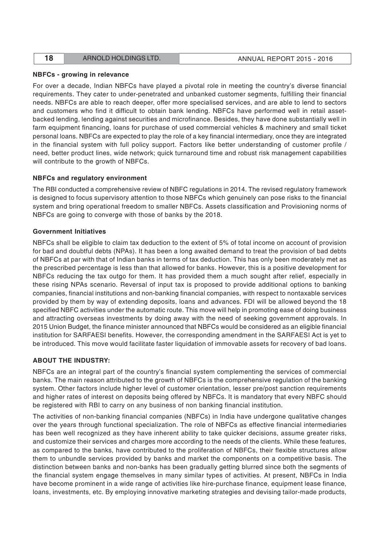| ARNOLD HOLDINGS LTD. | <b>ANNUAL REPORT 2015 - 2016</b> |
|----------------------|----------------------------------|
|                      |                                  |

# NBFCs - growing in relevance

For over a decade, Indian NBFCs have played a pivotal role in meeting the country's diverse financial requirements. They cater to under-penetrated and unbanked customer segments, fulfilling their financial needs. NBFCs are able to reach deeper, offer more specialised services, and are able to lend to sectors and customers who find it difficult to obtain bank lending. NBFCs have performed well in retail assetbacked lending, lending against securities and microfinance. Besides, they have done substantially well in farm equipment financing, loans for purchase of used commercial vehicles & machinery and small ticket personal loans. NBFCs are expected to play the role of a key financial intermediary, once they are integrated in the financial system with full policy support. Factors like better understanding of customer profile / need, better product lines, wide network; quick turnaround time and robust risk management capabilities will contribute to the growth of NBFCs.

# NBFCs and regulatory environment

The RBI conducted a comprehensive review of NBFC regulations in 2014. The revised regulatory framework is designed to focus supervisory attention to those NBFCs which genuinely can pose risks to the financial system and bring operational freedom to smaller NBFCs. Assets classification and Provisioning norms of NBFCs are going to converge with those of banks by the 2018.

# Government Initiatives

NBFCs shall be eligible to claim tax deduction to the extent of 5% of total income on account of provision for bad and doubtful debts (NPAs). It has been a long awaited demand to treat the provision of bad debts of NBFCs at par with that of Indian banks in terms of tax deduction. This has only been moderately met as the prescribed percentage is less than that allowed for banks. However, this is a positive development for NBFCs reducing the tax outgo for them. It has provided them a much sought after relief, especially in these rising NPAs scenario. Reversal of input tax is proposed to provide additional options to banking companies, financial institutions and non-banking financial companies, with respect to nontaxable services provided by them by way of extending deposits, loans and advances. FDI will be allowed beyond the 18 specified NBFC activities under the automatic route. This move will help in promoting ease of doing business and attracting overseas investments by doing away with the need of seeking government approvals. In 2015 Union Budget, the finance minister announced that NBFCs would be considered as an eligible financial institution for SARFAESI benefits. However, the corresponding amendment in the SARFAESI Act is yet to be introduced. This move would facilitate faster liquidation of immovable assets for recovery of bad loans.

# ABOUT THE INDUSTRY:

NBFCs are an integral part of the country's financial system complementing the services of commercial banks. The main reason attributed to the growth of NBFCs is the comprehensive regulation of the banking system. Other factors include higher level of customer orientation, lesser pre/post sanction requirements and higher rates of interest on deposits being offered by NBFCs. It is mandatory that every NBFC should be registered with RBI to carry on any business of non banking financial institution.

The activities of non-banking financial companies (NBFCs) in India have undergone qualitative changes over the years through functional specialization. The role of NBFCs as effective financial intermediaries has been well recognized as they have inherent ability to take quicker decisions, assume greater risks, and customize their services and charges more according to the needs of the clients. While these features, as compared to the banks, have contributed to the proliferation of NBFCs, their flexible structures allow them to unbundle services provided by banks and market the components on a competitive basis. The distinction between banks and non-banks has been gradually getting blurred since both the segments of the financial system engage themselves in many similar types of activities. At present, NBFCs in India have become prominent in a wide range of activities like hire-purchase finance, equipment lease finance, loans, investments, etc. By employing innovative marketing strategies and devising tailor-made products,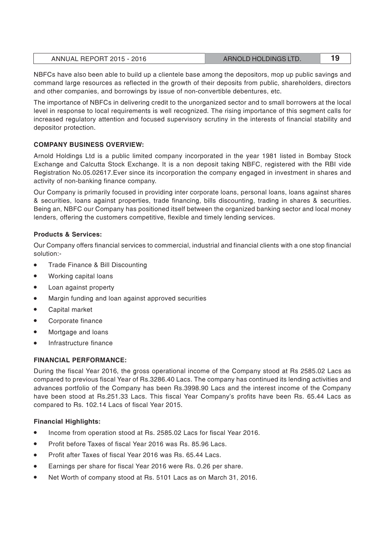| ANNUAL REPORT 2015 - 2016 | ARNOLD HOLDINGS LTD. |  |
|---------------------------|----------------------|--|
|---------------------------|----------------------|--|

NBFCs have also been able to build up a clientele base among the depositors, mop up public savings and command large resources as reflected in the growth of their deposits from public, shareholders, directors and other companies, and borrowings by issue of non-convertible debentures, etc.

The importance of NBFCs in delivering credit to the unorganized sector and to small borrowers at the local level in response to local requirements is well recognized. The rising importance of this segment calls for increased regulatory attention and focused supervisory scrutiny in the interests of financial stability and depositor protection.

# COMPANY BUSINESS OVERVIEW:

Arnold Holdings Ltd is a public limited company incorporated in the year 1981 listed in Bombay Stock Exchange and Calcutta Stock Exchange. It is a non deposit taking NBFC, registered with the RBI vide Registration No.05.02617.Ever since its incorporation the company engaged in investment in shares and activity of non-banking finance company.

Our Company is primarily focused in providing inter corporate loans, personal loans, loans against shares & securities, loans against properties, trade financing, bills discounting, trading in shares & securities. Being an, NBFC our Company has positioned itself between the organized banking sector and local money lenders, offering the customers competitive, flexible and timely lending services.

# Products & Services:

Our Company offers financial services to commercial, industrial and financial clients with a one stop financial solution:-

- Trade Finance & Bill Discounting
- Working capital loans
- Loan against property
- Margin funding and loan against approved securities
- Capital market
- Corporate finance
- Mortgage and loans
- Infrastructure finance

# FINANCIAL PERFORMANCE:

During the fiscal Year 2016, the gross operational income of the Company stood at Rs 2585.02 Lacs as compared to previous fiscal Year of Rs.3286.40 Lacs. The company has continued its lending activities and advances portfolio of the Company has been Rs.3998.90 Lacs and the interest income of the Company have been stood at Rs.251.33 Lacs. This fiscal Year Company's profits have been Rs. 65.44 Lacs as compared to Rs. 102.14 Lacs of fiscal Year 2015.

# Financial Highlights:

- Income from operation stood at Rs. 2585.02 Lacs for fiscal Year 2016.
- Profit before Taxes of fiscal Year 2016 was Rs. 85.96 Lacs.
- Profit after Taxes of fiscal Year 2016 was Rs. 65.44 Lacs.
- Earnings per share for fiscal Year 2016 were Rs. 0.26 per share.
- Net Worth of company stood at Rs. 5101 Lacs as on March 31, 2016.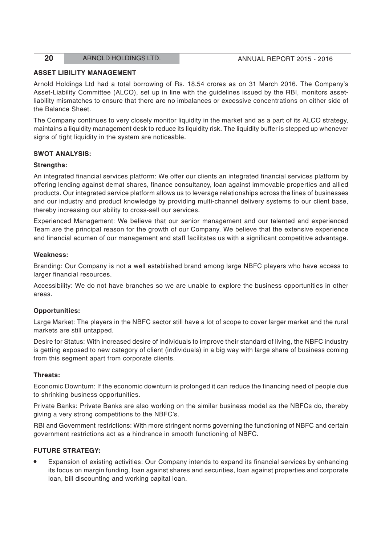| 20 | ARNOLD HOLDINGS LTD. | <b>ANNUAL REPORT 2015 - 2016</b> |
|----|----------------------|----------------------------------|
|----|----------------------|----------------------------------|

# ASSET LIBILITY MANAGEMENT

Arnold Holdings Ltd had a total borrowing of Rs. 18.54 crores as on 31 March 2016. The Company's Asset-Liability Committee (ALCO), set up in line with the guidelines issued by the RBI, monitors assetliability mismatches to ensure that there are no imbalances or excessive concentrations on either side of the Balance Sheet.

The Company continues to very closely monitor liquidity in the market and as a part of its ALCO strategy, maintains a liquidity management desk to reduce its liquidity risk. The liquidity buffer is stepped up whenever signs of tight liquidity in the system are noticeable.

# SWOT ANALYSIS:

# Strengths:

An integrated financial services platform: We offer our clients an integrated financial services platform by offering lending against demat shares, finance consultancy, loan against immovable properties and allied products. Our integrated service platform allows us to leverage relationships across the lines of businesses and our industry and product knowledge by providing multi-channel delivery systems to our client base, thereby increasing our ability to cross-sell our services.

Experienced Management: We believe that our senior management and our talented and experienced Team are the principal reason for the growth of our Company. We believe that the extensive experience and financial acumen of our management and staff facilitates us with a significant competitive advantage.

# Weakness:

Branding: Our Company is not a well established brand among large NBFC players who have access to larger financial resources.

Accessibility: We do not have branches so we are unable to explore the business opportunities in other areas.

# Opportunities:

Large Market: The players in the NBFC sector still have a lot of scope to cover larger market and the rural markets are still untapped.

Desire for Status: With increased desire of individuals to improve their standard of living, the NBFC industry is getting exposed to new category of client (individuals) in a big way with large share of business coming from this segment apart from corporate clients.

# Threats:

Economic Downturn: If the economic downturn is prolonged it can reduce the financing need of people due to shrinking business opportunities.

Private Banks: Private Banks are also working on the similar business model as the NBFCs do, thereby giving a very strong competitions to the NBFC's.

RBI and Government restrictions: With more stringent norms governing the functioning of NBFC and certain government restrictions act as a hindrance in smooth functioning of NBFC.

# FUTURE STRATEGY:

 Expansion of existing activities: Our Company intends to expand its financial services by enhancing its focus on margin funding, loan against shares and securities, loan against properties and corporate loan, bill discounting and working capital loan.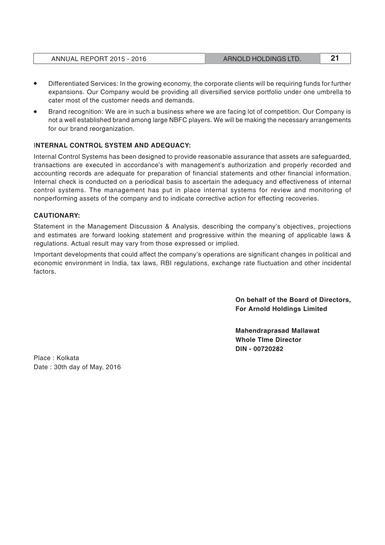| <b>ANNUAL REPORT 2015 - 2016</b> | ARNOLD HOLDINGS LTD. |  |
|----------------------------------|----------------------|--|
|----------------------------------|----------------------|--|

- Differentiated Services: In the growing economy, the corporate clients will be requiring funds for further expansions. Our Company would be providing all diversified service portfolio under one umbrella to cater most of the customer needs and demands.
- Brand recognition: We are in such a business where we are facing lot of competition. Our Company is not a well established brand among large NBFC players. We will be making the necessary arrangements for our brand reorganization.

# INTERNAL CONTROL SYSTEM AND ADEQUACY:

Internal Control Systems has been designed to provide reasonable assurance that assets are safeguarded, transactions are executed in accordance's with management's authorization and properly recorded and accounting records are adequate for preparation of financial statements and other financial information. Internal check is conducted on a periodical basis to ascertain the adequacy and effectiveness of internal control systems. The management has put in place internal systems for review and monitoring of nonperforming assets of the company and to indicate corrective action for effecting recoveries.

# CAUTIONARY:

Statement in the Management Discussion & Analysis, describing the company's objectives, projections and estimates are forward looking statement and progressive within the meaning of applicable laws & regulations. Actual result may vary from those expressed or implied.

Important developments that could affect the company's operations are significant changes in political and economic environment in India, tax laws, RBI regulations, exchange rate fluctuation and other incidental factors.

> On behalf of the Board of Directors, For Arnold Holdings Limited

Mahendraprasad Mallawat Whole TIme Director DIN - 00720282

Place : Kolkata Date : 30th day of May, 2016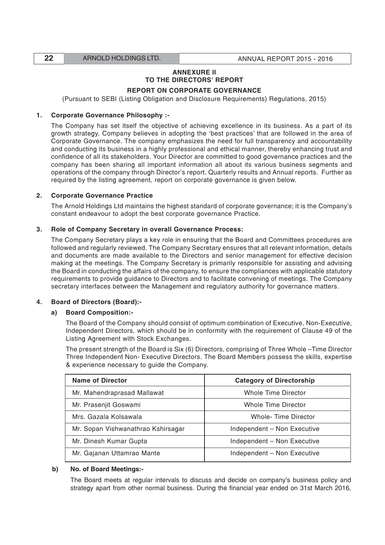# ANNEXURE II TO THE DIRECTORS' REPORT

# REPORT ON CORPORATE GOVERNANCE

(Pursuant to SEBI (Listing Obligation and Disclosure Requirements) Regulations, 2015)

#### 1. Corporate Governance Philosophy :-

The Company has set itself the objective of achieving excellence in its business. As a part of its growth strategy, Company believes in adopting the 'best practices' that are followed in the area of Corporate Governance. The company emphasizes the need for full transparency and accountability and conducting its business in a highly professional and ethical manner, thereby enhancing trust and confidence of all its stakeholders. Your Director are committed to good governance practices and the company has been sharing all important information all about its various business segments and operations of the company through Director's report, Quarterly results and Annual reports. Further as required by the listing agreement, report on corporate governance is given below.

#### 2. Corporate Governance Practice

The Arnold Holdings Ltd maintains the highest standard of corporate governance; it is the Company's constant endeavour to adopt the best corporate governance Practice.

#### 3. Role of Company Secretary in overall Governance Process:

The Company Secretary plays a key role in ensuring that the Board and Committees procedures are followed and regularly reviewed. The Company Secretary ensures that all relevant information, details and documents are made available to the Directors and senior management for effective decision making at the meetings. The Company Secretary is primarily responsible for assisting and advising the Board in conducting the affairs of the company, to ensure the compliances with applicable statutory requirements to provide guidance to Directors and to facilitate convening of meetings. The Company secretary interfaces between the Management and regulatory authority for governance matters.

#### 4. Board of Directors (Board):-

#### a) Board Composition:-

The Board of the Company should consist of optimum combination of Executive, Non-Executive, Independent Directors, which should be in conformity with the requirement of Clause 49 of the Listing Agreement with Stock Exchanges.

The present strength of the Board is Six (6) Directors, comprising of Three Whole –Time Director Three Independent Non- Executive Directors. The Board Members possess the skills, expertise & experience necessary to guide the Company.

| <b>Name of Director</b>            | <b>Category of Directorship</b> |  |  |
|------------------------------------|---------------------------------|--|--|
| Mr. Mahendraprasad Mallawat        | Whole Time Director             |  |  |
| Mr. Prasenjit Goswami              | Whole Time Director             |  |  |
| Mrs. Gazala Kolsawala              | Whole-Time Director             |  |  |
| Mr. Sopan Vishwanathrao Kshirsagar | Independent - Non Executive     |  |  |
| Mr. Dinesh Kumar Gupta             | Independent - Non Executive     |  |  |
| Mr. Gajanan Uttamrao Mante         | Independent - Non Executive     |  |  |

#### b) No. of Board Meetings:-

The Board meets at regular intervals to discuss and decide on company's business policy and strategy apart from other normal business. During the financial year ended on 31st March 2016,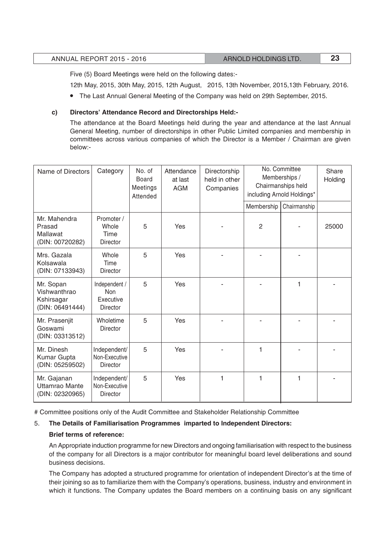| ANNUAL REPORT 2015 - 2016 | 23<br>ARNOLD HOLDINGS LTD. |  |
|---------------------------|----------------------------|--|
|---------------------------|----------------------------|--|

Five (5) Board Meetings were held on the following dates:-

12th May, 2015, 30th May, 2015, 12th August, 2015, 13th November, 2015,13th February, 2016.

The Last Annual General Meeting of the Company was held on 29th September, 2015.

# c) Directors' Attendance Record and Directorships Held:-

The attendance at the Board Meetings held during the year and attendance at the last Annual General Meeting, number of directorships in other Public Limited companies and membership in committees across various companies of which the Director is a Member / Chairman are given below:-

| Name of Directors                                          | Category                                         | No. of<br><b>Board</b><br>Meetings<br>Attended | Attendance<br>at last<br><b>AGM</b> | Directorship<br>held in other<br>Companies |                | No. Committee<br>Memberships /<br>Chairmanships held<br>including Arnold Holdings* | Share<br>Holding |
|------------------------------------------------------------|--------------------------------------------------|------------------------------------------------|-------------------------------------|--------------------------------------------|----------------|------------------------------------------------------------------------------------|------------------|
|                                                            |                                                  |                                                |                                     |                                            | Membership     | Chairmanship                                                                       |                  |
| Mr. Mahendra<br>Prasad<br>Mallawat<br>(DIN: 00720282)      | Promoter /<br>Whole<br>Time<br><b>Director</b>   | 5                                              | Yes                                 |                                            | $\overline{2}$ |                                                                                    | 25000            |
| Mrs. Gazala<br>Kolsawala<br>(DIN: 07133943)                | Whole<br>Time<br><b>Director</b>                 | 5                                              | Yes                                 |                                            |                |                                                                                    |                  |
| Mr. Sopan<br>Vishwanthrao<br>Kshirsagar<br>(DIN: 06491444) | Independent /<br>Non<br>Executive<br>Director    | 5                                              | Yes                                 |                                            |                | 1                                                                                  |                  |
| Mr. Prasenjit<br>Goswami<br>(DIN: 03313512)                | Wholetime<br>Director                            | 5                                              | Yes                                 |                                            |                |                                                                                    |                  |
| Mr. Dinesh<br>Kumar Gupta<br>(DIN: 05259502)               | Independent/<br>Non-Executive<br><b>Director</b> | 5                                              | Yes                                 |                                            | 1              |                                                                                    |                  |
| Mr. Gajanan<br>Uttamrao Mante<br>(DIN: 02320965)           | Independent/<br>Non-Executive<br><b>Director</b> | 5                                              | Yes                                 | 1                                          | 1              | $\mathbf{1}$                                                                       |                  |

# Committee positions only of the Audit Committee and Stakeholder Relationship Committee

# 5. The Details of Familiarisation Programmes imparted to Independent Directors:

# Brief terms of reference:

An Appropriate induction programme for new Directors and ongoing familiarisation with respect to the business of the company for all Directors is a major contributor for meaningful board level deliberations and sound business decisions.

The Company has adopted a structured programme for orientation of independent Director's at the time of their joining so as to familiarize them with the Company's operations, business, industry and environment in which it functions. The Company updates the Board members on a continuing basis on any significant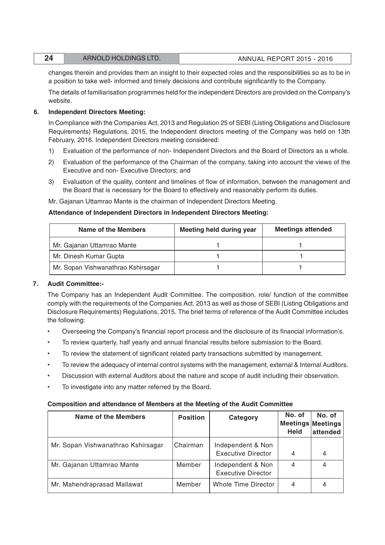|  | ARNOLD HOLDINGS LTD. | <b>ANNUAL REPORT 2015 - 2016</b> |
|--|----------------------|----------------------------------|
|--|----------------------|----------------------------------|

changes therein and provides them an insight to their expected roles and the responsibilities so as to be in a position to take well- informed and timely decisions and contribute significantly to the Company.

The details of familiarisation programmes held for the independent Directors are provided on the Company's website.

# 6. Independent Directors Meeting:

In Compliance with the Companies Act, 2013 and Regulation 25 of SEBI (Listing Obligations and Disclosure Requirements) Regulations, 2015, the Independent directors meeting of the Company was held on 13th February, 2016. Independent Directors meeting considered:

- 1) Evaluation of the performance of non- Independent Directors and the Board of Directors as a whole.
- 2) Evaluation of the performance of the Chairman of the company, taking into account the views of the Executive and non- Executive Directors; and
- 3) Evaluation of the quality, content and timelines of flow of information, between the management and the Board that is necessary for the Board to effectively and reasonably perform its duties.

Mr. Gajanan Uttamrao Mante is the chairman of Independent Directors Meeting.

# Attendance of Independent Directors in Independent Directors Meeting:

| Name of the Members                | Meeting held during year | <b>Meetings attended</b> |
|------------------------------------|--------------------------|--------------------------|
| Mr. Gajanan Uttamrao Mante         |                          |                          |
| Mr. Dinesh Kumar Gupta             |                          |                          |
| Mr. Sopan Vishwanathrao Kshirsagar |                          |                          |

# 7. Audit Committee:-

The Company has an Independent Audit Committee. The composition, role/ function of the committee comply with the requirements of the Companies Act, 2013 as well as those of SEBI (Listing Obligations and Disclosure Requirements) Regulations, 2015. The brief terms of reference of the Audit Committee includes the following:

- Overseeing the Company's financial report process and the disclosure of its financial information's.
- To review quarterly, half yearly and annual financial results before submission to the Board.
- To review the statement of significant related party transactions submitted by management.
- To review the adequacy of internal control systems with the management, external & Internal Auditors.
- Discussion with external Auditors about the nature and scope of audit including their observation.
- To investigate into any matter referred by the Board.

# Composition and attendance of Members at the Meeting of the Audit Committee

| Name of the Members                | <b>Position</b> | Category                                       | No. of<br><b>Held</b> | No. of<br><b>Meetings Meetings</b><br>attended |
|------------------------------------|-----------------|------------------------------------------------|-----------------------|------------------------------------------------|
| Mr. Sopan Vishwanathrao Kshirsagar | Chairman        | Independent & Non<br><b>Executive Director</b> | 4                     | $\overline{4}$                                 |
| Mr. Gajanan Uttamrao Mante         | Member          | Independent & Non<br><b>Executive Director</b> | $\overline{4}$        | 4                                              |
| Mr. Mahendraprasad Mallawat        | Member          | Whole Time Director                            | 4                     | 4                                              |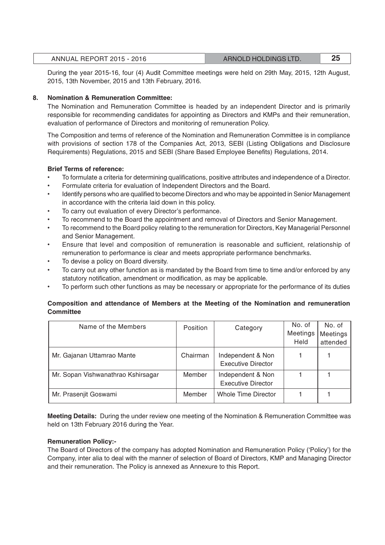| ANNUAL REPORT 2015 - 2016 | ARNOLD HOLDINGS LTD. | 25 |
|---------------------------|----------------------|----|
|---------------------------|----------------------|----|

During the year 2015-16, four (4) Audit Committee meetings were held on 29th May, 2015, 12th August, 2015, 13th November, 2015 and 13th February, 2016.

# 8. Nomination & Remuneration Committee:

The Nomination and Remuneration Committee is headed by an independent Director and is primarily responsible for recommending candidates for appointing as Directors and KMPs and their remuneration, evaluation of performance of Directors and monitoring of remuneration Policy.

The Composition and terms of reference of the Nomination and Remuneration Committee is in compliance with provisions of section 178 of the Companies Act, 2013, SEBI (Listing Obligations and Disclosure Requirements) Regulations, 2015 and SEBI (Share Based Employee Benefits) Regulations, 2014.

# Brief Terms of reference:

- To formulate a criteria for determining qualifications, positive attributes and independence of a Director.
- Formulate criteria for evaluation of Independent Directors and the Board.
- Identify persons who are qualified to become Directors and who may be appointed in Senior Management in accordance with the criteria laid down in this policy.
- To carry out evaluation of every Director's performance.
- To recommend to the Board the appointment and removal of Directors and Senior Management.
- To recommend to the Board policy relating to the remuneration for Directors, Key Managerial Personnel and Senior Management.
- Ensure that level and composition of remuneration is reasonable and sufficient, relationship of remuneration to performance is clear and meets appropriate performance benchmarks.
- To devise a policy on Board diversity.
- To carry out any other function as is mandated by the Board from time to time and/or enforced by any statutory notification, amendment or modification, as may be applicable.
- To perform such other functions as may be necessary or appropriate for the performance of its duties

# Composition and attendance of Members at the Meeting of the Nomination and remuneration **Committee**

| Name of the Members                | Position | Category                                       | No. of<br>Meetings<br>Held | No. of<br>Meetings<br>attended |
|------------------------------------|----------|------------------------------------------------|----------------------------|--------------------------------|
| Mr. Gajanan Uttamrao Mante         | Chairman | Independent & Non<br><b>Executive Director</b> |                            |                                |
| Mr. Sopan Vishwanathrao Kshirsagar | Member   | Independent & Non<br><b>Executive Director</b> |                            |                                |
| Mr. Prasenjit Goswami              | Member   | <b>Whole Time Director</b>                     |                            |                                |

Meeting Details: During the under review one meeting of the Nomination & Remuneration Committee was held on 13th February 2016 during the Year.

# Remuneration Policy:-

The Board of Directors of the company has adopted Nomination and Remuneration Policy ('Policy') for the Company, inter alia to deal with the manner of selection of Board of Directors, KMP and Managing Director and their remuneration. The Policy is annexed as Annexure to this Report.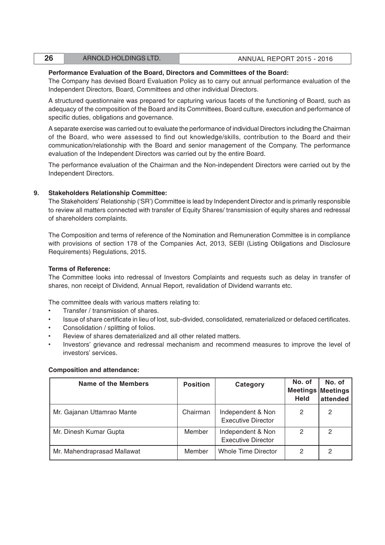#### ARNOLD HOLDINGS LTD. **ANNUAL REPORT 2015 - 2016** 26

# Performance Evaluation of the Board, Directors and Committees of the Board:

The Company has devised Board Evaluation Policy as to carry out annual performance evaluation of the Independent Directors, Board, Committees and other individual Directors.

A structured questionnaire was prepared for capturing various facets of the functioning of Board, such as adequacy of the composition of the Board and its Committees, Board culture, execution and performance of specific duties, obligations and governance.

A separate exercise was carried out to evaluate the performance of individual Directors including the Chairman of the Board, who were assessed to find out knowledge/skills, contribution to the Board and their communication/relationship with the Board and senior management of the Company. The performance evaluation of the Independent Directors was carried out by the entire Board.

The performance evaluation of the Chairman and the Non-independent Directors were carried out by the Independent Directors.

# 9. Stakeholders Relationship Committee:

The Stakeholders' Relationship ('SR') Committee is lead by Independent Director and is primarily responsible to review all matters connected with transfer of Equity Shares/ transmission of equity shares and redressal of shareholders complaints.

The Composition and terms of reference of the Nomination and Remuneration Committee is in compliance with provisions of section 178 of the Companies Act, 2013, SEBI (Listing Obligations and Disclosure Requirements) Regulations, 2015.

# Terms of Reference:

The Committee looks into redressal of Investors Complaints and requests such as delay in transfer of shares, non receipt of Dividend, Annual Report, revalidation of Dividend warrants etc.

The committee deals with various matters relating to:

- Transfer / transmission of shares.
- Issue of share certificate in lieu of lost, sub-divided, consolidated, rematerialized or defaced certificates.
- Consolidation / splitting of folios.
- Review of shares dematerialized and all other related matters.
- Investors' grievance and redressal mechanism and recommend measures to improve the level of investors' services.

#### Composition and attendance:

| Name of the Members         | <b>Position</b> | Category                                       | No. of<br><b>Meetings Meetings</b><br><b>Held</b> | No. of<br>attended |
|-----------------------------|-----------------|------------------------------------------------|---------------------------------------------------|--------------------|
| Mr. Gajanan Uttamrao Mante  | Chairman        | Independent & Non<br><b>Executive Director</b> | 2                                                 | 2                  |
| Mr. Dinesh Kumar Gupta      | Member          | Independent & Non<br><b>Executive Director</b> | 2                                                 | 2                  |
| Mr. Mahendraprasad Mallawat | Member          | <b>Whole Time Director</b>                     | 2                                                 | 2                  |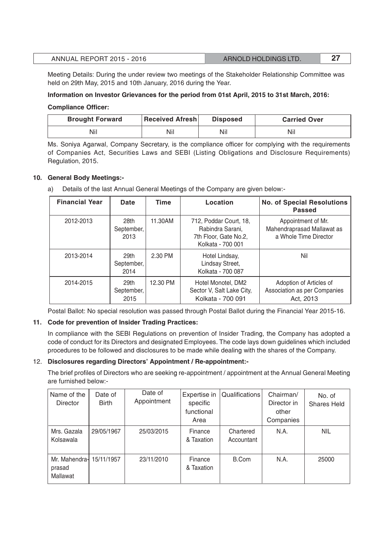| <b>ANNUAL REPORT 2015 - 2016</b> | ARNOLD HOLDINGS LTD. |  |
|----------------------------------|----------------------|--|
|----------------------------------|----------------------|--|

Meeting Details: During the under review two meetings of the Stakeholder Relationship Committee was held on 29th May, 2015 and 10th January, 2016 during the Year.

# Information on Investor Grievances for the period from 01st April, 2015 to 31st March, 2016:

# Compliance Officer:

| <b>Brought Forward</b> | <b>Received Afresh</b> | <b>Disposed</b> | <b>Carried Over</b> |
|------------------------|------------------------|-----------------|---------------------|
| Nil                    | Nil                    | Nil             | Ni                  |

Ms. Soniya Agarwal, Company Secretary, is the compliance officer for complying with the requirements of Companies Act, Securities Laws and SEBI (Listing Obligations and Disclosure Requirements) Regulation, 2015.

# 10. General Body Meetings:-

a) Details of the last Annual General Meetings of the Company are given below:-

| <b>Financial Year</b> | Date                       | <b>Time</b> | Location                                                                                 | <b>No. of Special Resolutions</b><br><b>Passed</b>                        |
|-----------------------|----------------------------|-------------|------------------------------------------------------------------------------------------|---------------------------------------------------------------------------|
| 2012-2013             | 28th<br>September,<br>2013 | 11.30AM     | 712, Poddar Court, 18,<br>Rabindra Sarani,<br>7th Floor, Gate No.2,<br>Kolkata - 700 001 | Appointment of Mr.<br>Mahendraprasad Mallawat as<br>a Whole Time Director |
| 2013-2014             | 29th<br>September,<br>2014 | 2.30 PM     | Hotel Lindsay,<br>Lindsay Street,<br>Kolkata - 700 087                                   | Nil                                                                       |
| 2014-2015             | 29th<br>September,<br>2015 | 12.30 PM    | Hotel Monotel, DM2<br>Sector V, Salt Lake City,<br>Kolkata - 700 091                     | Adoption of Articles of<br>Association as per Companies<br>Act, 2013      |

Postal Ballot: No special resolution was passed through Postal Ballot during the Financial Year 2015-16.

# 11. Code for prevention of Insider Trading Practices:

In compliance with the SEBI Regulations on prevention of Insider Trading, the Company has adopted a code of conduct for its Directors and designated Employees. The code lays down guidelines which included procedures to be followed and disclosures to be made while dealing with the shares of the Company.

# 12. Disclosures regarding Directors' Appointment / Re-appointment:-

The brief profiles of Directors who are seeking re-appointment / appointment at the Annual General Meeting are furnished below:-

| Name of the<br><b>Director</b>      | Date of<br>Birth | Date of<br>Appointment | Expertise in<br>specific<br>functional<br>Area | Qualifications          | Chairman/<br>Director in<br>other<br>Companies | No. of<br><b>Shares Held</b> |
|-------------------------------------|------------------|------------------------|------------------------------------------------|-------------------------|------------------------------------------------|------------------------------|
| Mrs. Gazala<br>Kolsawala            | 29/05/1967       | 25/03/2015             | Finance<br>& Taxation                          | Chartered<br>Accountant | N.A.                                           | <b>NIL</b>                   |
| Mr. Mahendra-<br>prasad<br>Mallawat | 15/11/1957       | 23/11/2010             | Finance<br>& Taxation                          | B.Com                   | N.A.                                           | 25000                        |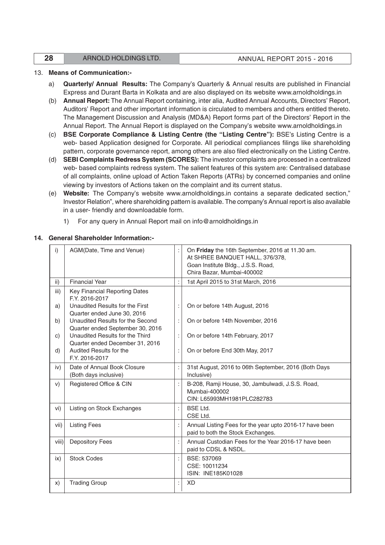#### 28

# ARNOLD HOLDINGS LTD. ANNUAL REPORT 2015 - 2016

#### 13. Means of Communication:-

- a) Quarterly/ Annual Results: The Company's Quarterly & Annual results are published in Financial Express and Durant Barta in Kolkata and are also displayed on its website www.arnoldholdings.in
- (b) Annual Report: The Annual Report containing, inter alia, Audited Annual Accounts, Directors' Report, Auditors' Report and other important information is circulated to members and others entitled thereto. The Management Discussion and Analysis (MD&A) Report forms part of the Directors' Report in the Annual Report. The Annual Report is displayed on the Company's website www.arnoldholdings.in
- (c) BSE Corporate Compliance & Listing Centre (the "Listing Centre"): BSE's Listing Centre is a web- based Application designed for Corporate. All periodical compliances filings like shareholding pattern, corporate governance report, among others are also filed electronically on the Listing Centre.
- (d) SEBI Complaints Redress System (SCORES): The investor complaints are processed in a centralized web- based complaints redress system. The salient features of this system are: Centralised database of all complaints, online upload of Action Taken Reports (ATRs) by concerned companies and online viewing by investors of Actions taken on the complaint and its current status.
- (e) Website: The Company's website www.arnoldholdings.in contains a separate dedicated section," Investor Relation", where shareholding pattern is available. The company's Annual report is also available in a user- friendly and downloadable form.
	- 1) For any query in Annual Report mail on info@arnoldholdings.in

| i)    | AGM(Date, Time and Venue)                                            | On Friday the 16th September, 2016 at 11.30 am.<br>At SHREE BANQUET HALL, 376/378,<br>Goan Institute Bldg., J.S.S. Road,<br>Chira Bazar, Mumbai-400002 |
|-------|----------------------------------------------------------------------|--------------------------------------------------------------------------------------------------------------------------------------------------------|
| ii)   | <b>Financial Year</b>                                                | 1st April 2015 to 31st March, 2016                                                                                                                     |
| iii)  | <b>Key Financial Reporting Dates</b><br>F.Y. 2016-2017               |                                                                                                                                                        |
| a)    | Unaudited Results for the First<br>Quarter ended June 30, 2016       | On or before 14th August, 2016                                                                                                                         |
| b)    | Unaudited Results for the Second<br>Quarter ended September 30, 2016 | On or before 14th November, 2016                                                                                                                       |
| C)    | Unaudited Results for the Third<br>Quarter ended December 31, 2016   | On or before 14th February, 2017                                                                                                                       |
| d)    | Audited Results for the<br>F.Y. 2016-2017                            | On or before End 30th May, 2017                                                                                                                        |
| iv)   | Date of Annual Book Closure<br>(Both days inclusive)                 | 31st August, 2016 to 06th September, 2016 (Both Days<br>Inclusive)                                                                                     |
| V)    | Registered Office & CIN                                              | B-208, Ramji House, 30, Jambulwadi, J.S.S. Road,<br>Mumbai-400002<br>CIN: L65993MH1981PLC282783                                                        |
| vi)   | Listing on Stock Exchanges                                           | <b>BSE Ltd.</b><br>CSE Ltd.                                                                                                                            |
| vii)  | <b>Listing Fees</b>                                                  | Annual Listing Fees for the year upto 2016-17 have been<br>paid to both the Stock Exchanges.                                                           |
| viii) | <b>Depository Fees</b>                                               | Annual Custodian Fees for the Year 2016-17 have been<br>paid to CDSL & NSDL.                                                                           |
| ix)   | <b>Stock Codes</b>                                                   | BSE: 537069<br>CSE: 10011234<br>ISIN: INE185K01028                                                                                                     |
| X)    | <b>Trading Group</b>                                                 | <b>XD</b>                                                                                                                                              |

# 14. General Shareholder Information:-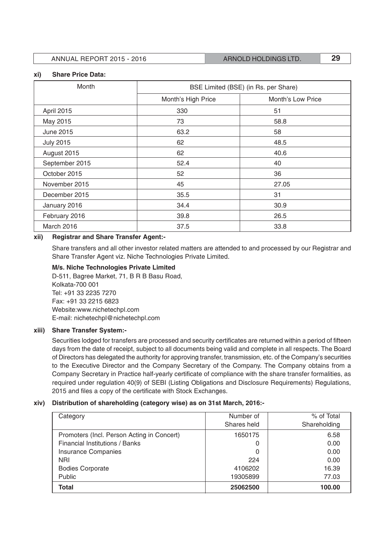ANNUAL REPORT 2015 - 2016 ARNOLD HOLDINGS LTD.

29

# xi) Share Price Data:

| Month            | BSE Limited (BSE) (in Rs. per Share) |                   |  |  |  |
|------------------|--------------------------------------|-------------------|--|--|--|
|                  | Month's High Price                   | Month's Low Price |  |  |  |
| April 2015       | 330                                  | 51                |  |  |  |
| May 2015         | 73                                   | 58.8              |  |  |  |
| June 2015        | 63.2                                 | 58                |  |  |  |
| <b>July 2015</b> | 62                                   | 48.5              |  |  |  |
| August 2015      | 62                                   | 40.6              |  |  |  |
| September 2015   | 52.4                                 | 40                |  |  |  |
| October 2015     | 52                                   | 36                |  |  |  |
| November 2015    | 45                                   | 27.05             |  |  |  |
| December 2015    | 35.5                                 | 31                |  |  |  |
| January 2016     | 34.4                                 | 30.9              |  |  |  |
| February 2016    | 39.8                                 | 26.5              |  |  |  |
| March 2016       | 37.5                                 | 33.8              |  |  |  |

# xii) Registrar and Share Transfer Agent:-

Share transfers and all other investor related matters are attended to and processed by our Registrar and Share Transfer Agent viz. Niche Technologies Private Limited.

# M/s. Niche Technologies Private Limited

D-511, Bagree Market, 71, B R B Basu Road, Kolkata-700 001 Tel: +91 33 2235 7270 Fax: +91 33 2215 6823 Website:www.nichetechpl.com E-mail: nichetechpl@nichetechpl.com

#### xiii) Share Transfer System:-

Securities lodged for transfers are processed and security certificates are returned within a period of fifteen days from the date of receipt, subject to all documents being valid and complete in all respects. The Board of Directors has delegated the authority for approving transfer, transmission, etc. of the Company's securities to the Executive Director and the Company Secretary of the Company. The Company obtains from a Company Secretary in Practice half-yearly certificate of compliance with the share transfer formalities, as required under regulation 40(9) of SEBI (Listing Obligations and Disclosure Requirements) Regulations, 2015 and files a copy of the certificate with Stock Exchanges.

# xiv) Distribution of shareholding (category wise) as on 31st March, 2016:-

| Category                                   | Number of   | % of Total   |
|--------------------------------------------|-------------|--------------|
|                                            | Shares held | Shareholding |
| Promoters (Incl. Person Acting in Concert) | 1650175     | 6.58         |
| Financial Institutions / Banks             |             | 0.00         |
| <b>Insurance Companies</b>                 |             | 0.00         |
| <b>NRI</b>                                 | 224         | 0.00         |
| <b>Bodies Corporate</b>                    | 4106202     | 16.39        |
| Public                                     | 19305899    | 77.03        |
| <b>Total</b>                               | 25062500    | 100.00       |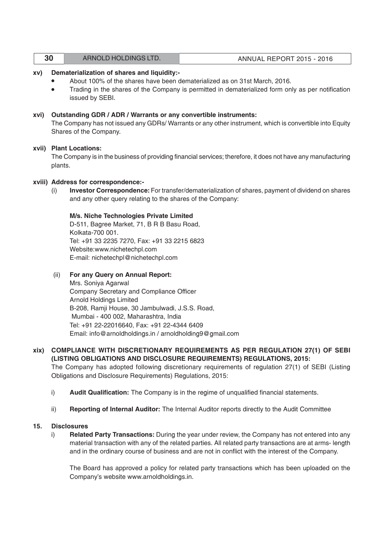| 30 | ARNOLD HOLDINGS LTD. | <b>ANNUAL REPORT 2015 - 2016</b> |
|----|----------------------|----------------------------------|
|    |                      |                                  |

# xv) Dematerialization of shares and liquidity:-

- About 100% of the shares have been dematerialized as on 31st March, 2016.
- Trading in the shares of the Company is permitted in dematerialized form only as per notification issued by SEBI.

# xvi) Outstanding GDR / ADR / Warrants or any convertible instruments:

The Company has not issued any GDRs/ Warrants or any other instrument, which is convertible into Equity Shares of the Company.

# xvii) Plant Locations:

The Company is in the business of providing financial services; therefore, it does not have any manufacturing plants.

# xviii) Address for correspondence:-

(i) Investor Correspondence: For transfer/dematerialization of shares, payment of dividend on shares and any other query relating to the shares of the Company:

#### M/s. Niche Technologies Private Limited

D-511, Bagree Market, 71, B R B Basu Road, Kolkata-700 001. Tel: +91 33 2235 7270, Fax: +91 33 2215 6823 Website:www.nichetechpl.com E-mail: nichetechpl@nichetechpl.com

# (ii) For any Query on Annual Report:

Mrs. Soniya Agarwal Company Secretary and Compliance Officer Arnold Holdings Limited B-208, Ramji House, 30 Jambulwadi, J.S.S. Road, Mumbai - 400 002, Maharashtra, India Tel: +91 22-22016640, Fax: +91 22-4344 6409 Email: info@arnoldholdings.in / arnoldholding9@gmail.com

# xix) COMPLIANCE WITH DISCRETIONARY REQUIREMENTS AS PER REGULATION 27(1) OF SEBI (LISTING OBLIGATIONS AND DISCLOSURE REQUIREMENTS) REGULATIONS, 2015:

The Company has adopted following discretionary requirements of regulation 27(1) of SEBI (Listing Obligations and Disclosure Requirements) Regulations, 2015:

- i) Audit Qualification: The Company is in the regime of unqualified financial statements.
- ii) Reporting of Internal Auditor: The Internal Auditor reports directly to the Audit Committee

#### 15. Disclosures

i) Related Party Transactions: During the year under review, the Company has not entered into any material transaction with any of the related parties. All related party transactions are at arms- length and in the ordinary course of business and are not in conflict with the interest of the Company.

The Board has approved a policy for related party transactions which has been uploaded on the Company's website www.arnoldholdings.in.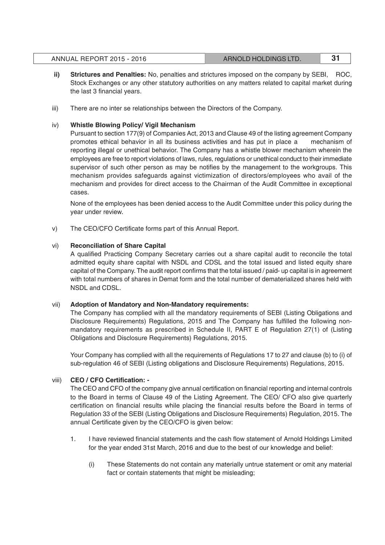| ARNOLD HOLDINGS LTD.<br><b>ANNUAL REPORT 2015 - 2016</b> |  |  |
|----------------------------------------------------------|--|--|
|----------------------------------------------------------|--|--|

- ii) Strictures and Penalties: No, penalties and strictures imposed on the company by SEBI, ROC, Stock Exchanges or any other statutory authorities on any matters related to capital market during the last 3 financial years.
- iii) There are no inter se relationships between the Directors of the Company.

# iv) Whistle Blowing Policy/ Vigil Mechanism

Pursuant to section 177(9) of Companies Act, 2013 and Clause 49 of the listing agreement Company promotes ethical behavior in all its business activities and has put in place a mechanism of reporting illegal or unethical behavior. The Company has a whistle blower mechanism wherein the employees are free to report violations of laws, rules, regulations or unethical conduct to their immediate supervisor of such other person as may be notifies by the management to the workgroups. This mechanism provides safeguards against victimization of directors/employees who avail of the mechanism and provides for direct access to the Chairman of the Audit Committee in exceptional cases.

None of the employees has been denied access to the Audit Committee under this policy during the year under review.

v) The CEO/CFO Certificate forms part of this Annual Report.

#### vi) Reconciliation of Share Capital

A qualified Practicing Company Secretary carries out a share capital audit to reconcile the total admitted equity share capital with NSDL and CDSL and the total issued and listed equity share capital of the Company. The audit report confirms that the total issued / paid- up capital is in agreement with total numbers of shares in Demat form and the total number of dematerialized shares held with NSDL and CDSL.

#### vii) Adoption of Mandatory and Non-Mandatory requirements:

The Company has complied with all the mandatory requirements of SEBI (Listing Obligations and Disclosure Requirements) Regulations, 2015 and The Company has fulfilled the following nonmandatory requirements as prescribed in Schedule II, PART E of Regulation 27(1) of (Listing Obligations and Disclosure Requirements) Regulations, 2015.

Your Company has complied with all the requirements of Regulations 17 to 27 and clause (b) to (i) of sub-regulation 46 of SEBI (Listing obligations and Disclosure Requirements) Regulations, 2015.

#### viii) CEO / CFO Certification: -

The CEO and CFO of the company give annual certification on financial reporting and internal controls to the Board in terms of Clause 49 of the Listing Agreement. The CEO/ CFO also give quarterly certification on financial results while placing the financial results before the Board in terms of Regulation 33 of the SEBI (Listing Obligations and Disclosure Requirements) Regulation, 2015. The annual Certificate given by the CEO/CFO is given below:

- 1. I have reviewed financial statements and the cash flow statement of Arnold Holdings Limited for the year ended 31st March, 2016 and due to the best of our knowledge and belief:
	- (i) These Statements do not contain any materially untrue statement or omit any material fact or contain statements that might be misleading;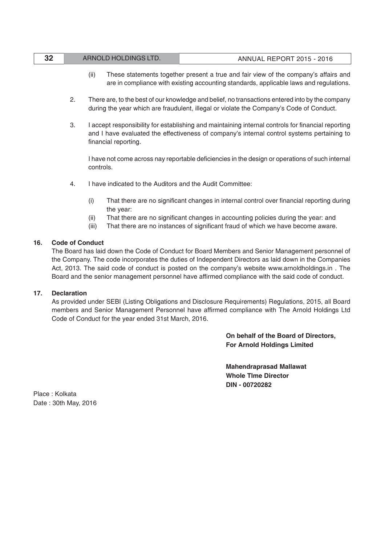|     |                                                                                                                                                                                                                                |                                                                                                              | These statements together present a true and fair view of the company's affairs and<br>(ii)<br>are in compliance with existing accounting standards, applicable laws and regulations.      |
|-----|--------------------------------------------------------------------------------------------------------------------------------------------------------------------------------------------------------------------------------|--------------------------------------------------------------------------------------------------------------|--------------------------------------------------------------------------------------------------------------------------------------------------------------------------------------------|
|     |                                                                                                                                                                                                                                | 2.                                                                                                           | There are, to the best of our knowledge and belief, no transactions entered into by the company<br>during the year which are fraudulent, illegal or violate the Company's Code of Conduct. |
|     | 3.<br>I accept responsibility for establishing and maintaining internal controls for financial reporting<br>and I have evaluated the effectiveness of company's internal control systems pertaining to<br>financial reporting. |                                                                                                              |                                                                                                                                                                                            |
|     |                                                                                                                                                                                                                                | I have not come across nay reportable deficiencies in the design or operations of such internal<br>controls. |                                                                                                                                                                                            |
|     |                                                                                                                                                                                                                                | I have indicated to the Auditors and the Audit Committee:<br>4.                                              |                                                                                                                                                                                            |
|     |                                                                                                                                                                                                                                |                                                                                                              | That there are no significant changes in internal control over financial reporting during<br>(i)<br>the year:                                                                              |
|     |                                                                                                                                                                                                                                |                                                                                                              | That there are no significant changes in accounting policies during the year: and<br>(ii)<br>That there are no instances of significant fraud of which we have become aware.<br>(iii)      |
| 16. |                                                                                                                                                                                                                                |                                                                                                              | <b>Code of Conduct</b>                                                                                                                                                                     |

ARNOLD HOLDINGS LTD. ANNUAL REPORT 2015 - 2016

The Board has laid down the Code of Conduct for Board Members and Senior Management personnel of the Company. The code incorporates the duties of Independent Directors as laid down in the Companies Act, 2013. The said code of conduct is posted on the company's website www.arnoldholdings.in . The Board and the senior management personnel have affirmed compliance with the said code of conduct.

# 17. Declaration

32

As provided under SEBI (Listing Obligations and Disclosure Requirements) Regulations, 2015, all Board members and Senior Management Personnel have affirmed compliance with The Arnold Holdings Ltd Code of Conduct for the year ended 31st March, 2016.

> On behalf of the Board of Directors, For Arnold Holdings Limited

Mahendraprasad Mallawat Whole TIme Director DIN - 00720282

Place : Kolkata Date : 30th May, 2016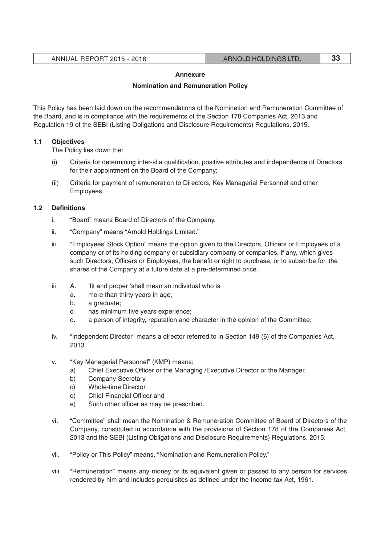# Annexure

# Nomination and Remuneration Policy

This Policy has been laid down on the recommendations of the Nomination and Remuneration Committee of the Board, and is in compliance with the requirements of the Section 178 Companies Act, 2013 and Regulation 19 of the SEBI (Listing Obligations and Disclosure Requirements) Regulations, 2015.

# 1.1 Objectives

The Policy lies down the:

- (i) Criteria for determining inter-alia qualification, positive attributes and independence of Directors for their appointment on the Board of the Company;
- (ii) Criteria for payment of remuneration to Directors, Key Managerial Personnel and other Employees.

# 1.2 Definitions

- i. "Board" means Board of Directors of the Company.
- ii. "Company" means "Arnold Holdings Limited."
- iii. "Employees' Stock Option" means the option given to the Directors, Officers or Employees of a company or of its holding company or subsidiary company or companies, if any, which gives such Directors, Officers or Employees, the benefit or right to purchase, or to subscribe for, the shares of the Company at a future date at a pre-determined price.
- iii A. 'fit and proper 'shall mean an individual who is :
	- a. more than thirty years in age;
	- b. a graduate;
	- c. has minimum five years experience;
	- d. a person of integrity, reputation and character in the opinion of the Committee;
- iv. "Independent Director" means a director referred to in Section 149 (6) of the Companies Act, 2013.
- v. "Key Managerial Personnel" (KMP) means:
	- a) Chief Executive Officer or the Managing /Executive Director or the Manager,
	- b) Company Secretary,
	- c) Whole-time Director,
	- d) Chief Financial Officer and
	- e) Such other officer as may be prescribed.
- vi. "Committee" shall mean the Nomination & Remuneration Committee of Board of Directors of the Company, constituted in accordance with the provisions of Section 178 of the Companies Act, 2013 and the SEBI (Listing Obligations and Disclosure Requirements) Regulations, 2015.
- vii. "Policy or This Policy" means, "Nomination and Remuneration Policy."
- viii. "Remuneration" means any money or its equivalent given or passed to any person for services rendered by him and includes perquisites as defined under the Income-tax Act, 1961.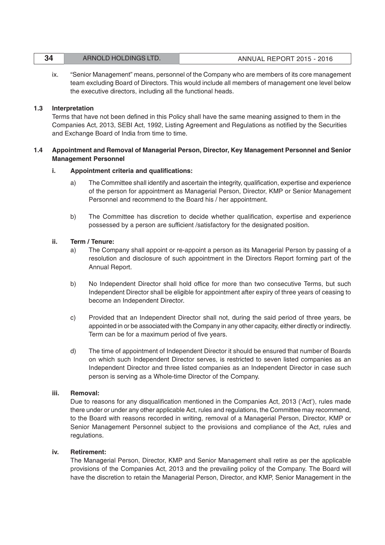| ARNOLD HOLDINGS LTD. | <b>ANNUAL REPORT 2015 - 2016</b> |
|----------------------|----------------------------------|
|                      |                                  |

ix. "Senior Management" means, personnel of the Company who are members of its core management team excluding Board of Directors. This would include all members of management one level below the executive directors, including all the functional heads.

# 1.3 Interpretation

Terms that have not been defined in this Policy shall have the same meaning assigned to them in the Companies Act, 2013, SEBI Act, 1992, Listing Agreement and Regulations as notified by the Securities and Exchange Board of India from time to time.

# 1.4 Appointment and Removal of Managerial Person, Director, Key Management Personnel and Senior Management Personnel

# i. Appointment criteria and qualifications:

- a) The Committee shall identify and ascertain the integrity, qualification, expertise and experience of the person for appointment as Managerial Person, Director, KMP or Senior Management Personnel and recommend to the Board his / her appointment.
- b) The Committee has discretion to decide whether qualification, expertise and experience possessed by a person are sufficient /satisfactory for the designated position.

# ii. Term / Tenure:

- a) The Company shall appoint or re-appoint a person as its Managerial Person by passing of a resolution and disclosure of such appointment in the Directors Report forming part of the Annual Report.
- b) No Independent Director shall hold office for more than two consecutive Terms, but such Independent Director shall be eligible for appointment after expiry of three years of ceasing to become an Independent Director.
- c) Provided that an Independent Director shall not, during the said period of three years, be appointed in or be associated with the Company in any other capacity, either directly or indirectly. Term can be for a maximum period of five years.
- d) The time of appointment of Independent Director it should be ensured that number of Boards on which such Independent Director serves, is restricted to seven listed companies as an Independent Director and three listed companies as an Independent Director in case such person is serving as a Whole-time Director of the Company.

#### iii. Removal:

Due to reasons for any disqualification mentioned in the Companies Act, 2013 ('Act'), rules made there under or under any other applicable Act, rules and regulations, the Committee may recommend, to the Board with reasons recorded in writing, removal of a Managerial Person, Director, KMP or Senior Management Personnel subject to the provisions and compliance of the Act, rules and regulations.

#### iv. Retirement:

The Managerial Person, Director, KMP and Senior Management shall retire as per the applicable provisions of the Companies Act, 2013 and the prevailing policy of the Company. The Board will have the discretion to retain the Managerial Person, Director, and KMP, Senior Management in the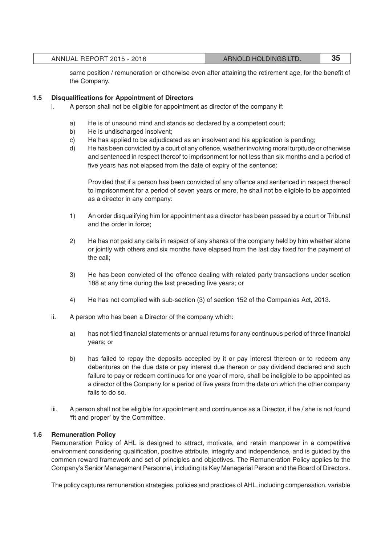| <b>ANNUAL REPORT 2015 - 2016</b> | ARNOLD HOLDINGS LTD. | 35 |
|----------------------------------|----------------------|----|
|----------------------------------|----------------------|----|

same position / remuneration or otherwise even after attaining the retirement age, for the benefit of the Company.

#### 1.5 Disqualifications for Appointment of Directors

- i. A person shall not be eligible for appointment as director of the company if:
	- a) He is of unsound mind and stands so declared by a competent court;
	- b) He is undischarged insolvent;
	- c) He has applied to be adjudicated as an insolvent and his application is pending;
	- d) He has been convicted by a court of any offence, weather involving moral turpitude or otherwise and sentenced in respect thereof to imprisonment for not less than six months and a period of five years has not elapsed from the date of expiry of the sentence:

Provided that if a person has been convicted of any offence and sentenced in respect thereof to imprisonment for a period of seven years or more, he shall not be eligible to be appointed as a director in any company:

- 1) An order disqualifying him for appointment as a director has been passed by a court or Tribunal and the order in force;
- 2) He has not paid any calls in respect of any shares of the company held by him whether alone or jointly with others and six months have elapsed from the last day fixed for the payment of the call;
- 3) He has been convicted of the offence dealing with related party transactions under section 188 at any time during the last preceding five years; or
- 4) He has not complied with sub-section (3) of section 152 of the Companies Act, 2013.
- ii. A person who has been a Director of the company which:
	- a) has not filed financial statements or annual returns for any continuous period of three financial years; or
	- b) has failed to repay the deposits accepted by it or pay interest thereon or to redeem any debentures on the due date or pay interest due thereon or pay dividend declared and such failure to pay or redeem continues for one year of more, shall be ineligible to be appointed as a director of the Company for a period of five years from the date on which the other company fails to do so.
- iii. A person shall not be eligible for appointment and continuance as a Director, if he / she is not found 'fit and proper' by the Committee.

#### 1.6 Remuneration Policy

Remuneration Policy of AHL is designed to attract, motivate, and retain manpower in a competitive environment considering qualification, positive attribute, integrity and independence, and is guided by the common reward framework and set of principles and objectives. The Remuneration Policy applies to the Company's Senior Management Personnel, including its Key Managerial Person and the Board of Directors.

The policy captures remuneration strategies, policies and practices of AHL, including compensation, variable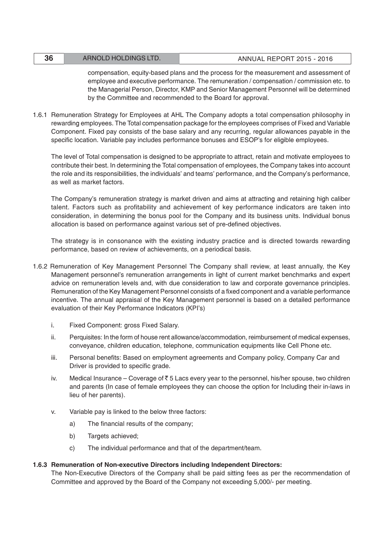| 36 | ARNOLD HOLDINGS LTD. | <b>ANNUAL REPORT 2015 - 2016</b> |
|----|----------------------|----------------------------------|
|----|----------------------|----------------------------------|

compensation, equity-based plans and the process for the measurement and assessment of employee and executive performance. The remuneration / compensation / commission etc. to the Managerial Person, Director, KMP and Senior Management Personnel will be determined by the Committee and recommended to the Board for approval.

1.6.1 Remuneration Strategy for Employees at AHL The Company adopts a total compensation philosophy in rewarding employees. The Total compensation package for the employees comprises of Fixed and Variable Component. Fixed pay consists of the base salary and any recurring, regular allowances payable in the specific location. Variable pay includes performance bonuses and ESOP's for eligible employees.

The level of Total compensation is designed to be appropriate to attract, retain and motivate employees to contribute their best. In determining the Total compensation of employees, the Company takes into account the role and its responsibilities, the individuals' and teams' performance, and the Company's performance, as well as market factors.

The Company's remuneration strategy is market driven and aims at attracting and retaining high caliber talent. Factors such as profitability and achievement of key performance indicators are taken into consideration, in determining the bonus pool for the Company and its business units. Individual bonus allocation is based on performance against various set of pre-defined objectives.

The strategy is in consonance with the existing industry practice and is directed towards rewarding performance, based on review of achievements, on a periodical basis.

- 1.6.2 Remuneration of Key Management Personnel The Company shall review, at least annually, the Key Management personnel's remuneration arrangements in light of current market benchmarks and expert advice on remuneration levels and, with due consideration to law and corporate governance principles. Remuneration of the Key Management Personnel consists of a fixed component and a variable performance incentive. The annual appraisal of the Key Management personnel is based on a detailed performance evaluation of their Key Performance Indicators (KPI's)
	- i. Fixed Component: gross Fixed Salary.
	- ii. Perquisites: In the form of house rent allowance/accommodation, reimbursement of medical expenses, conveyance, children education, telephone, communication equipments like Cell Phone etc.
	- iii. Personal benefits: Based on employment agreements and Company policy, Company Car and Driver is provided to specific grade.
	- iv. Medical Insurance Coverage of  $\bar{\tau}$  5 Lacs every year to the personnel, his/her spouse, two children and parents (In case of female employees they can choose the option for Including their in-laws in lieu of her parents).
	- v. Variable pay is linked to the below three factors:
		- a) The financial results of the company;
		- b) Targets achieved;
		- c) The individual performance and that of the department/team.

#### 1.6.3 Remuneration of Non-executive Directors including Independent Directors:

The Non-Executive Directors of the Company shall be paid sitting fees as per the recommendation of Committee and approved by the Board of the Company not exceeding 5,000/- per meeting.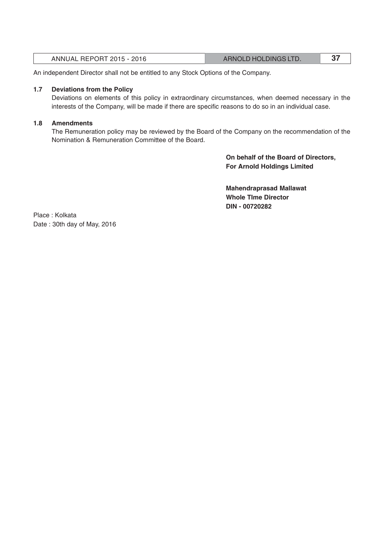| <b>ANNUAL REPORT 2015 - 2016</b> | ARNOLD HOLDINGS LTD. |  |
|----------------------------------|----------------------|--|
|----------------------------------|----------------------|--|

An independent Director shall not be entitled to any Stock Options of the Company.

#### 1.7 Deviations from the Policy

Deviations on elements of this policy in extraordinary circumstances, when deemed necessary in the interests of the Company, will be made if there are specific reasons to do so in an individual case.

#### 1.8 Amendments

The Remuneration policy may be reviewed by the Board of the Company on the recommendation of the Nomination & Remuneration Committee of the Board.

> On behalf of the Board of Directors, For Arnold Holdings Limited

Mahendraprasad Mallawat Whole TIme Director DIN - 00720282

Place : Kolkata Date : 30th day of May, 2016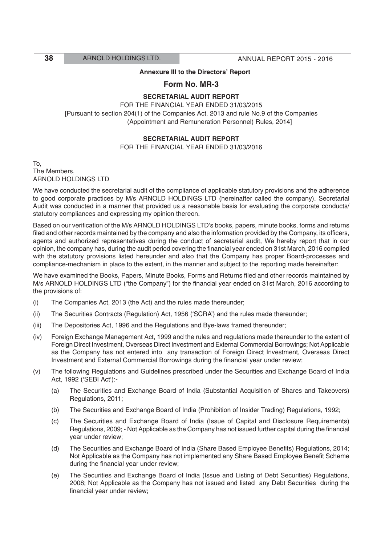#### Annexure III to the Directors' Report

#### Form No. MR-3

#### SECRETARIAL AUDIT REPORT

FOR THE FINANCIAL YEAR ENDED 31/03/2015 [Pursuant to section 204(1) of the Companies Act, 2013 and rule No.9 of the Companies (Appointment and Remuneration Personnel) Rules, 2014]

#### SECRETARIAL AUDIT REPORT

FOR THE FINANCIAL YEAR ENDED 31/03/2016

To, The Members, ARNOLD HOLDINGS LTD

We have conducted the secretarial audit of the compliance of applicable statutory provisions and the adherence to good corporate practices by M/s ARNOLD HOLDINGS LTD (hereinafter called the company). Secretarial Audit was conducted in a manner that provided us a reasonable basis for evaluating the corporate conducts/ statutory compliances and expressing my opinion thereon.

Based on our verification of the M/s ARNOLD HOLDINGS LTD's books, papers, minute books, forms and returns filed and other records maintained by the company and also the information provided by the Company, its officers, agents and authorized representatives during the conduct of secretarial audit, We hereby report that in our opinion, the company has, during the audit period covering the financial year ended on 31st March, 2016 complied with the statutory provisions listed hereunder and also that the Company has proper Board-processes and compliance-mechanism in place to the extent, in the manner and subject to the reporting made hereinafter:

We have examined the Books, Papers, Minute Books, Forms and Returns filed and other records maintained by M/s ARNOLD HOLDINGS LTD ("the Company") for the financial year ended on 31st March, 2016 according to the provisions of:

- (i) The Companies Act, 2013 (the Act) and the rules made thereunder;
- (ii) The Securities Contracts (Regulation) Act, 1956 ('SCRA') and the rules made thereunder;
- (iii) The Depositories Act, 1996 and the Regulations and Bye-laws framed thereunder;
- (iv) Foreign Exchange Management Act, 1999 and the rules and regulations made thereunder to the extent of Foreign Direct Investment, Overseas Direct Investment and External Commercial Borrowings; Not Applicable as the Company has not entered into any transaction of Foreign Direct Investment, Overseas Direct Investment and External Commercial Borrowings during the financial year under review;
- (v) The following Regulations and Guidelines prescribed under the Securities and Exchange Board of India Act, 1992 ('SEBI Act'):-
	- (a) The Securities and Exchange Board of India (Substantial Acquisition of Shares and Takeovers) Regulations, 2011;
	- (b) The Securities and Exchange Board of India (Prohibition of Insider Trading) Regulations, 1992;
	- (c) The Securities and Exchange Board of India (Issue of Capital and Disclosure Requirements) Regulations, 2009; - Not Applicable as the Company has not issued further capital during the financial year under review;
	- (d) The Securities and Exchange Board of India (Share Based Employee Benefits) Regulations, 2014; Not Applicable as the Company has not implemented any Share Based Employee Benefit Scheme during the financial year under review;
	- (e) The Securities and Exchange Board of India (Issue and Listing of Debt Securities) Regulations, 2008; Not Applicable as the Company has not issued and listed any Debt Securities during the financial year under review;

38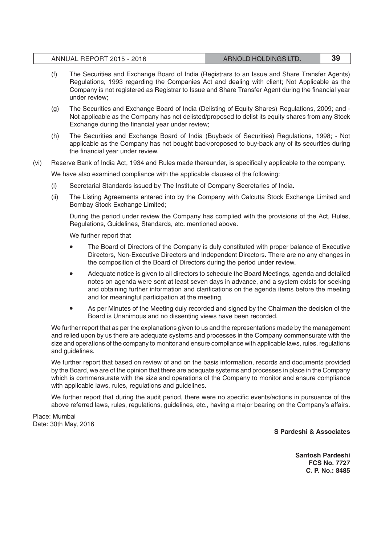| ANNUAL REPORT 2015 - 2016 | 39<br>ARNOLD HOLDINGS LTD. |
|---------------------------|----------------------------|
|---------------------------|----------------------------|

- (f) The Securities and Exchange Board of India (Registrars to an Issue and Share Transfer Agents) Regulations, 1993 regarding the Companies Act and dealing with client; Not Applicable as the Company is not registered as Registrar to Issue and Share Transfer Agent during the financial year under review;
- (g) The Securities and Exchange Board of India (Delisting of Equity Shares) Regulations, 2009; and Not applicable as the Company has not delisted/proposed to delist its equity shares from any Stock Exchange during the financial year under review;
- (h) The Securities and Exchange Board of India (Buyback of Securities) Regulations, 1998; Not applicable as the Company has not bought back/proposed to buy-back any of its securities during the financial year under review.
- (vi) Reserve Bank of India Act, 1934 and Rules made thereunder, is specifically applicable to the company.

We have also examined compliance with the applicable clauses of the following:

- (i) Secretarial Standards issued by The Institute of Company Secretaries of India.
- (ii) The Listing Agreements entered into by the Company with Calcutta Stock Exchange Limited and Bombay Stock Exchange Limited;

During the period under review the Company has complied with the provisions of the Act, Rules, Regulations, Guidelines, Standards, etc. mentioned above.

We further report that

- The Board of Directors of the Company is duly constituted with proper balance of Executive Directors, Non-Executive Directors and Independent Directors. There are no any changes in the composition of the Board of Directors during the period under review.
- Adequate notice is given to all directors to schedule the Board Meetings, agenda and detailed notes on agenda were sent at least seven days in advance, and a system exists for seeking and obtaining further information and clarifications on the agenda items before the meeting and for meaningful participation at the meeting.
- As per Minutes of the Meeting duly recorded and signed by the Chairman the decision of the Board is Unanimous and no dissenting views have been recorded.

We further report that as per the explanations given to us and the representations made by the management and relied upon by us there are adequate systems and processes in the Company commensurate with the size and operations of the company to monitor and ensure compliance with applicable laws, rules, regulations and guidelines.

We further report that based on review of and on the basis information, records and documents provided by the Board, we are of the opinion that there are adequate systems and processes in place in the Company which is commensurate with the size and operations of the Company to monitor and ensure compliance with applicable laws, rules, regulations and guidelines.

We further report that during the audit period, there were no specific events/actions in pursuance of the above referred laws, rules, regulations, guidelines, etc., having a major bearing on the Company's affairs.

Place: Mumbai Date: 30th May, 2016

S Pardeshi & Associates

Santosh Pardeshi FCS No. 7727 C. P. No.: 8485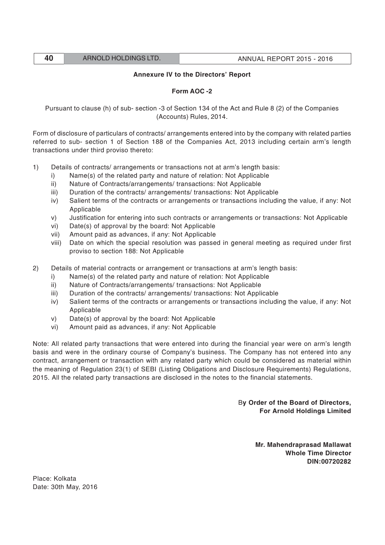#### Annexure IV to the Directors' Report

#### Form AOC -2

Pursuant to clause (h) of sub- section -3 of Section 134 of the Act and Rule 8 (2) of the Companies (Accounts) Rules, 2014.

Form of disclosure of particulars of contracts/ arrangements entered into by the company with related parties referred to sub- section 1 of Section 188 of the Companies Act, 2013 including certain arm's length transactions under third proviso thereto:

- 1) Details of contracts/ arrangements or transactions not at arm's length basis:
	- i) Name(s) of the related party and nature of relation: Not Applicable
	- ii) Nature of Contracts/arrangements/ transactions: Not Applicable
	- iii) Duration of the contracts/ arrangements/ transactions: Not Applicable
	- iv) Salient terms of the contracts or arrangements or transactions including the value, if any: Not Applicable
	- v) Justification for entering into such contracts or arrangements or transactions: Not Applicable
	- vi) Date(s) of approval by the board: Not Applicable
	- vii) Amount paid as advances, if any: Not Applicable
	- viii) Date on which the special resolution was passed in general meeting as required under first proviso to section 188: Not Applicable
- 2) Details of material contracts or arrangement or transactions at arm's length basis:
	- i) Name(s) of the related party and nature of relation: Not Applicable
	- ii) Nature of Contracts/arrangements/ transactions: Not Applicable
	- iii) Duration of the contracts/ arrangements/ transactions: Not Applicable
	- iv) Salient terms of the contracts or arrangements or transactions including the value, if any: Not Applicable
	- v) Date(s) of approval by the board: Not Applicable
	- vi) Amount paid as advances, if any: Not Applicable

Note: All related party transactions that were entered into during the financial year were on arm's length basis and were in the ordinary course of Company's business. The Company has not entered into any contract, arrangement or transaction with any related party which could be considered as material within the meaning of Regulation 23(1) of SEBI (Listing Obligations and Disclosure Requirements) Regulations, 2015. All the related party transactions are disclosed in the notes to the financial statements.

> By Order of the Board of Directors, For Arnold Holdings Limited

> > Mr. Mahendraprasad Mallawat Whole Time Director DIN:00720282

Place: Kolkata Date: 30th May, 2016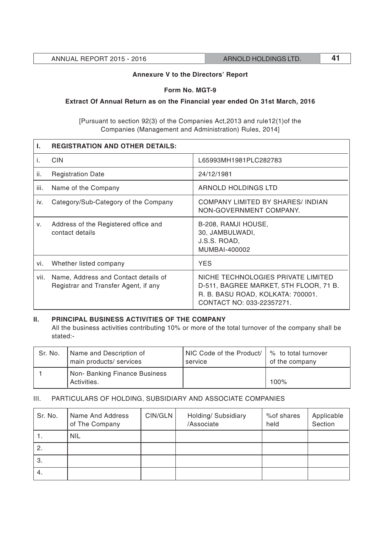|  | <b>ANNUAL REPORT 2015 - 2016</b> | ARNOLD HOLDINGS LTD. |  |
|--|----------------------------------|----------------------|--|
|--|----------------------------------|----------------------|--|

#### Annexure V to the Directors' Report

#### Form No. MGT-9

#### Extract Of Annual Return as on the Financial year ended On 31st March, 2016

[Pursuant to section 92(3) of the Companies Act,2013 and rule12(1)of the Companies (Management and Administration) Rules, 2014]

| Τ.   | <b>REGISTRATION AND OTHER DETAILS:</b>                                       |                                                                                                                                                |
|------|------------------------------------------------------------------------------|------------------------------------------------------------------------------------------------------------------------------------------------|
| İ.   | <b>CIN</b>                                                                   | L65993MH1981PLC282783                                                                                                                          |
| ii.  | <b>Registration Date</b>                                                     | 24/12/1981                                                                                                                                     |
| iii. | Name of the Company                                                          | ARNOLD HOLDINGS LTD                                                                                                                            |
| iv.  | Category/Sub-Category of the Company                                         | COMPANY LIMITED BY SHARES/ INDIAN<br>NON-GOVERNMENT COMPANY.                                                                                   |
| V.   | Address of the Registered office and<br>contact details                      | B-208, RAMJI HOUSE,<br>30, JAMBULWADI,<br>J.S.S. ROAD,<br>MUMBAI-400002                                                                        |
| vi.  | Whether listed company                                                       | <b>YES</b>                                                                                                                                     |
| vii. | Name, Address and Contact details of<br>Registrar and Transfer Agent, if any | NICHE TECHNOLOGIES PRIVATE LIMITED<br>D-511, BAGREE MARKET, 5TH FLOOR, 71 B.<br>R. B. BASU ROAD, KOLKATA: 700001.<br>CONTACT NO: 033-22357271. |

#### II. PRINCIPAL BUSINESS ACTIVITIES OF THE COMPANY

All the business activities contributing 10% or more of the total turnover of the company shall be stated:-

| Non-Banking Finance Business | Sr. No. | Name and Description of<br>main products/ services | NIC Code of the Product/<br>service | │ % to total turnover<br>of the company |
|------------------------------|---------|----------------------------------------------------|-------------------------------------|-----------------------------------------|
| 100%<br>Activities.          |         |                                                    |                                     |                                         |

#### III. PARTICULARS OF HOLDING, SUBSIDIARY AND ASSOCIATE COMPANIES

| Sr. No. | Name And Address<br>of The Company | CIN/GLN | Holding/ Subsidiary<br>/Associate | %of shares<br>held | Applicable<br>Section |
|---------|------------------------------------|---------|-----------------------------------|--------------------|-----------------------|
|         | <b>NIL</b>                         |         |                                   |                    |                       |
| 2.      |                                    |         |                                   |                    |                       |
| 3.      |                                    |         |                                   |                    |                       |
| 4.      |                                    |         |                                   |                    |                       |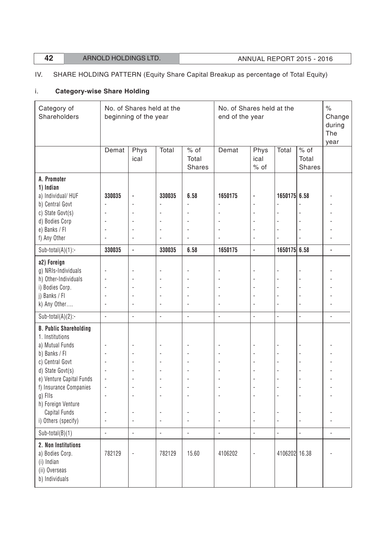| ARNOLD HOLDINGS LTD. | <b>ANNUAL REPORT 2015 - 2016</b> |
|----------------------|----------------------------------|
|                      |                                  |

## IV. SHARE HOLDING PATTERN (Equity Share Capital Breakup as percentage of Total Equity)

## i. Category-wise Share Holding

| Category of<br>Shareholders                                                             | No. of Shares held at the<br>beginning of the year |                      |                          |                                            | No. of Shares held at the<br>end of the year |                          |                          |                                      | $\%$<br>Change<br>during<br>The<br>year |
|-----------------------------------------------------------------------------------------|----------------------------------------------------|----------------------|--------------------------|--------------------------------------------|----------------------------------------------|--------------------------|--------------------------|--------------------------------------|-----------------------------------------|
|                                                                                         | Demat                                              | Phys<br>ical         | Total                    | $\frac{1}{6}$ of<br>Total<br><b>Shares</b> | Demat                                        | Phys<br>ical<br>$%$ of   | Total                    | $\frac{1}{\%}$ of<br>Total<br>Shares |                                         |
| A. Promoter                                                                             |                                                    |                      |                          |                                            |                                              |                          |                          |                                      |                                         |
| 1) Indian                                                                               |                                                    |                      |                          |                                            |                                              |                          |                          |                                      |                                         |
| a) Individual/HUF<br>b) Central Govt                                                    | 330035                                             | $\blacksquare$<br>Ĭ. | 330035                   | 6.58                                       | 1650175                                      | $\blacksquare$<br>Ĭ.     | 1650175 6.58             |                                      |                                         |
| c) State Govt(s)                                                                        |                                                    |                      | ×                        |                                            |                                              | ×,                       |                          |                                      |                                         |
| d) Bodies Corp                                                                          |                                                    |                      | ٠                        |                                            |                                              | ٠                        |                          |                                      |                                         |
| e) Banks / Fl                                                                           |                                                    |                      | ٠                        |                                            |                                              | ٠                        | ä,                       | Ĭ.                                   |                                         |
| f) Any Other                                                                            |                                                    | Ĩ.                   | ÷,                       |                                            |                                              | $\blacksquare$           |                          | Ĭ.                                   |                                         |
| Sub-total $(A)(1)$ :-                                                                   | 330035                                             | $\blacksquare$       | 330035                   | 6.58                                       | 1650175                                      | $\blacksquare$           | 1650175                  | 6.58                                 | $\blacksquare$                          |
| a2) Foreign                                                                             |                                                    |                      |                          |                                            |                                              |                          |                          |                                      |                                         |
| g) NRIs-Individuals                                                                     |                                                    |                      | ×                        |                                            |                                              | Ĭ.                       |                          | ÷,                                   |                                         |
| h) Other-Individuals                                                                    | J.                                                 | ł,                   | ÷,                       |                                            |                                              | ×,                       |                          | ÷,                                   |                                         |
| i) Bodies Corp.                                                                         | ٠                                                  | ×,                   | ×                        | ä,                                         | ä,                                           | ×,                       | $\blacksquare$           | ÷,                                   |                                         |
| j) Banks / Fl                                                                           |                                                    | ä,                   | ٠                        |                                            | ٠                                            | ٠                        | ä,                       | ÷,                                   |                                         |
| k) Any Other                                                                            | ×                                                  | Ĭ.                   | ÷,                       | ٠                                          | ä,                                           | $\blacksquare$           | ä,                       | $\overline{\phantom{a}}$             |                                         |
| $Sub-total(A)(2)$ :-                                                                    | $\overline{\phantom{a}}$                           | $\blacksquare$       | $\overline{\phantom{a}}$ | $\blacksquare$                             | ä,                                           | ä,                       | $\blacksquare$           | $\overline{\phantom{a}}$             | ä,                                      |
| <b>B. Public Shareholding</b>                                                           |                                                    |                      |                          |                                            |                                              |                          |                          |                                      |                                         |
| 1. Institutions                                                                         |                                                    |                      |                          |                                            |                                              |                          |                          |                                      |                                         |
| a) Mutual Funds                                                                         | ٠                                                  | ٠                    | ÷                        |                                            | ٠                                            | ٠                        |                          |                                      |                                         |
| b) Banks / Fl                                                                           |                                                    | ł,                   | ×                        |                                            | ٠                                            | ×,                       |                          |                                      |                                         |
| c) Central Govt                                                                         | ×,                                                 |                      | ×                        |                                            | ÷                                            | ×,                       |                          | ٠                                    |                                         |
| d) State Govt(s)                                                                        | ٠                                                  | ä,                   | ×,                       |                                            | ä,                                           | ٠                        | $\overline{a}$           |                                      |                                         |
| e) Venture Capital Funds                                                                | ÷,                                                 | Ĭ.                   | Ĭ.                       |                                            |                                              |                          |                          |                                      |                                         |
| f) Insurance Companies                                                                  | ×                                                  |                      |                          |                                            |                                              |                          |                          |                                      |                                         |
| g) FlIs<br>h) Foreign Venture                                                           |                                                    |                      |                          |                                            |                                              |                          |                          |                                      |                                         |
| <b>Capital Funds</b>                                                                    | ×,                                                 | ÷                    | $\overline{\phantom{a}}$ | $\overline{\phantom{a}}$                   | $\frac{1}{2}$                                | $\blacksquare$           |                          | ×,                                   |                                         |
| i) Others (specify)                                                                     | $\overline{\phantom{a}}$                           | $\blacksquare$       | $\overline{\phantom{a}}$ | $\overline{\phantom{a}}$                   | ×,                                           | $\blacksquare$           | $\blacksquare$           | $\overline{\phantom{a}}$             |                                         |
|                                                                                         | $\blacksquare$                                     | $\blacksquare$       | $\blacksquare$           | $\blacksquare$                             | $\blacksquare$                               | $\blacksquare$           | $\overline{\phantom{a}}$ | ÷,                                   |                                         |
| $Sub-total(B)(1)$                                                                       |                                                    |                      |                          |                                            |                                              |                          |                          |                                      | ٠                                       |
| 2. Non Institutions<br>a) Bodies Corp.<br>(i) Indian<br>(ii) Overseas<br>b) Individuals | 782129                                             | ÷                    | 782129                   | 15.60                                      | 4106202                                      | $\overline{\phantom{a}}$ | 4106202 16.38            |                                      |                                         |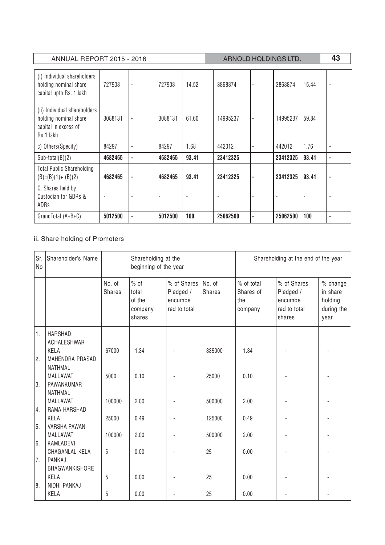| <b>ANNUAL REPORT 2015 - 2016</b>                                                           |         | ARNOLD HOLDINGS LTD.     |         |       |          | 43 |          |       |                |
|--------------------------------------------------------------------------------------------|---------|--------------------------|---------|-------|----------|----|----------|-------|----------------|
| (i) Individual shareholders<br>holding nominal share<br>capital upto Rs. 1 lakh            | 727908  | $\overline{\phantom{a}}$ | 727908  | 14.52 | 3868874  |    | 3868874  | 15.44 | ٠              |
| (ii) Individual shareholders<br>holding nominal share<br>capital in excess of<br>Rs 1 lakh | 3088131 | ٠                        | 3088131 | 61.60 | 14995237 |    | 14995237 | 59.84 |                |
| c) Others (Specify)                                                                        | 84297   | ٠                        | 84297   | 1.68  | 442012   |    | 442012   | 1.76  | $\blacksquare$ |
| $Sub-total(B)(2)$                                                                          | 4682465 | ٠                        | 4682465 | 93.41 | 23412325 |    | 23412325 | 93.41 | $\blacksquare$ |
| <b>Total Public Shareholding</b><br>$(B)=(B)(1)+(B)(2)$                                    | 4682465 |                          | 4682465 | 93.41 | 23412325 |    | 23412325 | 93.41 | $\blacksquare$ |
| C. Shares held by<br>Custodian for GDRs &<br>ADRs                                          | ٠       |                          | ٠       |       |          |    |          |       |                |
| GrandTotal (A+B+C)                                                                         | 5012500 |                          | 5012500 | 100   | 25062500 |    | 25062500 | 100   | $\blacksquare$ |

## ii. Share holding of Promoters

| Sr.<br>No      | Shareholder's Name              |                  | Shareholding at the<br>beginning of the year   |                                                     |                         | Shareholding at the end of the year       |                                                               |                                                       |
|----------------|---------------------------------|------------------|------------------------------------------------|-----------------------------------------------------|-------------------------|-------------------------------------------|---------------------------------------------------------------|-------------------------------------------------------|
|                |                                 | No. of<br>Shares | $%$ of<br>total<br>of the<br>company<br>shares | % of Shares<br>Pledged /<br>encumbe<br>red to total | No. of<br><b>Shares</b> | % of total<br>Shares of<br>the<br>company | % of Shares<br>Pledged /<br>encumbe<br>red to total<br>shares | % change<br>in share<br>holding<br>during the<br>year |
| $\mathbf{1}$ . | HARSHAD<br>ACHALESHWAR          |                  |                                                |                                                     |                         |                                           |                                                               |                                                       |
|                | <b>KELA</b>                     | 67000            | 1.34                                           |                                                     | 335000                  | 1.34                                      |                                                               |                                                       |
| 2.             | MAHENDRA PRASAD<br>NATHMAL      |                  |                                                |                                                     |                         |                                           |                                                               |                                                       |
| 3.             | MALLAWAT<br>PAWANKUMAR          | 5000             | 0.10                                           |                                                     | 25000                   | 0.10                                      |                                                               |                                                       |
|                | NATHMAL                         |                  |                                                |                                                     |                         |                                           |                                                               |                                                       |
| 4.             | MALLAWAT<br>RAMA HARSHAD        | 100000           | 2.00                                           |                                                     | 500000                  | 2.00                                      |                                                               |                                                       |
|                | KELA                            | 25000            | 0.49                                           |                                                     | 125000                  | 0.49                                      |                                                               |                                                       |
| 5.             | <b>VARSHA PAWAN</b><br>MALLAWAT | 100000           | 2.00                                           |                                                     | 500000                  | 2.00                                      |                                                               |                                                       |
| 6.             | KAMLADEVI                       |                  |                                                |                                                     |                         |                                           |                                                               |                                                       |
| 7.             | CHAGANLAL KELA<br>PANKAJ        | 5                | 0.00                                           |                                                     | 25                      | 0.00                                      |                                                               |                                                       |
|                | BHAGWANKISHORE<br>KELA          |                  | 0.00                                           |                                                     | 25                      | 0.00                                      |                                                               |                                                       |
| 8.             | NIDHI PANKAJ                    | 5                |                                                |                                                     |                         |                                           |                                                               |                                                       |
|                | KELA                            | 5                | 0.00                                           |                                                     | 25                      | 0.00                                      |                                                               |                                                       |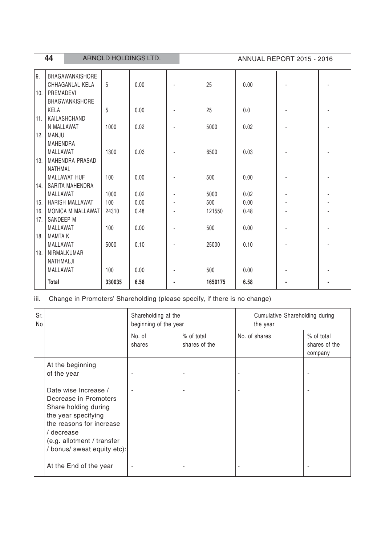| 44<br>ARNOLD HOLDINGS LTD. |                           |                        |        |      |                |         | <b>ANNUAL REPORT 2015 - 2016</b> |                |                |
|----------------------------|---------------------------|------------------------|--------|------|----------------|---------|----------------------------------|----------------|----------------|
|                            |                           |                        |        |      |                |         |                                  |                |                |
| 9.                         |                           | BHAGAWANKISHORE        |        |      |                |         |                                  |                |                |
|                            | PREMADEVI                 | CHHAGANLAL KELA        | 5      | 0.00 |                | 25      | 0.00                             |                |                |
| 10.                        |                           | BHAGWANKISHORE         |        |      |                |         |                                  |                |                |
|                            | KELA                      |                        | 5      | 0.00 |                | 25      | 0.0                              |                |                |
| 11.                        |                           | KAILASHCHAND           |        |      |                |         |                                  |                |                |
|                            | N MALLAWAT                |                        | 1000   | 0.02 |                | 5000    | 0.02                             |                |                |
| 12.                        | MANJU                     |                        |        |      |                |         |                                  |                |                |
|                            | MAHENDRA                  |                        |        |      |                |         |                                  |                |                |
|                            | MALLAWAT                  |                        | 1300   | 0.03 |                | 6500    | 0.03                             |                |                |
| 13.                        |                           | MAHENDRA PRASAD        |        |      |                |         |                                  |                |                |
|                            | <b>NATHMAL</b>            |                        |        |      |                |         |                                  |                |                |
|                            |                           | MALLAWAT HUF           | 100    | 0.00 |                | 500     | 0.00                             |                |                |
| 14.                        |                           | SARITA MAHENDRA        |        |      |                |         |                                  |                |                |
|                            | <b>MALLAWAT</b>           |                        | 1000   | 0.02 |                | 5000    | 0.02                             |                |                |
| 15.                        |                           | <b>HARISH MALLAWAT</b> | 100    | 0.00 |                | 500     | 0.00                             |                |                |
| 16.                        |                           | MONICA M MALLAWAT      | 24310  | 0.48 |                | 121550  | 0.48                             |                |                |
| 17.                        | SANDEEP M                 |                        |        |      |                |         |                                  |                |                |
| 18.                        | MALLAWAT<br><b>MAMTAK</b> |                        | 100    | 0.00 |                | 500     | 0.00                             |                |                |
|                            | MALLAWAT                  |                        | 5000   | 0.10 |                | 25000   | 0.10                             |                |                |
| 19.                        |                           | NIRMALKUMAR            |        |      |                |         |                                  |                |                |
|                            | NATHMALJI                 |                        |        |      |                |         |                                  |                |                |
|                            | MALLAWAT                  |                        | 100    | 0.00 |                | 500     | 0.00                             |                |                |
|                            | Total                     |                        | 330035 | 6.58 | $\blacksquare$ | 1650175 | 6.58                             | $\blacksquare$ | $\blacksquare$ |

iii. Change in Promoters' Shareholding (please specify, if there is no change)

| Sr.<br>No |                                                                                                                                                                                                     | Shareholding at the<br>beginning of the year |                             | Cumulative Shareholding during<br>the year |                                        |
|-----------|-----------------------------------------------------------------------------------------------------------------------------------------------------------------------------------------------------|----------------------------------------------|-----------------------------|--------------------------------------------|----------------------------------------|
|           |                                                                                                                                                                                                     | No. of<br>shares                             | % of total<br>shares of the | No. of shares                              | % of total<br>shares of the<br>company |
|           | At the beginning<br>of the year                                                                                                                                                                     |                                              |                             |                                            |                                        |
|           | Date wise Increase /<br>Decrease in Promoters<br>Share holding during<br>the year specifying<br>the reasons for increase<br>/ decrease<br>(e.g. allotment / transfer<br>/ bonus/ sweat equity etc): |                                              |                             |                                            |                                        |
|           | At the End of the year                                                                                                                                                                              |                                              |                             |                                            |                                        |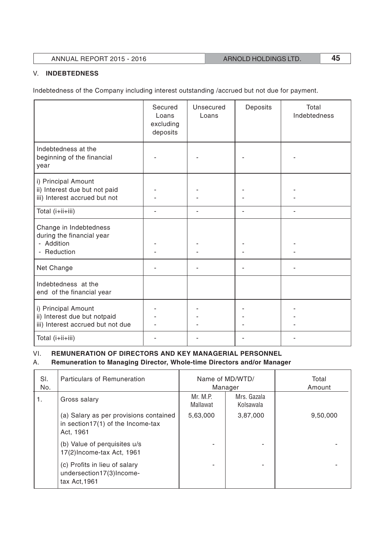ANNUAL REPORT 2015 - 2016 ARNOLD HOLDINGS LTD. 45

#### V. INDEBTEDNESS

Indebtedness of the Company including interest outstanding /accrued but not due for payment.

|                                                                                          | Secured<br>Loans<br>excluding<br>deposits | Unsecured<br>Loans | Deposits | Total<br>Indebtedness |
|------------------------------------------------------------------------------------------|-------------------------------------------|--------------------|----------|-----------------------|
| Indebtedness at the<br>beginning of the financial<br>year                                |                                           |                    |          |                       |
| i) Principal Amount<br>ii) Interest due but not paid<br>iii) Interest accrued but not    |                                           |                    |          |                       |
| Total (i+ii+iii)                                                                         |                                           |                    |          |                       |
| Change in Indebtedness<br>during the financial year<br>- Addition<br>- Reduction         |                                           |                    |          |                       |
| Net Change                                                                               |                                           |                    |          |                       |
| Indebtedness at the<br>end of the financial year                                         |                                           |                    |          |                       |
| i) Principal Amount<br>ii) Interest due but notpaid<br>iii) Interest accrued but not due |                                           |                    |          |                       |
| Total (i+ii+iii)                                                                         |                                           |                    |          |                       |

## VI. REMUNERATION OF DIRECTORS AND KEY MANAGERIAL PERSONNEL

A. Remuneration to Managing Director, Whole-time Directors and/or Manager

| SI.<br>No. | <b>Particulars of Remuneration</b>                                                       | Name of MD/WTD/<br>Manager |                          | Total<br>Amount |
|------------|------------------------------------------------------------------------------------------|----------------------------|--------------------------|-----------------|
| 1.         | Gross salary                                                                             | Mr. M.P.<br>Mallawat       | Mrs. Gazala<br>Kolsawala |                 |
|            | (a) Salary as per provisions contained<br>in section17(1) of the Income-tax<br>Act, 1961 | 5,63,000                   | 3,87,000                 | 9,50,000        |
|            | (b) Value of perquisites u/s<br>17(2) Income-tax Act, 1961                               |                            |                          |                 |
|            | (c) Profits in lieu of salary<br>undersection17(3)Income-<br>tax Act, 1961               |                            |                          |                 |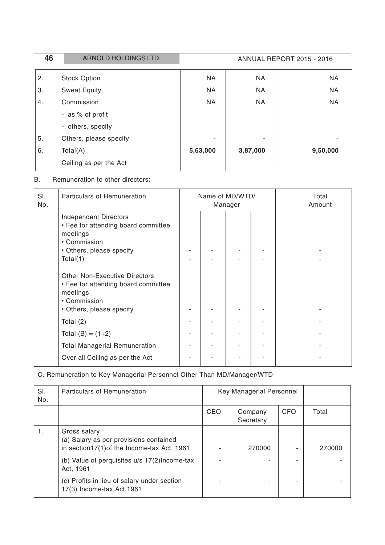| 46       | ARNOLD HOLDINGS LTD.                       | <b>ANNUAL REPORT 2015 - 2016</b> |                 |                        |  |
|----------|--------------------------------------------|----------------------------------|-----------------|------------------------|--|
| 2.<br>3. | <b>Stock Option</b><br><b>Sweat Equity</b> | <b>NA</b><br><b>NA</b>           | NA<br><b>NA</b> | <b>NA</b><br><b>NA</b> |  |
| 4.       | Commission                                 | <b>NA</b>                        | <b>NA</b>       | <b>NA</b>              |  |
|          | - as % of profit<br>- others, specify      |                                  |                 |                        |  |
| 5.       | Others, please specify                     | ٠                                |                 |                        |  |
| 6.       | Total(A)                                   | 5,63,000                         | 3,87,000        | 9,50,000               |  |
|          | Ceiling as per the Act                     |                                  |                 |                        |  |

### B. Remuneration to other directors:

| SI.<br>No. | <b>Particulars of Remuneration</b>                                                                                                      | Name of MD/WTD/<br>Manager |  |  | Total<br>Amount |  |
|------------|-----------------------------------------------------------------------------------------------------------------------------------------|----------------------------|--|--|-----------------|--|
|            | <b>Independent Directors</b><br>• Fee for attending board committee<br>meetings<br>• Commission<br>• Others, please specify<br>Total(1) |                            |  |  |                 |  |
|            | <b>Other Non-Executive Directors</b><br>• Fee for attending board committee<br>meetings<br>• Commission<br>• Others, please specify     |                            |  |  |                 |  |
|            | Total $(2)$                                                                                                                             |                            |  |  |                 |  |
|            | Total $(B) = (1+2)$                                                                                                                     |                            |  |  |                 |  |
|            | <b>Total Managerial Remuneration</b>                                                                                                    |                            |  |  |                 |  |
|            | Over all Ceiling as per the Act                                                                                                         |                            |  |  |                 |  |

## C. Remuneration to Key Managerial Personnel Other Than MD/Manager/WTD

| SI.<br>No. | <b>Particulars of Remuneration</b>                                                                    | Key Managerial Personnel |                      |            |        |
|------------|-------------------------------------------------------------------------------------------------------|--------------------------|----------------------|------------|--------|
|            |                                                                                                       | <b>CEO</b>               | Company<br>Secretary | <b>CFO</b> | Total  |
| 1.         | Gross salary<br>(a) Salary as per provisions contained<br>in section17(1) of the Income-tax Act, 1961 |                          | 270000               |            | 270000 |
|            | (b) Value of perquisites u/s 17(2) Income-tax<br>Act, 1961                                            |                          |                      |            |        |
|            | (c) Profits in lieu of salary under section<br>17(3) Income-tax Act, 1961                             |                          |                      |            |        |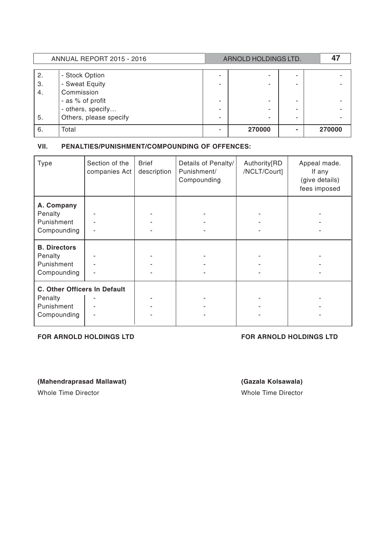|    | <b>ANNUAL REPORT 2015 - 2016</b> | ARNOLD HOLDINGS LTD. |   |        |  |
|----|----------------------------------|----------------------|---|--------|--|
|    |                                  |                      |   |        |  |
| 2. | - Stock Option                   | ۰                    | - |        |  |
| 3. | - Sweat Equity                   | ۰                    |   |        |  |
| 4. | Commission                       |                      |   |        |  |
|    | - as % of profit                 | ۰                    |   |        |  |
|    | - others, specify                | ۰                    |   |        |  |
| 5. | Others, please specify           | ۰                    | - |        |  |
| 6. | Total                            | 270000               |   | 270000 |  |

### VII. PENALTIES/PUNISHMENT/COMPOUNDING OF OFFENCES:

| <b>Type</b>                                                                 | Section of the<br>companies Act | <b>Brief</b><br>description | Details of Penalty/<br>Punishment/<br>Compounding | Authority[RD<br>/NCLT/Court] | Appeal made.<br>If any<br>(give details)<br>fees imposed |
|-----------------------------------------------------------------------------|---------------------------------|-----------------------------|---------------------------------------------------|------------------------------|----------------------------------------------------------|
| A. Company<br>Penalty<br>Punishment<br>Compounding                          |                                 |                             |                                                   |                              |                                                          |
| <b>B. Directors</b><br>Penalty<br>Punishment<br>Compounding                 |                                 |                             |                                                   |                              |                                                          |
| <b>C. Other Officers In Default</b><br>Penalty<br>Punishment<br>Compounding |                                 |                             |                                                   |                              |                                                          |

#### FOR ARNOLD HOLDINGS LTD FOR ARNOLD HOLDINGS LTD

(Mahendraprasad Mallawat) (Gazala Kolsawala)

Whole Time Director Whole Time Director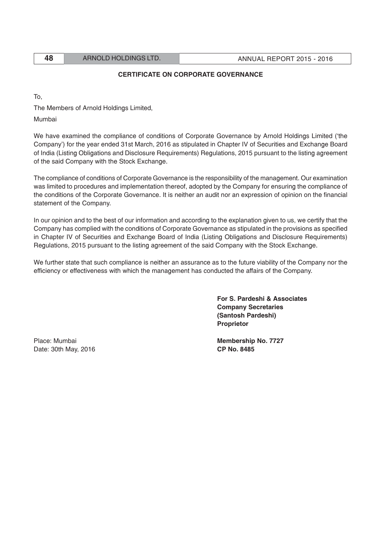|  | ARNOLD HOLDINGS LTI |
|--|---------------------|
|--|---------------------|

#### CERTIFICATE ON CORPORATE GOVERNANCE

To,

The Members of Arnold Holdings Limited,

Mumbai

48

We have examined the compliance of conditions of Corporate Governance by Arnold Holdings Limited ('the Company') for the year ended 31st March, 2016 as stipulated in Chapter IV of Securities and Exchange Board of India (Listing Obligations and Disclosure Requirements) Regulations, 2015 pursuant to the listing agreement of the said Company with the Stock Exchange.

The compliance of conditions of Corporate Governance is the responsibility of the management. Our examination was limited to procedures and implementation thereof, adopted by the Company for ensuring the compliance of the conditions of the Corporate Governance. It is neither an audit nor an expression of opinion on the financial statement of the Company.

In our opinion and to the best of our information and according to the explanation given to us, we certify that the Company has complied with the conditions of Corporate Governance as stipulated in the provisions as specified in Chapter IV of Securities and Exchange Board of India (Listing Obligations and Disclosure Requirements) Regulations, 2015 pursuant to the listing agreement of the said Company with the Stock Exchange.

We further state that such compliance is neither an assurance as to the future viability of the Company nor the efficiency or effectiveness with which the management has conducted the affairs of the Company.

> For S. Pardeshi & Associates Company Secretaries (Santosh Pardeshi) Proprietor

Place: Mumbai **Membership No. 7727** Date: 30th May, 2016 **CP No. 8485**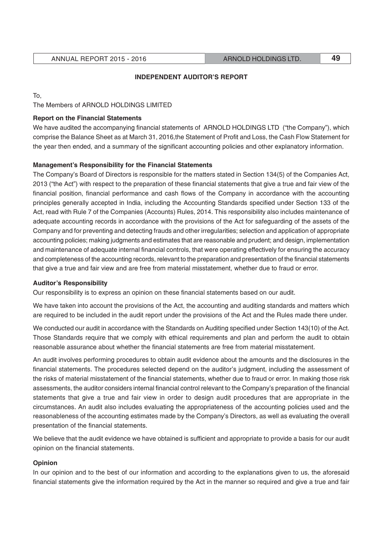#### INDEPENDENT AUDITOR'S REPORT

To,

The Members of ARNOLD HOLDINGS LIMITED

#### Report on the Financial Statements

We have audited the accompanying financial statements of ARNOLD HOLDINGS LTD ("the Company"), which comprise the Balance Sheet as at March 31, 2016,the Statement of Profit and Loss, the Cash Flow Statement for the year then ended, and a summary of the significant accounting policies and other explanatory information.

#### Management's Responsibility for the Financial Statements

The Company's Board of Directors is responsible for the matters stated in Section 134(5) of the Companies Act, 2013 ("the Act") with respect to the preparation of these financial statements that give a true and fair view of the financial position, financial performance and cash flows of the Company in accordance with the accounting principles generally accepted in India, including the Accounting Standards specified under Section 133 of the Act, read with Rule 7 of the Companies (Accounts) Rules, 2014. This responsibility also includes maintenance of adequate accounting records in accordance with the provisions of the Act for safeguarding of the assets of the Company and for preventing and detecting frauds and other irregularities; selection and application of appropriate accounting policies; making judgments and estimates that are reasonable and prudent; and design, implementation and maintenance of adequate internal financial controls, that were operating effectively for ensuring the accuracy and completeness of the accounting records, relevant to the preparation and presentation of the financial statements that give a true and fair view and are free from material misstatement, whether due to fraud or error.

#### Auditor's Responsibility

Our responsibility is to express an opinion on these financial statements based on our audit.

We have taken into account the provisions of the Act, the accounting and auditing standards and matters which are required to be included in the audit report under the provisions of the Act and the Rules made there under.

We conducted our audit in accordance with the Standards on Auditing specified under Section 143(10) of the Act. Those Standards require that we comply with ethical requirements and plan and perform the audit to obtain reasonable assurance about whether the financial statements are free from material misstatement.

An audit involves performing procedures to obtain audit evidence about the amounts and the disclosures in the financial statements. The procedures selected depend on the auditor's judgment, including the assessment of the risks of material misstatement of the financial statements, whether due to fraud or error. In making those risk assessments, the auditor considers internal financial control relevant to the Company's preparation of the financial statements that give a true and fair view in order to design audit procedures that are appropriate in the circumstances. An audit also includes evaluating the appropriateness of the accounting policies used and the reasonableness of the accounting estimates made by the Company's Directors, as well as evaluating the overall presentation of the financial statements.

We believe that the audit evidence we have obtained is sufficient and appropriate to provide a basis for our audit opinion on the financial statements.

#### Opinion

In our opinion and to the best of our information and according to the explanations given to us, the aforesaid financial statements give the information required by the Act in the manner so required and give a true and fair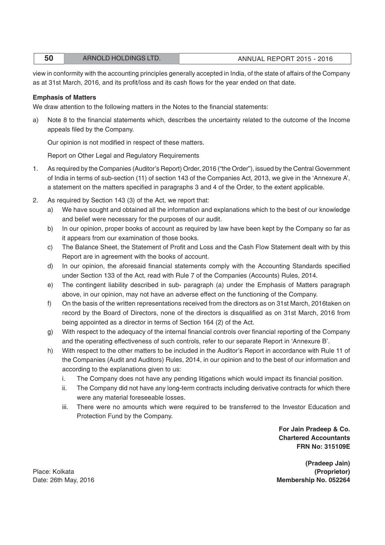view in conformity with the accounting principles generally accepted in India, of the state of affairs of the Company as at 31st March, 2016, and its profit/loss and its cash flows for the year ended on that date.

#### Emphasis of Matters

We draw attention to the following matters in the Notes to the financial statements:

a) Note 8 to the financial statements which, describes the uncertainty related to the outcome of the Income appeals filed by the Company.

Our opinion is not modified in respect of these matters.

Report on Other Legal and Regulatory Requirements

- 1. As required by the Companies (Auditor's Report) Order, 2016 ("the Order"), issued by the Central Government of India in terms of sub-section (11) of section 143 of the Companies Act, 2013, we give in the 'Annexure A', a statement on the matters specified in paragraphs 3 and 4 of the Order, to the extent applicable.
- 2. As required by Section 143 (3) of the Act, we report that:
	- a) We have sought and obtained all the information and explanations which to the best of our knowledge and belief were necessary for the purposes of our audit.
	- b) In our opinion, proper books of account as required by law have been kept by the Company so far as it appears from our examination of those books.
	- c) The Balance Sheet, the Statement of Profit and Loss and the Cash Flow Statement dealt with by this Report are in agreement with the books of account.
	- d) In our opinion, the aforesaid financial statements comply with the Accounting Standards specified under Section 133 of the Act, read with Rule 7 of the Companies (Accounts) Rules, 2014.
	- e) The contingent liability described in sub- paragraph (a) under the Emphasis of Matters paragraph above, in our opinion, may not have an adverse effect on the functioning of the Company.
	- f) On the basis of the written representations received from the directors as on 31st March, 2016taken on record by the Board of Directors, none of the directors is disqualified as on 31st March, 2016 from being appointed as a director in terms of Section 164 (2) of the Act.
	- g) With respect to the adequacy of the internal financial controls over financial reporting of the Company and the operating effectiveness of such controls, refer to our separate Report in 'Annexure B'.
	- h) With respect to the other matters to be included in the Auditor's Report in accordance with Rule 11 of the Companies (Audit and Auditors) Rules, 2014, in our opinion and to the best of our information and according to the explanations given to us:
		- i. The Company does not have any pending litigations which would impact its financial position.
		- ii. The Company did not have any long-term contracts including derivative contracts for which there were any material foreseeable losses.
		- iii. There were no amounts which were required to be transferred to the Investor Education and Protection Fund by the Company.

For Jain Pradeep & Co. Chartered Accountants FRN No: 315109E

(Pradeep Jain) Place: Kolkata (Proprietor) Date: 26th May, 2016 Membership No. 052264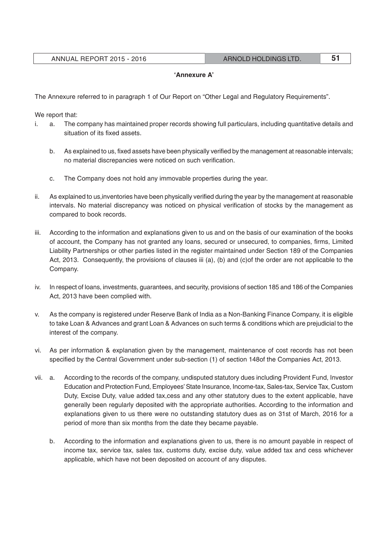| ANNUAL REPORT 2015 - 2016 |  |
|---------------------------|--|
|                           |  |

#### 'Annexure A'

The Annexure referred to in paragraph 1 of Our Report on "Other Legal and Regulatory Requirements".

We report that:

- i. a. The company has maintained proper records showing full particulars, including quantitative details and situation of its fixed assets.
	- b. As explained to us, fixed assets have been physically verified by the management at reasonable intervals; no material discrepancies were noticed on such verification.
	- c. The Company does not hold any immovable properties during the year.
- ii. As explained to us,inventories have been physically verified during the year by the management at reasonable intervals. No material discrepancy was noticed on physical verification of stocks by the management as compared to book records.
- iii. According to the information and explanations given to us and on the basis of our examination of the books of account, the Company has not granted any loans, secured or unsecured, to companies, firms, Limited Liability Partnerships or other parties listed in the register maintained under Section 189 of the Companies Act, 2013. Consequently, the provisions of clauses iii (a), (b) and (c)of the order are not applicable to the Company.
- iv. In respect of loans, investments, guarantees, and security, provisions of section 185 and 186 of the Companies Act, 2013 have been complied with.
- v. As the company is registered under Reserve Bank of India as a Non-Banking Finance Company, it is eligible to take Loan & Advances and grant Loan & Advances on such terms & conditions which are prejudicial to the interest of the company.
- vi. As per information & explanation given by the management, maintenance of cost records has not been specified by the Central Government under sub-section (1) of section 148of the Companies Act, 2013.
- vii. a. According to the records of the company, undisputed statutory dues including Provident Fund, Investor Education and Protection Fund, Employees' State Insurance, Income-tax, Sales-tax, Service Tax, Custom Duty, Excise Duty, value added tax,cess and any other statutory dues to the extent applicable, have generally been regularly deposited with the appropriate authorities. According to the information and explanations given to us there were no outstanding statutory dues as on 31st of March, 2016 for a period of more than six months from the date they became payable.
	- b. According to the information and explanations given to us, there is no amount payable in respect of income tax, service tax, sales tax, customs duty, excise duty, value added tax and cess whichever applicable, which have not been deposited on account of any disputes.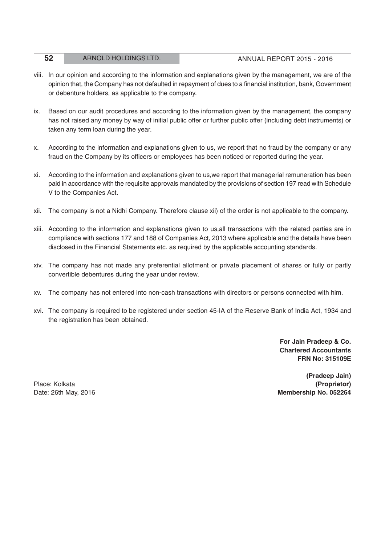| 52<br>ARNOLD HOLDINGS LTD. | <b>ANNUAL REPORT 2015 - 2016</b> |
|----------------------------|----------------------------------|
|----------------------------|----------------------------------|

- viii. In our opinion and according to the information and explanations given by the management, we are of the opinion that, the Company has not defaulted in repayment of dues to a financial institution, bank, Government or debenture holders, as applicable to the company.
- ix. Based on our audit procedures and according to the information given by the management, the company has not raised any money by way of initial public offer or further public offer (including debt instruments) or taken any term loan during the year.
- x. According to the information and explanations given to us, we report that no fraud by the company or any fraud on the Company by its officers or employees has been noticed or reported during the year.
- xi. According to the information and explanations given to us,we report that managerial remuneration has been paid in accordance with the requisite approvals mandated by the provisions of section 197 read with Schedule V to the Companies Act.
- xii. The company is not a Nidhi Company. Therefore clause xii) of the order is not applicable to the company.
- xiii. According to the information and explanations given to us,all transactions with the related parties are in compliance with sections 177 and 188 of Companies Act, 2013 where applicable and the details have been disclosed in the Financial Statements etc. as required by the applicable accounting standards.
- xiv. The company has not made any preferential allotment or private placement of shares or fully or partly convertible debentures during the year under review.
- xv. The company has not entered into non-cash transactions with directors or persons connected with him.
- xvi. The company is required to be registered under section 45-IA of the Reserve Bank of India Act, 1934 and the registration has been obtained.

For Jain Pradeep & Co. Chartered Accountants FRN No: 315109E

(Pradeep Jain) Place: Kolkata (Proprietor) Date: 26th May, 2016 Membership No. 052264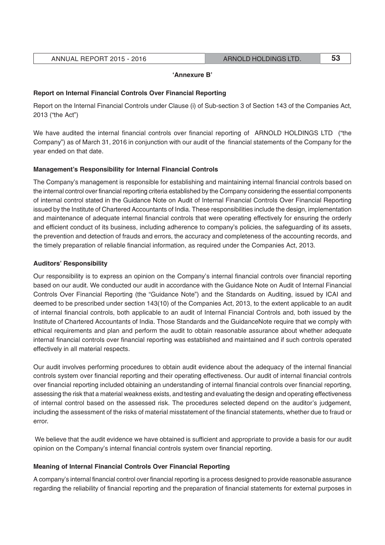| <b>ANNUAL REPORT 2015 - 2016</b> | ARNOLD HOLDINGS LTD. | JJ |
|----------------------------------|----------------------|----|
|----------------------------------|----------------------|----|

#### 'Annexure B'

#### Report on Internal Financial Controls Over Financial Reporting

Report on the Internal Financial Controls under Clause (i) of Sub-section 3 of Section 143 of the Companies Act, 2013 ("the Act")

We have audited the internal financial controls over financial reporting of ARNOLD HOLDINGS LTD ("the Company") as of March 31, 2016 in conjunction with our audit of the financial statements of the Company for the year ended on that date.

#### Management's Responsibility for Internal Financial Controls

The Company's management is responsible for establishing and maintaining internal financial controls based on the internal control over financial reporting criteria established by the Company considering the essential components of internal control stated in the Guidance Note on Audit of Internal Financial Controls Over Financial Reporting issued by the Institute of Chartered Accountants of India. These responsibilities include the design, implementation and maintenance of adequate internal financial controls that were operating effectively for ensuring the orderly and efficient conduct of its business, including adherence to company's policies, the safeguarding of its assets, the prevention and detection of frauds and errors, the accuracy and completeness of the accounting records, and the timely preparation of reliable financial information, as required under the Companies Act, 2013.

#### Auditors' Responsibility

Our responsibility is to express an opinion on the Company's internal financial controls over financial reporting based on our audit. We conducted our audit in accordance with the Guidance Note on Audit of Internal Financial Controls Over Financial Reporting (the "Guidance Note") and the Standards on Auditing, issued by ICAI and deemed to be prescribed under section 143(10) of the Companies Act, 2013, to the extent applicable to an audit of internal financial controls, both applicable to an audit of Internal Financial Controls and, both issued by the Institute of Chartered Accountants of India. Those Standards and the GuidanceNote require that we comply with ethical requirements and plan and perform the audit to obtain reasonable assurance about whether adequate internal financial controls over financial reporting was established and maintained and if such controls operated effectively in all material respects.

Our audit involves performing procedures to obtain audit evidence about the adequacy of the internal financial controls system over financial reporting and their operating effectiveness. Our audit of internal financial controls over financial reporting included obtaining an understanding of internal financial controls over financial reporting, assessing the risk that a material weakness exists, and testing and evaluating the design and operating effectiveness of internal control based on the assessed risk. The procedures selected depend on the auditor's judgement, including the assessment of the risks of material misstatement of the financial statements, whether due to fraud or error.

 We believe that the audit evidence we have obtained is sufficient and appropriate to provide a basis for our audit opinion on the Company's internal financial controls system over financial reporting.

#### Meaning of Internal Financial Controls Over Financial Reporting

A company's internal financial control over financial reporting is a process designed to provide reasonable assurance regarding the reliability of financial reporting and the preparation of financial statements for external purposes in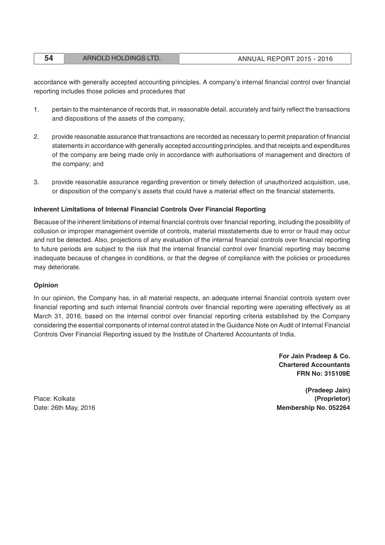| 54 | ARNOLD HOLDINGS LTD. | <b>ANNUAL REPORT 2015 - 2016</b> |
|----|----------------------|----------------------------------|
|----|----------------------|----------------------------------|

accordance with generally accepted accounting principles. A company's internal financial control over financial reporting includes those policies and procedures that

- 1. pertain to the maintenance of records that, in reasonable detail, accurately and fairly reflect the transactions and dispositions of the assets of the company;
- 2. provide reasonable assurance that transactions are recorded as necessary to permit preparation of financial statements in accordance with generally accepted accounting principles, and that receipts and expenditures of the company are being made only in accordance with authorisations of management and directors of the company; and
- 3. provide reasonable assurance regarding prevention or timely detection of unauthorized acquisition, use, or disposition of the company's assets that could have a material effect on the financial statements.

#### Inherent Limitations of Internal Financial Controls Over Financial Reporting

Because of the inherent limitations of internal financial controls over financial reporting, including the possibility of collusion or improper management override of controls, material misstatements due to error or fraud may occur and not be detected. Also, projections of any evaluation of the internal financial controls over financial reporting to future periods are subject to the risk that the internal financial control over financial reporting may become inadequate because of changes in conditions, or that the degree of compliance with the policies or procedures may deteriorate.

#### Opinion

In our opinion, the Company has, in all material respects, an adequate internal financial controls system over financial reporting and such internal financial controls over financial reporting were operating effectively as at March 31, 2016, based on the internal control over financial reporting criteria established by the Company considering the essential components of internal control stated in the Guidance Note on Audit of Internal Financial Controls Over Financial Reporting issued by the Institute of Chartered Accountants of India.

> For Jain Pradeep & Co. Chartered Accountants FRN No: 315109E

(Pradeep Jain) Place: Kolkata (Proprietor) Date: 26th May, 2016 Membership No. 052264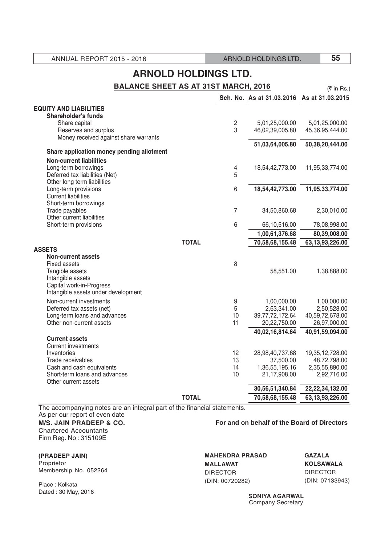ANNUAL REPORT 2015 - 2016 ARNOLD HOLDINGS LTD.

55

 $($ ₹ in Rs.)

## ARNOLD HOLDINGS LTD.

BALANCE SHEET AS AT 31ST MARCH, 2016

|                                                     |              |                     | Sch. No. As at 31.03.2016 As at 31.03.2015 |                                       |
|-----------------------------------------------------|--------------|---------------------|--------------------------------------------|---------------------------------------|
| <b>EQUITY AND LIABILITIES</b>                       |              |                     |                                            |                                       |
| <b>Shareholder's funds</b>                          |              |                     |                                            |                                       |
| Share capital<br>Reserves and surplus               |              | $\overline{c}$<br>3 | 5,01,25,000.00<br>46,02,39,005.80          | 5,01,25,000.00<br>45, 36, 95, 444. 00 |
| Money received against share warrants               |              |                     |                                            |                                       |
|                                                     |              |                     | 51,03,64,005.80                            | 50,38,20,444.00                       |
| Share application money pending allotment           |              |                     |                                            |                                       |
| <b>Non-current liabilities</b>                      |              |                     |                                            |                                       |
| Long-term borrowings                                |              | 4                   | 18,54,42,773.00                            | 11,95,33,774.00                       |
| Deferred tax liabilities (Net)                      |              | 5                   |                                            |                                       |
| Other long term liabilities<br>Long-term provisions |              | 6                   | 18,54,42,773.00                            | 11,95,33,774.00                       |
| <b>Current liabilities</b>                          |              |                     |                                            |                                       |
| Short-term borrowings                               |              |                     |                                            |                                       |
| Trade payables                                      |              | $\overline{7}$      | 34,50,860.68                               | 2,30,010.00                           |
| Other current liabilities                           |              |                     |                                            |                                       |
| Short-term provisions                               |              | 6                   | 66,10,516.00                               | 78,08,998.00                          |
|                                                     |              |                     | 1,00,61,376.68                             | 80,39,008.00                          |
|                                                     | <b>TOTAL</b> |                     | 70,58,68,155.48                            | 63,13,93,226.00                       |
| <b>ASSETS</b>                                       |              |                     |                                            |                                       |
| <b>Non-current assets</b><br><b>Fixed assets</b>    |              | 8                   |                                            |                                       |
| Tangible assets                                     |              |                     | 58,551.00                                  | 1,38,888.00                           |
| Intangible assets                                   |              |                     |                                            |                                       |
| Capital work-in-Progress                            |              |                     |                                            |                                       |
| Intangible assets under development                 |              |                     |                                            |                                       |
| Non-current investments                             |              | 9                   | 1,00,000.00                                | 1,00,000.00                           |
| Deferred tax assets (net)                           |              | 5                   | 2,63,341.00                                | 2,50,528.00                           |
| Long-term loans and advances                        |              | 10                  | 39,77,72,172.64                            | 40,59,72,678.00                       |
| Other non-current assets                            |              | 11                  | 20,22,750.00                               | 26,97,000.00                          |
|                                                     |              |                     | 40,02,16,814.64                            | 40,91,59,094.00                       |
| <b>Current assets</b><br><b>Current investments</b> |              |                     |                                            |                                       |
| Inventories                                         |              | 12                  | 28,98,40,737.68                            | 19,35,12,728.00                       |
| Trade receivables                                   |              | 13                  | 37,500.00                                  | 48,72,798.00                          |
| Cash and cash equivalents                           |              | 14                  | 1,36,55,195.16                             | 2,35,55,890.00                        |
| Short-term loans and advances                       |              | 10                  | 21,17,908.00                               | 2,92,716.00                           |
| Other current assets                                |              |                     |                                            |                                       |
|                                                     |              |                     | 30,56,51,340.84                            | 22,22,34,132.00                       |
|                                                     | <b>TOTAL</b> |                     | 70,58,68,155.48                            | 63,13,93,226.00                       |

The accompanying notes are an integral part of the financial statements.

M/S. JAIN PRADEEP & CO. Chartered Accountants Firm Reg. No : 315109E As per our report of even date

(PRADEEP JAIN) Proprietor Membership No. 052264

Place : Kolkata Dated : 30 May, 2016 **For and on behalf of the Board of Directors**

MAHENDRA PRASAD MALLAWAT DIRECTOR (DIN: 00720282)

GAZALA KOLSAWALA DIRECTOR (DIN: 07133943)

SONIYA AGARWAL Company Secretary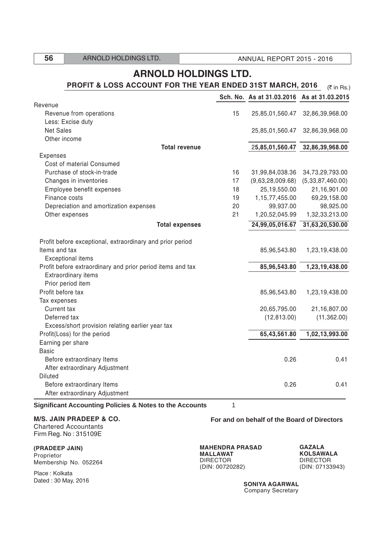ARNOLD HOLDINGS LTD. ANNUAL REPORT 2015 - 2016

## ARNOLD HOLDINGS LTD.

| <b>PROFIT &amp; LOSS ACCOUNT FOR THE YEAR ENDED 31ST MARCH, 2016</b> |    |                                            | $(3\overline{5})$ in Rs.) |
|----------------------------------------------------------------------|----|--------------------------------------------|---------------------------|
|                                                                      |    | Sch. No. As at 31.03.2016 As at 31.03.2015 |                           |
| Revenue                                                              |    |                                            |                           |
| Revenue from operations                                              | 15 | 25,85,01,560.47                            | 32,86,39,968.00           |
| Less: Excise duty                                                    |    |                                            |                           |
| <b>Net Sales</b>                                                     |    | 25,85,01,560.47                            | 32,86,39,968.00           |
| Other income                                                         |    |                                            |                           |
| <b>Total revenue</b>                                                 |    | 25,85,01,560.47                            | 32,86,39,968.00           |
| Expenses                                                             |    |                                            |                           |
| Cost of material Consumed                                            |    |                                            |                           |
| Purchase of stock-in-trade                                           | 16 | 31,99,84,038.36                            | 34,73,29,793.00           |
| Changes in inventories                                               | 17 | (9,63,28,009.68)                           | (5,33,87,460.00)          |
| Employee benefit expenses                                            | 18 | 25,19,550.00                               | 21,16,901.00              |
| Finance costs                                                        | 19 | 1, 15, 77, 455.00                          | 69,29,158.00              |
| Depreciation and amortization expenses                               | 20 | 99,937.00                                  | 98,925.00                 |
| Other expenses                                                       | 21 | 1,20,52,045.99                             | 1,32,33,213.00            |
| <b>Total expenses</b>                                                |    | 24,99,05,016.67                            | 31,63,20,530.00           |
| Profit before exceptional, extraordinary and prior period            |    |                                            |                           |
| Items and tax                                                        |    | 85,96,543.80                               | 1,23,19,438.00            |
| <b>Exceptional items</b>                                             |    |                                            |                           |
| Profit before extraordinary and prior period items and tax           |    | 85,96,543.80                               | 1,23,19,438.00            |
| Extraordinary items                                                  |    |                                            |                           |
| Prior period item                                                    |    |                                            |                           |
| Profit before tax                                                    |    | 85,96,543.80                               | 1,23,19,438.00            |
| Tax expenses                                                         |    |                                            |                           |
| Current tax                                                          |    | 20,65,795.00                               | 21,16,807.00              |
| Deferred tax                                                         |    | (12, 813.00)                               | (11, 362.00)              |
| Excess/short provision relating earlier year tax                     |    |                                            |                           |
| Profit(Loss) for the period                                          |    | 65,43,561.80                               | 1,02,13,993.00            |
| Earning per share                                                    |    |                                            |                           |
| <b>Basic</b>                                                         |    |                                            |                           |
| Before extraordinary Items                                           |    | 0.26                                       | 0.41                      |
| After extraordinary Adjustment                                       |    |                                            |                           |
| <b>Diluted</b>                                                       |    |                                            |                           |
| Before extraordinary Items                                           |    | 0.26                                       | 0.41                      |
| After extraordinary Adjustment                                       |    |                                            |                           |

#### **Significant Accounting Policies & Notes to the Accounts** 1

#### M/S. JAIN PRADEEP & CO.

Chartered Accountants Firm Reg. No : 315109E

(PRADEEP JAIN)

Proprietor Membership No. 052264

Place : Kolkata Dated : 30 May, 2016 **For and on behalf of the Board of Directors**

MAHENDRA PRASAD MALLAWAT DIRECTOR (DIN: 00720282)

GAZALA KOLSAWALA DIRECTOR (DIN: 07133943)

SONIYA AGARWAL Company Secretary

56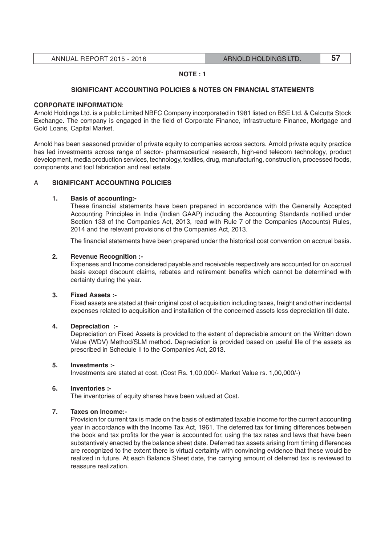| <b>ANNUAL REPORT 2015 - 2016</b> | ARNOLD HOLDINGS LTD. |  |
|----------------------------------|----------------------|--|
|----------------------------------|----------------------|--|

#### NOTE : 1

#### SIGNIFICANT ACCOUNTING POLICIES & NOTES ON FINANCIAL STATEMENTS

#### CORPORATE INFORMATION:

Arnold Holdings Ltd. is a public Limited NBFC Company incorporated in 1981 listed on BSE Ltd. & Calcutta Stock Exchange. The company is engaged in the field of Corporate Finance, Infrastructure Finance, Mortgage and Gold Loans, Capital Market.

Arnold has been seasoned provider of private equity to companies across sectors. Arnold private equity practice has led investments across range of sector- pharmaceutical research, high-end telecom technology, product development, media production services, technology, textiles, drug, manufacturing, construction, processed foods, components and tool fabrication and real estate.

#### A SIGNIFICANT ACCOUNTING POLICIES

#### 1. Basis of accounting:-

These financial statements have been prepared in accordance with the Generally Accepted Accounting Principles in India (Indian GAAP) including the Accounting Standards notified under Section 133 of the Companies Act, 2013, read with Rule 7 of the Companies (Accounts) Rules, 2014 and the relevant provisions of the Companies Act, 2013.

The financial statements have been prepared under the historical cost convention on accrual basis.

#### 2. Revenue Recognition :-

Expenses and Income considered payable and receivable respectively are accounted for on accrual basis except discount claims, rebates and retirement benefits which cannot be determined with certainty during the year.

#### 3. Fixed Assets :-

Fixed assets are stated at their original cost of acquisition including taxes, freight and other incidental expenses related to acquisition and installation of the concerned assets less depreciation till date.

#### 4. Depreciation :-

Depreciation on Fixed Assets is provided to the extent of depreciable amount on the Written down Value (WDV) Method/SLM method. Depreciation is provided based on useful life of the assets as prescribed in Schedule II to the Companies Act, 2013.

#### 5. Investments :-

Investments are stated at cost. (Cost Rs. 1,00,000/- Market Value rs. 1,00,000/-)

#### 6. Inventories :-

The inventories of equity shares have been valued at Cost.

#### 7. Taxes on Income:-

Provision for current tax is made on the basis of estimated taxable income for the current accounting year in accordance with the Income Tax Act, 1961. The deferred tax for timing differences between the book and tax profits for the year is accounted for, using the tax rates and laws that have been substantively enacted by the balance sheet date. Deferred tax assets arising from timing differences are recognized to the extent there is virtual certainty with convincing evidence that these would be realized in future. At each Balance Sheet date, the carrying amount of deferred tax is reviewed to reassure realization.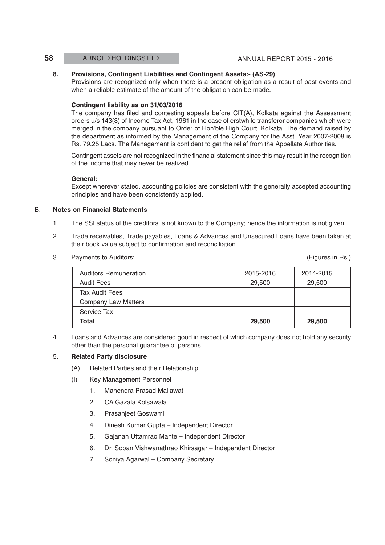| 58 | ARNOLD HOLDINGS LTD. | <b>ANNUAL REPORT 2015 - 2016</b> |
|----|----------------------|----------------------------------|
|----|----------------------|----------------------------------|

#### 8. Provisions, Contingent Liabilities and Contingent Assets:- (AS-29)

Provisions are recognized only when there is a present obligation as a result of past events and when a reliable estimate of the amount of the obligation can be made.

#### Contingent liability as on 31/03/2016

The company has filed and contesting appeals before CIT(A), Kolkata against the Assessment orders u/s 143(3) of Income Tax Act, 1961 in the case of erstwhile transferor companies which were merged in the company pursuant to Order of Hon'ble High Court, Kolkata. The demand raised by the department as informed by the Management of the Company for the Asst. Year 2007-2008 is Rs. 79.25 Lacs. The Management is confident to get the relief from the Appellate Authorities.

Contingent assets are not recognized in the financial statement since this may result in the recognition of the income that may never be realized.

#### General:

Except wherever stated, accounting policies are consistent with the generally accepted accounting principles and have been consistently applied.

#### B. Notes on Financial Statements

- 1. The SSI status of the creditors is not known to the Company; hence the information is not given.
- 2. Trade receivables, Trade payables, Loans & Advances and Unsecured Loans have been taken at their book value subject to confirmation and reconciliation.
- 3. Payments to Auditors: (Figures in Rs.)

| <b>Auditors Remuneration</b> | 2015-2016 | 2014-2015 |
|------------------------------|-----------|-----------|
| <b>Audit Fees</b>            | 29,500    | 29,500    |
| Tax Audit Fees               |           |           |
| <b>Company Law Matters</b>   |           |           |
| Service Tax                  |           |           |
| Total                        | 29,500    | 29,500    |

4. Loans and Advances are considered good in respect of which company does not hold any security other than the personal guarantee of persons.

#### 5. Related Party disclosure

- (A) Related Parties and their Relationship
- (I) Key Management Personnel
	- 1. Mahendra Prasad Mallawat
	- 2. CA Gazala Kolsawala
	- 3. Prasanjeet Goswami
	- 4. Dinesh Kumar Gupta Independent Director
	- 5. Gajanan Uttamrao Mante Independent Director
	- 6. Dr. Sopan Vishwanathrao Khirsagar Independent Director
	- 7. Soniya Agarwal Company Secretary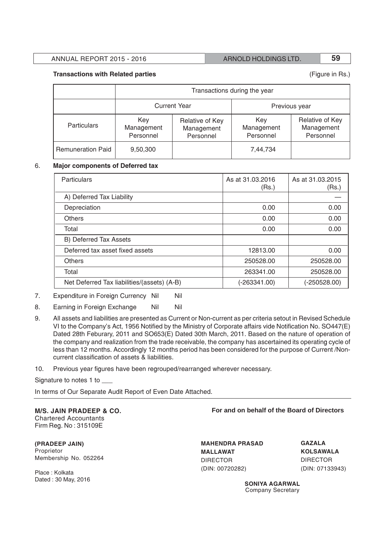#### ANNUAL REPORT 2015 - 2016 ARNOLD HOLDINGS LTD.

59

#### Transactions with Related parties **Transactions with Related parties** (Figure in Rs.)

|                          | Transactions during the year         |                                            |                                |                                            |
|--------------------------|--------------------------------------|--------------------------------------------|--------------------------------|--------------------------------------------|
|                          | <b>Current Year</b><br>Previous year |                                            |                                |                                            |
| <b>Particulars</b>       | Key<br>Management<br>Personnel       | Relative of Key<br>Management<br>Personnel | Key<br>Management<br>Personnel | Relative of Key<br>Management<br>Personnel |
| <b>Remuneration Paid</b> | 9,50,300                             |                                            | 7,44,734                       |                                            |

#### 6. Major components of Deferred tax

| Particulars                                 | As at 31.03.2016<br>(Rs.) | As at 31.03.2015<br>(Rs.) |
|---------------------------------------------|---------------------------|---------------------------|
| A) Deferred Tax Liability                   |                           |                           |
| Depreciation                                | 0.00                      | 0.00                      |
| <b>Others</b>                               | 0.00                      | 0.00                      |
| Total                                       | 0.00                      | 0.00                      |
| B) Deferred Tax Assets                      |                           |                           |
| Deferred tax asset fixed assets             | 12813.00                  | 0.00                      |
| <b>Others</b>                               | 250528.00                 | 250528.00                 |
| Total                                       | 263341.00                 | 250528.00                 |
| Net Deferred Tax liabilities/(assets) (A-B) | $(-263341.00)$            | $(-250528.00)$            |

#### 7. Expenditure in Foreign Currency Nil Nil

- 8. Earning in Foreign Exchange Nil Nil
- 9. All assets and liabilities are presented as Current or Non-current as per criteria setout in Revised Schedule VI to the Company's Act, 1956 Notified by the Ministry of Corporate affairs vide Notification No. SO447(E) Dated 28th Feburary, 2011 and SO653(E) Dated 30th March, 2011. Based on the nature of operation of the company and realization from the trade receivable, the company has ascertained its operating cycle of less than 12 months. Accordingly 12 months period has been considered for the purpose of Current /Noncurrent classification of assets & liabilities.
- 10. Previous year figures have been regrouped/rearranged wherever necessary.

Signature to notes 1 to

In terms of Our Separate Audit Report of Even Date Attached.

M/S. JAIN PRADEEP & CO. Chartered Accountants Firm Reg. No : 315109E

(PRADEEP JAIN) Proprietor Membership No. 052264

Place : Kolkata Dated : 30 May, 2016 MAHENDRA PRASAD MALLAWAT DIRECTOR (DIN: 00720282)

GAZALA KOLSAWALA DIRECTOR (DIN: 07133943)

SONIYA AGARWAL Company Secretary

**For and on behalf of the Board of Directors**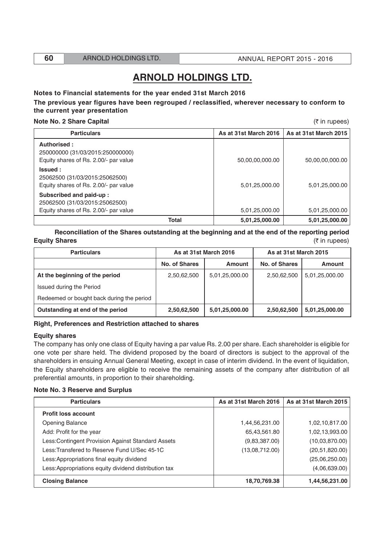## ARNOLD HOLDINGS LTD.

#### Notes to Financial statements for the year ended 31st March 2016 The previous year figures have been regrouped / reclassified, wherever necessary to conform to the current year presentation

#### Note No. 2 Share Capital and the set of the set of the set of the set of the set of the set of the set of the set of the set of the set of the set of the set of the set of the set of the set of the set of the set of the s

| <b>Particulars</b>                                                                                 | As at 31st March 2016 | As at 31st March 2015 |
|----------------------------------------------------------------------------------------------------|-----------------------|-----------------------|
| Authorised:<br>250000000 (31/03/2015:250000000)<br>Equity shares of Rs. 2.00/- par value           | 50,00,00,000.00       | 50,00,00,000.00       |
| <b>Issued:</b><br>25062500 (31/03/2015:25062500)<br>Equity shares of Rs. 2.00/- par value          | 5,01,25,000.00        | 5,01,25,000.00        |
| Subscribed and paid-up:<br>25062500 (31/03/2015:25062500)<br>Equity shares of Rs. 2.00/- par value | 5,01,25,000.00        | 5,01,25,000.00        |
| <b>Total</b>                                                                                       | 5,01,25,000.00        | 5,01,25,000.00        |

### Reconciliation of the Shares outstanding at the beginning and at the end of the reporting period **Equity Shares** (₹ in rupees)

| <b>Particulars</b>                        | As at 31st March 2016 |                | As at 31st March 2015 |                |
|-------------------------------------------|-----------------------|----------------|-----------------------|----------------|
|                                           | No. of Shares         | Amount         | No. of Shares         | Amount         |
| At the beginning of the period            | 2,50,62,500           | 5,01,25,000.00 | 2,50,62,500           | 5,01,25,000.00 |
| Issued during the Period                  |                       |                |                       |                |
| Redeemed or bought back during the period |                       |                |                       |                |
| Outstanding at end of the period          | 2,50,62,500           | 5,01,25,000.00 | 2,50,62,500           | 5,01,25,000.00 |

#### Right, Preferences and Restriction attached to shares

#### Equity shares

The company has only one class of Equity having a par value Rs. 2.00 per share. Each shareholder is eligible for one vote per share held. The dividend proposed by the board of directors is subject to the approval of the shareholders in ensuing Annual General Meeting, except in case of interim dividend. In the event of liquidation, the Equity shareholders are eligible to receive the remaining assets of the company after distribution of all preferential amounts, in proportion to their shareholding.

#### Note No. 3 Reserve and Surplus

| <b>Particulars</b>                                    | As at 31st March 2016 | As at 31st March 2015 |
|-------------------------------------------------------|-----------------------|-----------------------|
| <b>Profit loss account</b>                            |                       |                       |
| <b>Opening Balance</b>                                | 1,44,56,231.00        | 1,02,10,817.00        |
| Add: Profit for the year                              | 65,43,561.80          | 1,02,13,993.00        |
| Less: Contingent Provision Against Standard Assets    | (9,83,387.00)         | (10,03,870.00)        |
| Less: Transfered to Reserve Fund U/Sec 45-1C          | (13,08,712.00)        | (20,51,820.00)        |
| Less: Appropriations final equity dividend            |                       | (25,06,250.00)        |
| Less: Appropriations equity dividend distribution tax |                       | (4,06,639.00)         |
| <b>Closing Balance</b>                                | 18,70,769.38          | 1,44,56,231.00        |

60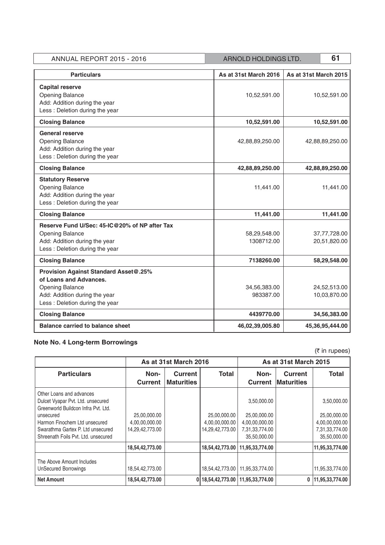| <b>ANNUAL REPORT 2015 - 2016</b>                                                                                                                                     | ARNOLD HOLDINGS LTD.       |                       |                              |
|----------------------------------------------------------------------------------------------------------------------------------------------------------------------|----------------------------|-----------------------|------------------------------|
| <b>Particulars</b>                                                                                                                                                   | As at 31st March 2016      | As at 31st March 2015 |                              |
| <b>Capital reserve</b><br><b>Opening Balance</b><br>Add: Addition during the year<br>Less : Deletion during the year                                                 | 10,52,591.00               |                       | 10,52,591.00                 |
| <b>Closing Balance</b>                                                                                                                                               | 10,52,591.00               |                       | 10,52,591.00                 |
| <b>General reserve</b><br>Opening Balance<br>Add: Addition during the year<br>Less : Deletion during the year                                                        | 42,88,89,250.00            |                       | 42,88,89,250.00              |
| <b>Closing Balance</b>                                                                                                                                               | 42,88,89,250.00            |                       | 42,88,89,250.00              |
| <b>Statutory Reserve</b><br>Opening Balance<br>Add: Addition during the year<br>Less : Deletion during the year                                                      | 11,441.00                  |                       | 11,441.00                    |
| <b>Closing Balance</b>                                                                                                                                               | 11,441.00                  |                       | 11,441.00                    |
| Reserve Fund U/Sec: 45-IC@20% of NP after Tax<br><b>Opening Balance</b><br>Add: Addition during the year<br>Less : Deletion during the year                          | 58,29,548.00<br>1308712.00 |                       | 37,77,728.00<br>20,51,820.00 |
| <b>Closing Balance</b>                                                                                                                                               | 7138260.00                 |                       | 58,29,548.00                 |
| <b>Provision Against Standard Asset@.25%</b><br>of Loans and Advances.<br><b>Opening Balance</b><br>Add: Addition during the year<br>Less : Deletion during the year | 34,56,383.00<br>983387.00  |                       | 24,52,513.00<br>10,03,870.00 |
| <b>Closing Balance</b>                                                                                                                                               | 4439770.00                 |                       | 34,56,383.00                 |
| <b>Balance carried to balance sheet</b>                                                                                                                              | 46,02,39,005.80            |                       | 45,36,95,444.00              |

## Note No. 4 Long-term Borrowings

 $($ ₹ in rupees)

|                                                                                                                                                                                                                                |                                                   | As at 31st March 2016        |                                                   | As at 31st March 2015                                                           |                              |                                                                                 |  |
|--------------------------------------------------------------------------------------------------------------------------------------------------------------------------------------------------------------------------------|---------------------------------------------------|------------------------------|---------------------------------------------------|---------------------------------------------------------------------------------|------------------------------|---------------------------------------------------------------------------------|--|
| <b>Particulars</b>                                                                                                                                                                                                             | Non-<br><b>Current</b>                            | Current<br><b>Maturities</b> | <b>Total</b>                                      | Non-<br><b>Current</b>                                                          | Current<br><b>Maturities</b> | <b>Total</b>                                                                    |  |
| Other Loans and advances<br>Dulcet Vyapar Pvt. Ltd. unsecured<br>Greenworld Buildcon Infra Pvt. Ltd.<br>unsecured<br>Harmon Finochem Ltd unsecured<br>Swarathma Gartex P. Ltd unsecured<br>Shreenath Foils Pvt. Ltd. unsecured | 25,00,000.00<br>4,00,00,000.00<br>14,29,42,773.00 |                              | 25,00,000.00<br>4,00,00,000.00<br>14,29,42,773.00 | 3,50,000.00<br>25,00,000.00<br>4,00,00,000.00<br>7,31,33,774.00<br>35,50,000.00 |                              | 3,50,000.00<br>25,00,000.00<br>4,00,00,000.00<br>7,31,33,774.00<br>35,50,000.00 |  |
|                                                                                                                                                                                                                                | 18,54,42,773.00                                   |                              | 18,54,42,773.00                                   | 11,95,33,774.00                                                                 |                              | 11,95,33,774.00                                                                 |  |
| The Above Amount Includes<br>UnSecured Borrowings                                                                                                                                                                              | 18,54,42,773.00                                   |                              | 18,54,42,773.00                                   | 11,95,33,774.00                                                                 |                              | 11,95,33,774.00                                                                 |  |
| <b>Net Amount</b>                                                                                                                                                                                                              | 18,54,42,773.00                                   |                              | 0 18,54,42,773.00 11,95,33,774.00                 |                                                                                 | 0                            | 11,95,33,774.00                                                                 |  |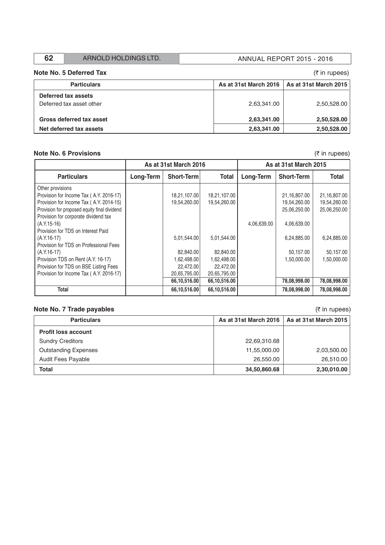| 62 | ARNOLD HOLDINGS LTD.    | ANNUAL REPORT 2015 - 2016 |                                               |                          |  |
|----|-------------------------|---------------------------|-----------------------------------------------|--------------------------|--|
|    | Note No. 5 Deferred Tax |                           |                                               | $(\bar{\tau}$ in rupees) |  |
|    | <b>Particulars</b>      |                           | As at 31st March 2016   As at 31st March 2015 |                          |  |
|    | Deferred tax assets     |                           |                                               |                          |  |

| Deferred tax asset other | 2,63,341.00 | 2,50,528.00 |
|--------------------------|-------------|-------------|
| Gross deferred tax asset | 2,63,341.00 | 2,50,528.00 |
| Net deferred tax assets  | 2,63,341.00 | 2,50,528.00 |

## Note No. 6 Provisions (₹ in rupees)

|                                                                                                                                                                                                                 | As at 31st March 2016 |                                                       |                                                       |             | As at 31st March 2015                                       |                                              |
|-----------------------------------------------------------------------------------------------------------------------------------------------------------------------------------------------------------------|-----------------------|-------------------------------------------------------|-------------------------------------------------------|-------------|-------------------------------------------------------------|----------------------------------------------|
| <b>Particulars</b>                                                                                                                                                                                              | Long-Term             | <b>Short-Term</b>                                     | <b>Total</b>                                          | Long-Term   | <b>Short-Term</b>                                           | Total                                        |
| Other provisions<br>Provision for Income Tax (A.Y. 2016-17)<br>Provision for Income Tax (A.Y. 2014-15)<br>Provision for proposed equity final dividend<br>Provision for corporate dividend tax<br>$(A.Y.15-16)$ |                       | 18,21,107.00<br>19,54,260.00                          | 18,21,107.00<br>19,54,260.00                          | 4,06,639.00 | 21,16,807.00<br>19,54,260.00<br>25,06,250.00<br>4,06,639.00 | 21,16,807.00<br>19,54,260.00<br>25,06,250.00 |
| Provision for TDS on Interest Paid<br>$(A.Y.16-17)$<br>Provision for TDS on Professional Fees                                                                                                                   |                       | 5,01,544.00                                           | 5,01,544.00                                           |             | 6,24,885.00                                                 | 6,24,885.00                                  |
| $(A.Y.16-17)$<br>Provision TDS on Rent (A.Y. 16-17)<br>Provision for TDS on BSE Listing Fees<br>Provision for Income Tax (A.Y. 2016-17)                                                                         |                       | 82,840.00<br>1,62,498.00<br>22,472.00<br>20,65,795.00 | 82,840.00<br>1,62,498.00<br>22,472.00<br>20,65,795.00 |             | 50,157.00<br>1,50,000.00                                    | 50,157.00<br>1,50,000.00                     |
| <b>Total</b>                                                                                                                                                                                                    |                       | 66,10,516.00<br>66,10,516.00                          | 66,10,516.00<br>66,10,516.00                          |             | 78,08,998.00<br>78,08,998.00                                | 78,08,998.00<br>78,08,998.00                 |

### Note No. 7 Trade payables  $(\bar{z}$  in rupees)

| <b>Particulars</b>          | As at 31st March 2016 | As at 31st March 2015 |
|-----------------------------|-----------------------|-----------------------|
| <b>Profit loss account</b>  |                       |                       |
| <b>Sundry Creditors</b>     | 22,69,310.68          |                       |
| <b>Outstanding Expenses</b> | 11,55,000.00          | 2,03,500.00           |
| Audit Fees Payable          | 26,550,00             | 26,510.00             |
| Total                       | 34,50,860.68          | 2,30,010.00           |

## ANNUAL REPORT 2015 - 2016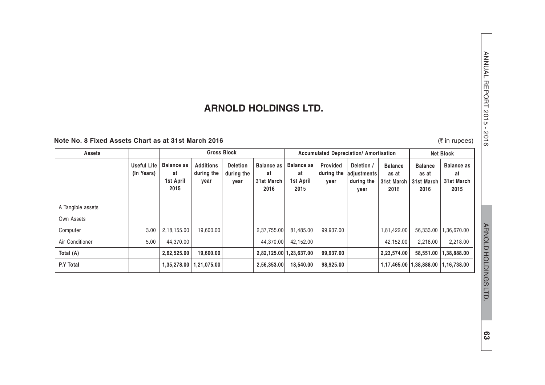|                                                     |                                  |                                              |                                        |                                       | <b>ARNOLD HOLDINGS LTD.</b>                   |                                              |                                |                                                                                                  |                                               |                                               |                                                                   |
|-----------------------------------------------------|----------------------------------|----------------------------------------------|----------------------------------------|---------------------------------------|-----------------------------------------------|----------------------------------------------|--------------------------------|--------------------------------------------------------------------------------------------------|-----------------------------------------------|-----------------------------------------------|-------------------------------------------------------------------|
| Note No. 8 Fixed Assets Chart as at 31st March 2016 |                                  |                                              | <b>Gross Block</b>                     |                                       |                                               |                                              |                                |                                                                                                  |                                               |                                               | (₹ in rupees)                                                     |
| <b>Assets</b>                                       | <b>Useful Life</b><br>(In Years) | <b>Balance as</b><br>at<br>1st April<br>2015 | <b>Additions</b><br>during the<br>year | <b>Deletion</b><br>during the<br>year | <b>Balance as</b><br>at<br>31st March<br>2016 | <b>Balance as</b><br>at<br>1st April<br>2015 | Provided<br>during the<br>year | <b>Accumulated Depreciation/ Amortisation</b><br>Deletion /<br>adjustments<br>during the<br>year | <b>Balance</b><br>as at<br>31st March<br>2016 | <b>Balance</b><br>as at<br>31st March<br>2016 | <b>Net Block</b><br><b>Balance as</b><br>at<br>31st March<br>2015 |
| A Tangible assets                                   |                                  |                                              |                                        |                                       |                                               |                                              |                                |                                                                                                  |                                               |                                               |                                                                   |
| Own Assets                                          |                                  |                                              |                                        |                                       |                                               |                                              |                                |                                                                                                  |                                               |                                               |                                                                   |
| Computer                                            | 3.00                             | 2,18,155.00                                  | 19,600.00                              |                                       | 2,37,755.00                                   | 81,485.00                                    | 99,937.00                      |                                                                                                  | 1,81,422.00                                   |                                               | 56,333.00 1,36,670.00                                             |
| Air Conditioner                                     | 5.00                             | 44,370.00                                    |                                        |                                       | 44,370.00                                     | 42,152.00                                    |                                |                                                                                                  | 42,152.00                                     | 2,218.00                                      | 2,218.00                                                          |
|                                                     |                                  | 2,62,525.00                                  | 19,600.00                              |                                       |                                               | 2,82,125.00 1,23,637.00                      | 99,937.00                      |                                                                                                  | 2,23,574.00                                   | 58,551.00                                     | 1,38,888.00                                                       |
| Total (A)                                           |                                  |                                              |                                        |                                       |                                               | 2,56,353.00<br>18,540.00                     | 98,925.00                      |                                                                                                  | 1,17,465.00 1,38,888.00                       |                                               | 1,16,738.00                                                       |

63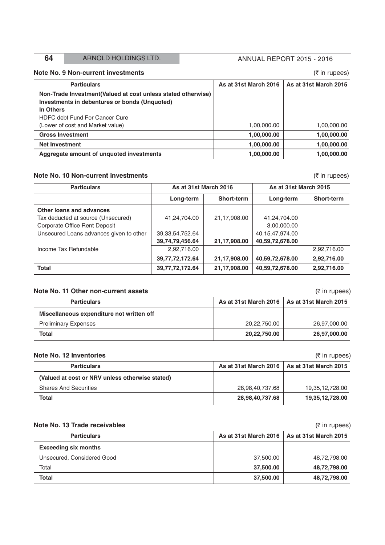| 64 | ARNOLD HOLDINGS LTD. | <b>ANNUAL REPORT 2015 - 2016</b> |
|----|----------------------|----------------------------------|
|----|----------------------|----------------------------------|

Note No. 9 Non-current investments (₹ in rupees)

| <b>Particulars</b>                                           | As at 31st March 2016 | As at 31st March 2015 |
|--------------------------------------------------------------|-----------------------|-----------------------|
| Non-Trade Investment(Valued at cost unless stated otherwise) |                       |                       |
| Investments in debentures or bonds (Unquoted)                |                       |                       |
| In Others                                                    |                       |                       |
| <b>HDFC debt Fund For Cancer Cure</b>                        |                       |                       |
| (Lower of cost and Market value)                             | 1,00,000.00           | 1,00,000.00           |
| <b>Gross Investment</b>                                      | 1,00,000.00           | 1,00,000.00           |
| <b>Net Investment</b>                                        | 1,00,000.00           | 1,00,000.00           |
| Aggregate amount of unquoted investments                     | 1,00,000.00           | 1,00,000.00           |

#### Note No. 10 Non-current investments (₹ in rupees)

| <b>Particulars</b>                      | As at 31st March 2016 |              | As at 31st March 2015 |             |
|-----------------------------------------|-----------------------|--------------|-----------------------|-------------|
|                                         | Long-term             | Short-term   | Long-term             | Short-term  |
| <b>Other loans and advances</b>         |                       |              |                       |             |
| Tax deducted at source (Unsecured)      | 41,24,704.00          | 21,17,908.00 | 41,24,704.00          |             |
| Corporate Office Rent Deposit           |                       |              | 3,00,000.00           |             |
| Unsecured Loans advances given to other | 39, 33, 54, 752. 64   |              | 40,15,47,974.00       |             |
|                                         | 39,74,79,456.64       | 21,17,908.00 | 40,59,72,678.00       |             |
| Income Tax Refundable                   | 2,92,716.00           |              |                       | 2,92,716.00 |
|                                         | 39,77,72,172.64       | 21,17,908.00 | 40,59,72,678.00       | 2,92,716.00 |
| <b>Total</b>                            | 39,77,72,172.64       | 21,17,908.00 | 40,59,72,678.00       | 2,92,716.00 |

#### Note No. 11 Other non-current assets  $($  $\bar{z}$  in rupees)

Particulars **As at 31st March 2016** As at 31st March 2015 Miscellaneous expenditure not written off Preliminary Expenses 26,97,000.00 Total 20,22,750.00 26,97,000.00

#### Note No. 12 Inventories (₹ in rupees)

| <b>Particulars</b>                              | As at 31st March 2016   As at 31st March 2015 |                 |
|-------------------------------------------------|-----------------------------------------------|-----------------|
| (Valued at cost or NRV unless otherwise stated) |                                               |                 |
| <b>Shares And Securities</b>                    | 28,98,40,737.68                               | 19,35,12,728.00 |
| Total                                           | 28,98,40,737.68                               | 19,35,12,728.00 |

#### Note No. 13 Trade receivables  $(3 \times 10^{-10})$

|                             |           | - - - - - 1                                   |
|-----------------------------|-----------|-----------------------------------------------|
| <b>Particulars</b>          |           | As at 31st March 2016   As at 31st March 2015 |
| <b>Exceeding six months</b> |           |                                               |
| Unsecured, Considered Good  | 37,500.00 | 48,72,798.00                                  |
| Total                       | 37,500.00 | 48,72,798.00                                  |
| <b>Total</b>                | 37,500.00 | 48,72,798.00                                  |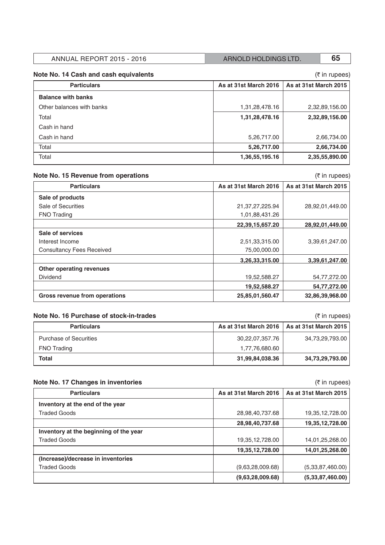| <b>ANNUAL REPORT 2015 - 2016</b> | ARNOLD HOLDINGS LTD. | 65 |
|----------------------------------|----------------------|----|
|----------------------------------|----------------------|----|

#### Note No. 14 Cash and cash equivalents  $(3 \times 10^{-10})$

|                           |                       | , . <b></b>           |
|---------------------------|-----------------------|-----------------------|
| <b>Particulars</b>        | As at 31st March 2016 | As at 31st March 2015 |
| <b>Balance with banks</b> |                       |                       |
| Other balances with banks | 1,31,28,478.16        | 2,32,89,156.00        |
| Total                     | 1,31,28,478.16        | 2,32,89,156.00        |
| Cash in hand              |                       |                       |
| Cash in hand              | 5,26,717.00           | 2,66,734.00           |
| Total                     | 5,26,717.00           | 2,66,734.00           |
| Total                     | 1,36,55,195.16        | 2,35,55,890.00        |
|                           |                       |                       |

#### Note No. 15 Revenue from operations  $(\bar{z})$  in rupees)

| <b>Particulars</b>                   | As at 31st March 2016 | As at 31st March 2015 |
|--------------------------------------|-----------------------|-----------------------|
| Sale of products                     |                       |                       |
| Sale of Securities                   | 21,37,27,225.94       | 28,92,01,449.00       |
| <b>FNO Trading</b>                   | 1,01,88,431.26        |                       |
|                                      | 22,39,15,657.20       | 28,92,01,449.00       |
| Sale of services                     |                       |                       |
| Interest Income                      | 2,51,33,315.00        | 3,39,61,247.00        |
| <b>Consultancy Fees Received</b>     | 75,00,000.00          |                       |
|                                      | 3,26,33,315.00        | 3,39,61,247.00        |
| <b>Other operating revenues</b>      |                       |                       |
| <b>Dividend</b>                      | 19,52,588.27          | 54,77,272.00          |
|                                      | 19,52,588.27          | 54,77,272.00          |
| <b>Gross revenue from operations</b> | 25,85,01,560.47       | 32,86,39,968.00       |

### Note No. 16 Purchase of stock-in-trades  $(3 \times 10^{-10})$

| <b>Particulars</b>            | As at 31st March 2016 $\vert$ As at 31st March 2015 |                 |
|-------------------------------|-----------------------------------------------------|-----------------|
| <b>Purchase of Securities</b> | 30,22,07,357.76                                     | 34,73,29,793.00 |
| FNO Trading                   | 1.77.76.680.60                                      |                 |
| <b>Total</b>                  | 31,99,84,038.36                                     | 34,73,29,793.00 |

#### Note No. 17 Changes in inventories  $(3 \times 10^{-10})$

| <b>Particulars</b>                     | As at 31st March 2016 | As at 31st March 2015 |
|----------------------------------------|-----------------------|-----------------------|
|                                        |                       |                       |
| Inventory at the end of the year       |                       |                       |
| <b>Traded Goods</b>                    | 28,98,40,737.68       | 19,35,12,728.00       |
|                                        | 28,98,40,737.68       | 19,35,12,728.00       |
| Inventory at the beginning of the year |                       |                       |
| <b>Traded Goods</b>                    | 19, 35, 12, 728, 00   | 14,01,25,268.00       |
|                                        | 19,35,12,728.00       | 14,01,25,268.00       |
| (Increase)/decrease in inventories     |                       |                       |
| <b>Traded Goods</b>                    | (9,63,28,009.68)      | (5,33,87,460.00)      |
|                                        | (9,63,28,009.68)      | (5,33,87,460.00)      |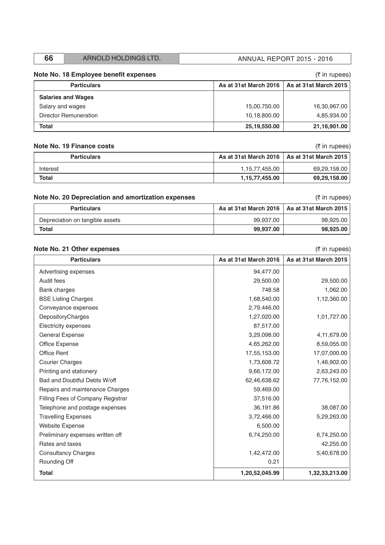| 66 | ARNOLD HOLDINGS LTD. | <b>ANNUAL REPORT 2015 - 2016</b> |
|----|----------------------|----------------------------------|
|----|----------------------|----------------------------------|

#### Note No. 18 Employee benefit expenses  $(5 \text{ in rupees})$

| <b>Particulars</b>        | As at 31st March 2016 | $\vert$ As at 31st March 2015 |
|---------------------------|-----------------------|-------------------------------|
| <b>Salaries and Wages</b> |                       |                               |
| Salary and wages          | 15,00,750.00          | 16,30,967.00                  |
| Director Remuneration     | 10,18,800.00          | 4,85,934.00                   |
| Total                     | 25,19,550.00          | 21,16,901.00                  |

## Particulars **Particulars** As at 31st March 2016 As at 31st March 2015 Interest 69,29,158.00 **1,15,77,455.00** 69,29,158.00 Total 69,29,158.00 69,29,158.00 Note No. 19 Finance costs (₹ in rupees)

#### Note No. 20 Depreciation and amortization expenses  $(3 \bar{z})$  in rupees)

| <b>Particulars</b>              | As at 31st March 2016 $\vert$ As at 31st March 2015 |           |
|---------------------------------|-----------------------------------------------------|-----------|
| Depreciation on tangible assets | 99.937.00                                           | 98.925.00 |
| <b>Total</b>                    | 99.937.00                                           | 98.925.00 |

#### Note No. 21 Other expenses (₹ in rupees)

| <b>Particulars</b>                | As at 31st March 2016 | As at 31st March 2015 |
|-----------------------------------|-----------------------|-----------------------|
| Advertising expenses              | 94,477.00             |                       |
| Audit fees                        | 29,500.00             | 29,500.00             |
| <b>Bank charges</b>               | 748.58                | 1,062.00              |
| <b>BSE Listing Charges</b>        | 1,68,540.00           | 1,12,360.00           |
| Conveyance expenses               | 2,79,446.00           |                       |
| DepositoryCharges                 | 1,27,020.00           | 1,01,727.00           |
| Electricity expenses              | 87,517.00             |                       |
| General Expense                   | 3,29,098.00           | 4, 11, 679.00         |
| Office Expense                    | 4,65,262.00           | 8,59,055.00           |
| Office Rent                       | 17,55,153.00          | 17,07,000.00          |
| <b>Courier Charges</b>            | 1,73,608.72           | 1,46,902.00           |
| Printing and stationery           | 9,66,172.00           | 2,63,243.00           |
| Bad and Doubtful Debts W/off      | 62,46,638.62          | 77,76,152.00          |
| Repairs and maintenance Charges   | 59,469.00             |                       |
| Filling Fees of Company Registrar | 37,516.00             |                       |
| Telephone and postage expenses    | 36,191.86             | 38,087.00             |
| <b>Travelling Expenses</b>        | 3,72,466.00           | 5,29,263.00           |
| <b>Website Expense</b>            | 6,500.00              |                       |
| Preliminary expenses written off  | 6,74,250.00           | 6,74,250.00           |
| Rates and taxes                   |                       | 42,255.00             |
| <b>Consultancy Charges</b>        | 1,42,472.00           | 5,40,678.00           |
| Rounding Off                      | 0.21                  |                       |
| <b>Total</b>                      | 1,20,52,045.99        | 1,32,33,213.00        |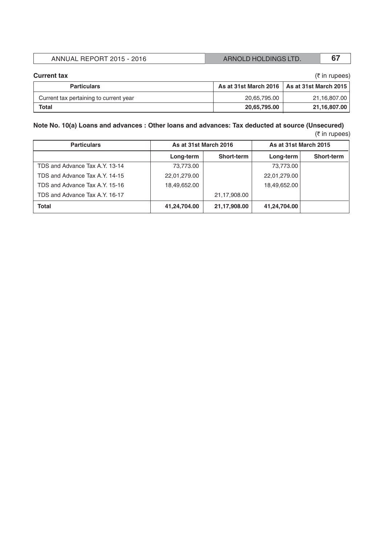| ARNOLD HOLDINGS LTD. |  |
|----------------------|--|
|                      |  |

| <b>Current tax</b>                     |              | $(5 \infty)$ in rupees)                       |
|----------------------------------------|--------------|-----------------------------------------------|
| <b>Particulars</b>                     |              | As at 31st March 2016   As at 31st March 2015 |
| Current tax pertaining to current year | 20,65,795.00 | 21,16,807.00                                  |
| <b>Total</b>                           | 20,65,795.00 | 21,16,807.00                                  |

### Note No. 10(a) Loans and advances : Other loans and advances: Tax deducted at source (Unsecured)  $($ ₹ in rupees)

| <b>Particulars</b>             | As at 31st March 2016 |              | As at 31st March 2015 |                   |
|--------------------------------|-----------------------|--------------|-----------------------|-------------------|
|                                | Long-term             | Short-term   | Long-term             | <b>Short-term</b> |
| TDS and Advance Tax A.Y. 13-14 | 73,773.00             |              | 73,773.00             |                   |
| TDS and Advance Tax A.Y. 14-15 | 22,01,279.00          |              | 22,01,279.00          |                   |
| TDS and Advance Tax A.Y. 15-16 | 18,49,652.00          |              | 18,49,652.00          |                   |
| TDS and Advance Tax A.Y. 16-17 |                       | 21,17,908.00 |                       |                   |
| <b>Total</b>                   | 41,24,704.00          | 21,17,908.00 | 41,24,704.00          |                   |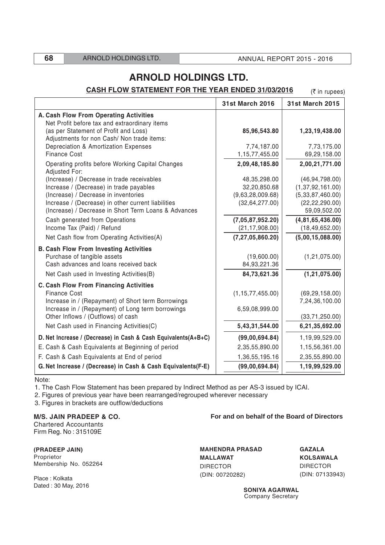## ARNOLD HOLDINGS LTD.

CASH FLOW STATEMENT FOR THE YEAR ENDED 31/03/2016  $($ ₹ in rupees)

|                                                                                                            | <b>31st March 2016</b> | <b>31st March 2015</b>           |
|------------------------------------------------------------------------------------------------------------|------------------------|----------------------------------|
| A. Cash Flow From Operating Activities<br>Net Profit before tax and extraordinary items                    |                        |                                  |
| (as per Statement of Profit and Loss)                                                                      | 85,96,543.80           | 1,23,19,438.00                   |
| Adjustments for non Cash/ Non trade items:                                                                 |                        |                                  |
| Depreciation & Amortization Expenses                                                                       | 7,74,187.00            | 7,73,175.00                      |
| <b>Finance Cost</b>                                                                                        | 1, 15, 77, 455.00      | 69,29,158.00                     |
| Operating profits before Working Capital Changes<br><b>Adjusted For:</b>                                   | 2,09,48,185.80         | 2,00,21,771.00                   |
| (Increase) / Decrease in trade receivables                                                                 | 48, 35, 298.00         | (46, 94, 798.00)                 |
| Increase / (Decrease) in trade payables                                                                    | 32,20,850.68           | (1,37,92,161.00)                 |
| (Increase) / Decrease in inventories                                                                       | (9,63,28,009.68)       | (5,33,87,460.00)                 |
| Increase / (Decrease) in other current liabilities<br>(Increase) / Decrease in Short Term Loans & Advances | (32, 64, 277.00)       | (22, 22, 290.00)<br>59,09,502.00 |
|                                                                                                            |                        |                                  |
| Cash generated from Operations<br>Income Tax (Paid) / Refund                                               | (7,05,87,952.20)       | (4, 81, 65, 436.00)              |
|                                                                                                            | (21, 17, 908.00)       | (18, 49, 652.00)                 |
| Net Cash flow from Operating Activities(A)                                                                 | (7, 27, 05, 860.20)    | (5,00,15,088.00)                 |
| <b>B. Cash Flow From Investing Activities</b>                                                              |                        |                                  |
| Purchase of tangible assets                                                                                | (19,600.00)            | (1, 21, 075.00)                  |
| Cash advances and loans received back                                                                      | 84,93,221.36           |                                  |
| Net Cash used in Investing Activities(B)                                                                   | 84,73,621.36           | (1, 21, 075.00)                  |
| <b>C. Cash Flow From Financing Activities</b>                                                              |                        |                                  |
| <b>Finance Cost</b>                                                                                        | (1, 15, 77, 455.00)    | (69, 29, 158.00)                 |
| Increase in / (Repayment) of Short term Borrowings                                                         |                        | 7,24,36,100.00                   |
| Increase in / (Repayment) of Long term borrowings                                                          | 6,59,08,999.00         |                                  |
| Other Inflows / (Outflows) of cash                                                                         |                        | (33, 71, 250.00)                 |
| Net Cash used in Financing Activities(C)                                                                   | 5,43,31,544.00         | 6,21,35,692.00                   |
| D. Net Increase / (Decrease) in Cash & Cash Equivalents(A+B+C)                                             | (99,00,694.84)         | 1,19,99,529.00                   |
| E. Cash & Cash Equivalents at Beginning of period                                                          | 2,35,55,890.00         | 1,15,56,361.00                   |
| F. Cash & Cash Equivalents at End of period                                                                | 1,36,55,195.16         | 2,35,55,890.00                   |
| G. Net Increase / (Decrease) in Cash & Cash Equivalents(F-E)                                               | (99,00,694.84)         | 1,19,99,529.00                   |

Note:

1. The Cash Flow Statement has been prepared by Indirect Method as per AS-3 issued by ICAI.

2. Figures of previous year have been rearranged/regrouped wherever necessary

3. Figures in brackets are outflow/deductions

#### M/S. JAIN PRADEEP & CO.

Chartered Accountants Firm Reg. No : 315109E

(PRADEEP JAIN)

**Proprietor** Membership No. 052264

Place : Kolkata Dated : 30 May, 2016

#### **For and on behalf of the Board of Directors**

MAHENDRA PRASAD MALLAWAT DIRECTOR (DIN: 00720282)

GAZALA KOLSAWALA DIRECTOR (DIN: 07133943)

SONIYA AGARWAL Company Secretary

68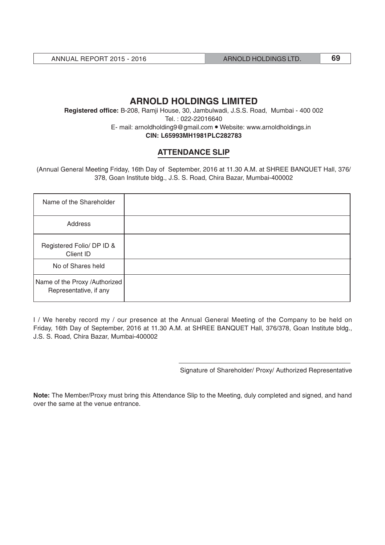## ARNOLD HOLDINGS LIMITED

Registered office: B-208, Ramji House, 30, Jambulwadi, J.S.S. Road, Mumbai - 400 002 Tel. : 022-22016640 E- mail: arnoldholding9@gmail.com Website: www.arnoldholdings.in CIN: L65993MH1981PLC282783

### ATTENDANCE SLIP

(Annual General Meeting Friday, 16th Day of September, 2016 at 11.30 A.M. at SHREE BANQUET Hall, 376/ 378, Goan Institute bldg., J.S. S. Road, Chira Bazar, Mumbai-400002

| Name of the Shareholder                                   |  |
|-----------------------------------------------------------|--|
| Address                                                   |  |
| Registered Folio/ DP ID &<br>Client ID                    |  |
| No of Shares held                                         |  |
| Name of the Proxy /Authorized  <br>Representative, if any |  |

I / We hereby record my / our presence at the Annual General Meeting of the Company to be held on Friday, 16th Day of September, 2016 at 11.30 A.M. at SHREE BANQUET Hall, 376/378, Goan Institute bldg., J.S. S. Road, Chira Bazar, Mumbai-400002

Signature of Shareholder/ Proxy/ Authorized Representative

Note: The Member/Proxy must bring this Attendance Slip to the Meeting, duly completed and signed, and hand over the same at the venue entrance.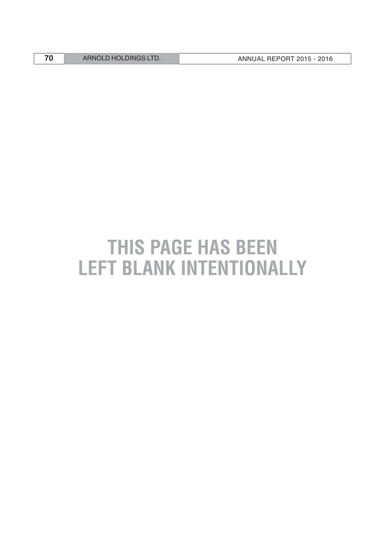| ARNOLD HOLDINGS LTD. | <b>ANNUAL REPORT 2015 - 2016</b> |
|----------------------|----------------------------------|
|----------------------|----------------------------------|

# THIS PAGE HAS BEEN LEFT BLANK INTENTIONALLY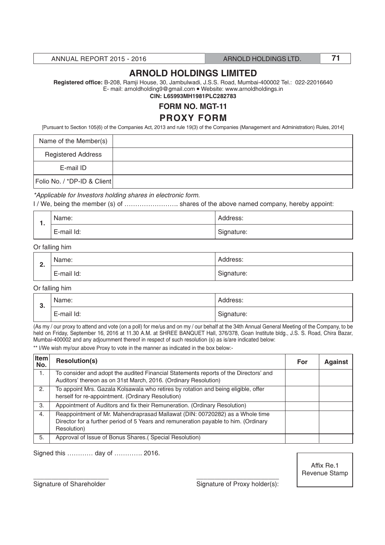ANNUAL REPORT 2015 - 2016 ARNOLD HOLDINGS LTD. 2016

# ARNOLD HOLDINGS LIMITED

Registered office: B-208, Ramji House, 30, Jambulwadi, J.S.S. Road, Mumbai-400002 Tel.: 022-22016640 E- mail: arnoldholding9@gmail.com Website: www.arnoldholdings.in

CIN: L65993MH1981PLC282783

### FORM NO. MGT-11

## PROXY FORM

[Pursuant to Section 105(6) of the Companies Act, 2013 and rule 19(3) of the Companies (Management and Administration) Rules, 2014]

| Name of the Member(s)       |  |
|-----------------------------|--|
| <b>Registered Address</b>   |  |
| E-mail ID                   |  |
| Folio No. / *DP-ID & Client |  |

#### \*Applicable for Investors holding shares in electronic form.

I / We, being the member (s) of ........................... shares of the above named company, hereby appoint:

| Name:          | Address:   |
|----------------|------------|
| <br>E-mail Id: | Signature: |

#### Or falling him

| c   | Name:      | Address:   |
|-----|------------|------------|
| . . | E-mail Id: | Signature: |

Or falling him

| ◠  | Name:      | Address:   |
|----|------------|------------|
| v. | E-mail Id: | Signature: |

(As my / our proxy to attend and vote (on a poll) for me/us and on my / our behalf at the 34th Annual General Meeting of the Company, to be held on Friday, September 16, 2016 at 11.30 A.M. at SHREE BANQUET Hall, 376/378, Goan Institute bldg., J.S. S. Road, Chira Bazar, Mumbai-400002 and any adjournment thereof in respect of such resolution (s) as is/are indicated below:

\*\* I/We wish my/our above Proxy to vote in the manner as indicated in the box below:-

\_\_\_\_\_\_\_\_\_\_\_\_\_\_\_\_\_\_\_\_\_ \_\_\_\_\_\_\_\_\_\_\_\_\_\_\_\_\_\_\_\_\_\_\_

| Item <br>No. | <b>Resolution(s)</b>                                                                                                                                                               | For | <b>Against</b> |
|--------------|------------------------------------------------------------------------------------------------------------------------------------------------------------------------------------|-----|----------------|
| 1.           | To consider and adopt the audited Financial Statements reports of the Directors' and<br>Auditors' thereon as on 31st March, 2016. (Ordinary Resolution)                            |     |                |
| 2.           | To appoint Mrs. Gazala Kolsawala who retires by rotation and being eligible, offer<br>herself for re-appointment. (Ordinary Resolution)                                            |     |                |
| 3.           | Appointment of Auditors and fix their Remuneration. (Ordinary Resolution)                                                                                                          |     |                |
| 4.           | Reappointment of Mr. Mahendraprasad Mallawat (DIN: 00720282) as a Whole time<br>Director for a further period of 5 Years and remuneration payable to him. (Ordinary<br>Resolution) |     |                |
| 5.           | Approval of Issue of Bonus Shares.( Special Resolution)                                                                                                                            |     |                |

Signed this ………… day of …………. 2016.

Affix Re.1 Revenue Stamp

Signature of Shareholder Signature of Proxy holder(s):